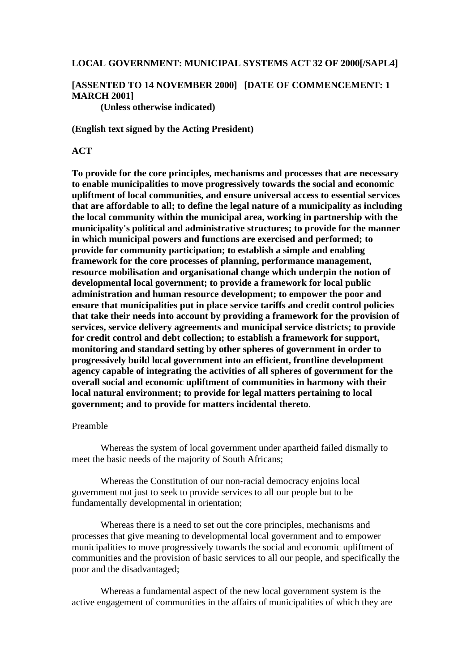#### **LOCAL GOVERNMENT: MUNICIPAL SYSTEMS ACT 32 OF 2000[/SAPL4]**

# **[ASSENTED TO 14 NOVEMBER 2000] [DATE OF COMMENCEMENT: 1 MARCH 2001]**

**(Unless otherwise indicated)**

**(English text signed by the Acting President)**

#### **ACT**

**To provide for the core principles, mechanisms and processes that are necessary to enable municipalities to move progressively towards the social and economic upliftment of local communities, and ensure universal access to essential services that are affordable to all; to define the legal nature of a municipality as including the local community within the municipal area, working in partnership with the municipality's political and administrative structures; to provide for the manner in which municipal powers and functions are exercised and performed; to provide for community participation; to establish a simple and enabling framework for the core processes of planning, performance management, resource mobilisation and organisational change which underpin the notion of developmental local government; to provide a framework for local public administration and human resource development; to empower the poor and ensure that municipalities put in place service tariffs and credit control policies that take their needs into account by providing a framework for the provision of services, service delivery agreements and municipal service districts; to provide for credit control and debt collection; to establish a framework for support, monitoring and standard setting by other spheres of government in order to progressively build local government into an efficient, frontline development agency capable of integrating the activities of all spheres of government for the overall social and economic upliftment of communities in harmony with their local natural environment; to provide for legal matters pertaining to local government; and to provide for matters incidental thereto**.

#### Preamble

Whereas the system of local government under apartheid failed dismally to meet the basic needs of the majority of South Africans;

Whereas the Constitution of our non-racial democracy enjoins local government not just to seek to provide services to all our people but to be fundamentally developmental in orientation;

Whereas there is a need to set out the core principles, mechanisms and processes that give meaning to developmental local government and to empower municipalities to move progressively towards the social and economic upliftment of communities and the provision of basic services to all our people, and specifically the poor and the disadvantaged;

Whereas a fundamental aspect of the new local government system is the active engagement of communities in the affairs of municipalities of which they are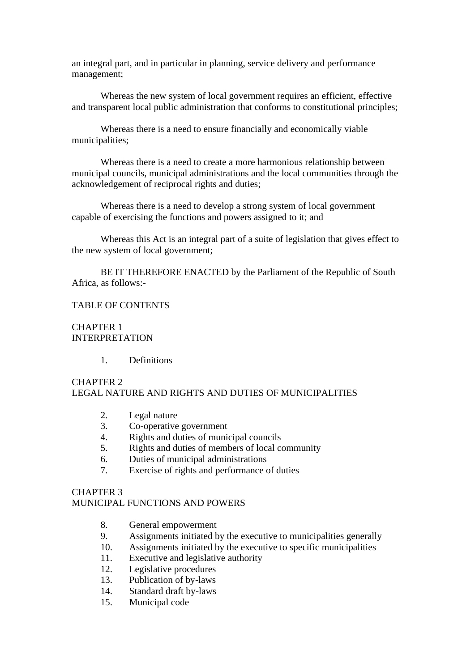an integral part, and in particular in planning, service delivery and performance management;

Whereas the new system of local government requires an efficient, effective and transparent local public administration that conforms to constitutional principles;

Whereas there is a need to ensure financially and economically viable municipalities;

Whereas there is a need to create a more harmonious relationship between municipal councils, municipal administrations and the local communities through the acknowledgement of reciprocal rights and duties;

Whereas there is a need to develop a strong system of local government capable of exercising the functions and powers assigned to it; and

Whereas this Act is an integral part of a suite of legislation that gives effect to the new system of local government;

BE IT THEREFORE ENACTED by the Parliament of the Republic of South Africa, as follows:-

#### TABLE OF CONTENTS

CHAPTER 1 INTERPRETATION

1. Definitions

# CHAPTER 2 LEGAL NATURE AND RIGHTS AND DUTIES OF MUNICIPALITIES

- 2. Legal nature
- 3. Co-operative government
- 4. Rights and duties of municipal councils
- 5. Rights and duties of members of local community
- 6. Duties of municipal administrations
- 7. Exercise of rights and performance of duties

## CHAPTER 3

## MUNICIPAL FUNCTIONS AND POWERS

- 8. General empowerment
- 9. Assignments initiated by the executive to municipalities generally
- 10. Assignments initiated by the executive to specific municipalities
- 11. Executive and legislative authority
- 12. Legislative procedures
- 13. Publication of by-laws
- 14. Standard draft by-laws
- 15. Municipal code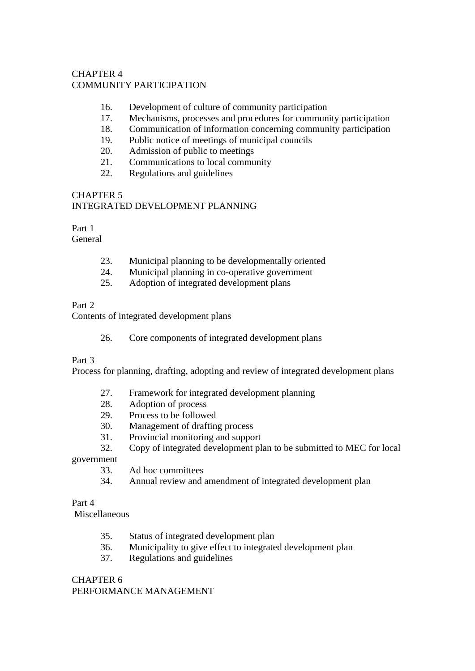# CHAPTER 4 COMMUNITY PARTICIPATION

- 16. Development of culture of community participation
- 17. Mechanisms, processes and procedures for community participation
- 18. Communication of information concerning community participation
- 19. Public notice of meetings of municipal councils
- 20. Admission of public to meetings
- 21. Communications to local community
- 22. Regulations and guidelines

# CHAPTER 5

# INTEGRATED DEVELOPMENT PLANNING

# Part 1

General

- 23. Municipal planning to be developmentally oriented
- 24. Municipal planning in co-operative government
- 25. Adoption of integrated development plans

# Part 2

Contents of integrated development plans

26. Core components of integrated development plans

# Part 3

Process for planning, drafting, adopting and review of integrated development plans

- 27. Framework for integrated development planning
- 28. Adoption of process
- 29. Process to be followed
- 30. Management of drafting process
- 31. Provincial monitoring and support
- 32. Copy of integrated development plan to be submitted to MEC for local

government

- 33. Ad hoc committees
- 34. Annual review and amendment of integrated development plan

# Part 4

Miscellaneous

- 35. Status of integrated development plan
- 36. Municipality to give effect to integrated development plan
- 37. Regulations and guidelines

# CHAPTER 6 PERFORMANCE MANAGEMENT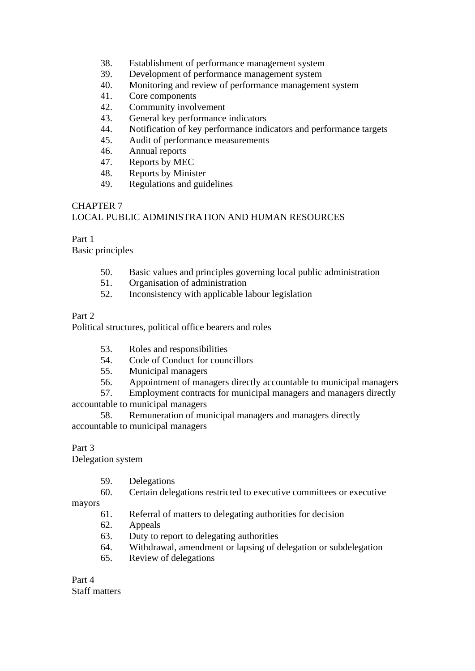- 38. Establishment of performance management system
- 39. Development of performance management system
- 40. Monitoring and review of performance management system
- 41. Core components
- 42. Community involvement
- 43. General key performance indicators
- 44. Notification of key performance indicators and performance targets
- 45. Audit of performance measurements
- 46. Annual reports
- 47. Reports by MEC
- 48. Reports by Minister
- 49. Regulations and guidelines

# CHAPTER 7

## LOCAL PUBLIC ADMINISTRATION AND HUMAN RESOURCES

## Part 1

Basic principles

- 50. Basic values and principles governing local public administration
- 51. Organisation of administration
- 52. Inconsistency with applicable labour legislation

## Part 2

Political structures, political office bearers and roles

- 53. Roles and responsibilities
- 54. Code of Conduct for councillors
- 55. Municipal managers
- 56. Appointment of managers directly accountable to municipal managers
- 57. Employment contracts for municipal managers and managers directly

accountable to municipal managers

58. Remuneration of municipal managers and managers directly accountable to municipal managers

## Part 3

Delegation system

- 59. Delegations
- 60. Certain delegations restricted to executive committees or executive

mayors

- 61. Referral of matters to delegating authorities for decision
- 62. Appeals
- 63. Duty to report to delegating authorities
- 64. Withdrawal, amendment or lapsing of delegation or subdelegation
- 65. Review of delegations

Part 4 Staff matters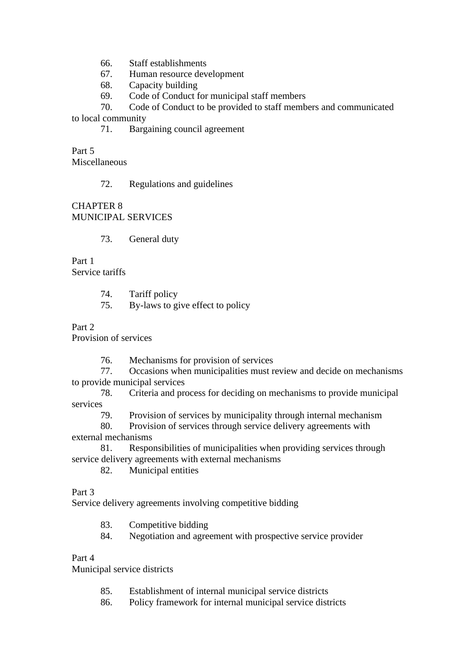- 66. Staff establishments
- 67. Human resource development
- 68. Capacity building
- 69. Code of Conduct for municipal staff members

70. Code of Conduct to be provided to staff members and communicated to local community

71. Bargaining council agreement

Part 5 Miscellaneous

## 72. Regulations and guidelines

## CHAPTER 8 MUNICIPAL SERVICES

73. General duty

Part 1 Service tariffs

- 74. Tariff policy
- 75. By-laws to give effect to policy

## Part 2

Provision of services

76. Mechanisms for provision of services

77. Occasions when municipalities must review and decide on mechanisms to provide municipal services

78. Criteria and process for deciding on mechanisms to provide municipal services

79. Provision of services by municipality through internal mechanism

80. Provision of services through service delivery agreements with external mechanisms

81. Responsibilities of municipalities when providing services through service delivery agreements with external mechanisms

82. Municipal entities

Part 3

Service delivery agreements involving competitive bidding

83. Competitive bidding

84. Negotiation and agreement with prospective service provider

## Part 4

Municipal service districts

- 85. Establishment of internal municipal service districts
- 86. Policy framework for internal municipal service districts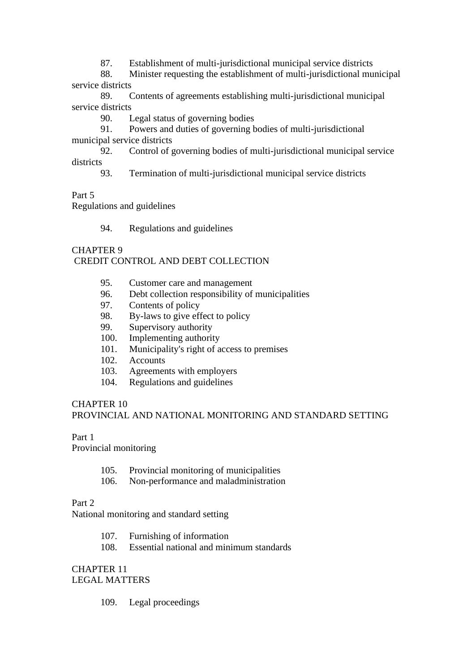87. Establishment of multi-jurisdictional municipal service districts

88. Minister requesting the establishment of multi-jurisdictional municipal service districts

89. Contents of agreements establishing multi-jurisdictional municipal service districts

90. Legal status of governing bodies

91. Powers and duties of governing bodies of multi-jurisdictional municipal service districts

92. Control of governing bodies of multi-jurisdictional municipal service districts

93. Termination of multi-jurisdictional municipal service districts

Part 5

Regulations and guidelines

94. Regulations and guidelines

# CHAPTER 9 CREDIT CONTROL AND DEBT COLLECTION

- 95. Customer care and management
- 96. Debt collection responsibility of municipalities
- 97. Contents of policy
- 98. By-laws to give effect to policy
- 99. Supervisory authority
- 100. Implementing authority
- 101. Municipality's right of access to premises
- 102. Accounts
- 103. Agreements with employers
- 104. Regulations and guidelines

# CHAPTER 10 PROVINCIAL AND NATIONAL MONITORING AND STANDARD SETTING

Part 1

Provincial monitoring

- 105. Provincial monitoring of municipalities
- 106. Non-performance and maladministration

Part 2

National monitoring and standard setting

- 107. Furnishing of information
- 108. Essential national and minimum standards

## CHAPTER 11 LEGAL MATTERS

109. Legal proceedings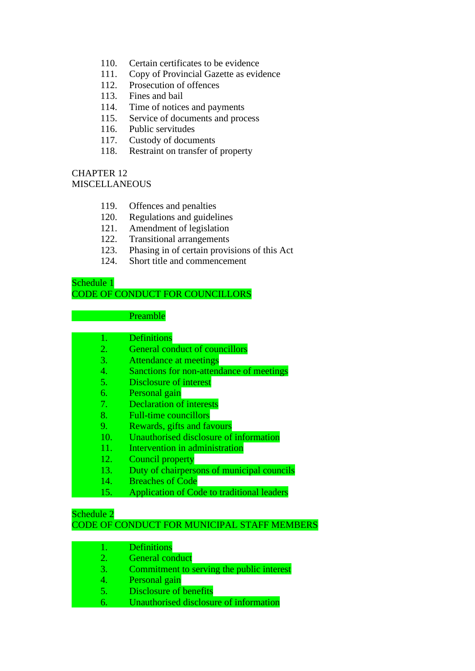- 110. Certain certificates to be evidence
- 111. Copy of Provincial Gazette as evidence
- 112. Prosecution of offences
- 113. Fines and bail
- 114. Time of notices and payments
- 115. Service of documents and process
- 116. Public servitudes
- 117. Custody of documents
- 118. Restraint on transfer of property

## CHAPTER 12 **MISCELLANEOUS**

- 119. Offences and penalties
- 120. Regulations and guidelines
- 121. Amendment of legislation
- 122. Transitional arrangements
- 123. Phasing in of certain provisions of this Act
- 124. Short title and commencement

## Schedule 1 CODE OF CONDUCT FOR COUNCILLORS

#### **Preamble**

| <b>Definitions</b> |
|--------------------|
|--------------------|

- 2. General conduct of councillors
- 3. Attendance at meetings
- 4. Sanctions for non-attendance of meetings
- 5. Disclosure of interest
- 6. Personal gain
- 7. Declaration of interests
- 8. Full-time councillors
- 9. Rewards, gifts and favours
- 10. Unauthorised disclosure of information
- 11. Intervention in administration
- 12. Council property
- 13. Duty of chairpersons of municipal councils
- 14. Breaches of Code
- 15. Application of Code to traditional leaders

# Schedule 2

CODE OF CONDUCT FOR MUNICIPAL STAFF MEMBERS

- 1. Definitions
- 2. General conduct
- 3. Commitment to serving the public interest
- 4. Personal gain
- 5. Disclosure of benefits
- 6. Unauthorised disclosure of information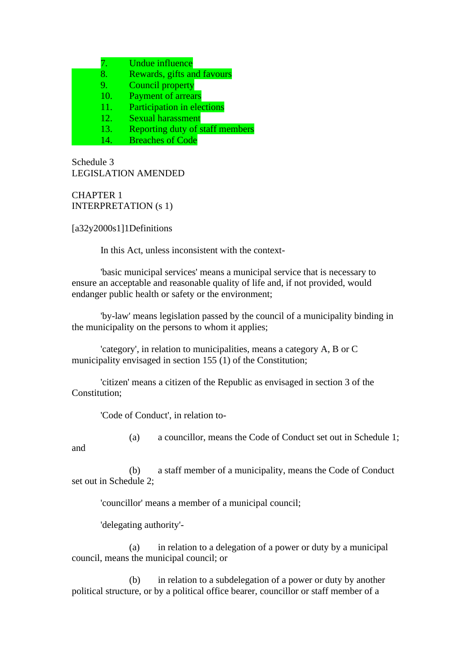7. Undue influence

- 8. Rewards, gifts and favours
- 9. Council property
- 10. Payment of arrears
- 11. Participation in elections
- 12. Sexual harassment
- 13. Reporting duty of staff members
- 14. Breaches of Code

Schedule 3 LEGISLATION AMENDED

CHAPTER 1 INTERPRETATION (s 1)

[a32y2000s1]1Definitions

In this Act, unless inconsistent with the context-

'basic municipal services' means a municipal service that is necessary to ensure an acceptable and reasonable quality of life and, if not provided, would endanger public health or safety or the environment;

'by-law' means legislation passed by the council of a municipality binding in the municipality on the persons to whom it applies;

'category', in relation to municipalities, means a category A, B or C municipality envisaged in section 155 (1) of the Constitution;

'citizen' means a citizen of the Republic as envisaged in section 3 of the Constitution;

'Code of Conduct', in relation to-

(a) a councillor, means the Code of Conduct set out in Schedule 1;

(b) a staff member of a municipality, means the Code of Conduct set out in Schedule 2;

'councillor' means a member of a municipal council;

'delegating authority'-

and

(a) in relation to a delegation of a power or duty by a municipal council, means the municipal council; or

(b) in relation to a subdelegation of a power or duty by another political structure, or by a political office bearer, councillor or staff member of a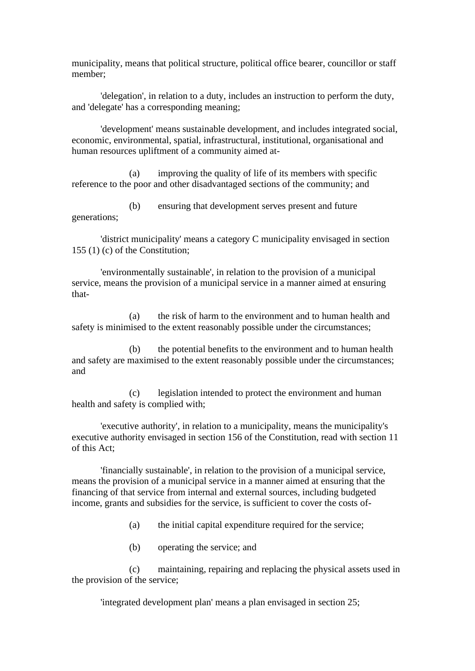municipality, means that political structure, political office bearer, councillor or staff member;

'delegation', in relation to a duty, includes an instruction to perform the duty, and 'delegate' has a corresponding meaning;

'development' means sustainable development, and includes integrated social, economic, environmental, spatial, infrastructural, institutional, organisational and human resources upliftment of a community aimed at-

(a) improving the quality of life of its members with specific reference to the poor and other disadvantaged sections of the community; and

(b) ensuring that development serves present and future generations;

'district municipality' means a category C municipality envisaged in section 155 (1) (c) of the Constitution;

'environmentally sustainable', in relation to the provision of a municipal service, means the provision of a municipal service in a manner aimed at ensuring that-

(a) the risk of harm to the environment and to human health and safety is minimised to the extent reasonably possible under the circumstances;

(b) the potential benefits to the environment and to human health and safety are maximised to the extent reasonably possible under the circumstances; and

(c) legislation intended to protect the environment and human health and safety is complied with;

'executive authority', in relation to a municipality, means the municipality's executive authority envisaged in section 156 of the Constitution, read with section 11 of this Act;

'financially sustainable', in relation to the provision of a municipal service, means the provision of a municipal service in a manner aimed at ensuring that the financing of that service from internal and external sources, including budgeted income, grants and subsidies for the service, is sufficient to cover the costs of-

(a) the initial capital expenditure required for the service;

(b) operating the service; and

(c) maintaining, repairing and replacing the physical assets used in the provision of the service;

'integrated development plan' means a plan envisaged in section 25;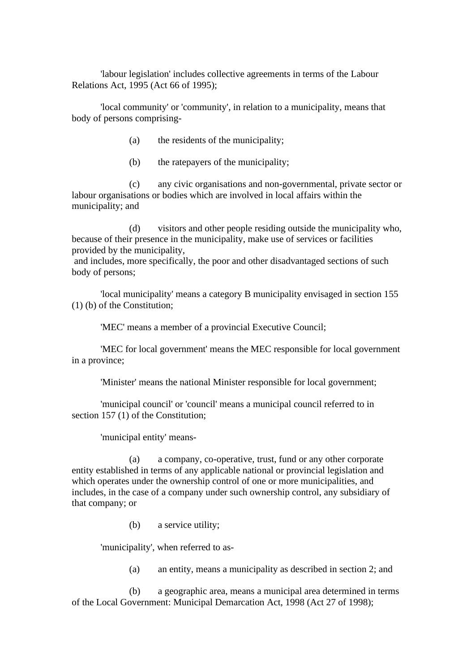'labour legislation' includes collective agreements in terms of the Labour Relations Act, 1995 (Act 66 of 1995);

'local community' or 'community', in relation to a municipality, means that body of persons comprising-

- (a) the residents of the municipality;
- (b) the ratepayers of the municipality;

(c) any civic organisations and non-governmental, private sector or labour organisations or bodies which are involved in local affairs within the municipality; and

(d) visitors and other people residing outside the municipality who, because of their presence in the municipality, make use of services or facilities provided by the municipality,

and includes, more specifically, the poor and other disadvantaged sections of such body of persons;

'local municipality' means a category B municipality envisaged in section 155 (1) (b) of the Constitution;

'MEC' means a member of a provincial Executive Council;

'MEC for local government' means the MEC responsible for local government in a province;

'Minister' means the national Minister responsible for local government;

'municipal council' or 'council' means a municipal council referred to in section 157 (1) of the Constitution;

'municipal entity' means-

(a) a company, co-operative, trust, fund or any other corporate entity established in terms of any applicable national or provincial legislation and which operates under the ownership control of one or more municipalities, and includes, in the case of a company under such ownership control, any subsidiary of that company; or

(b) a service utility;

'municipality', when referred to as-

(a) an entity, means a municipality as described in section 2; and

(b) a geographic area, means a municipal area determined in terms of the Local Government: Municipal Demarcation Act, 1998 (Act 27 of 1998);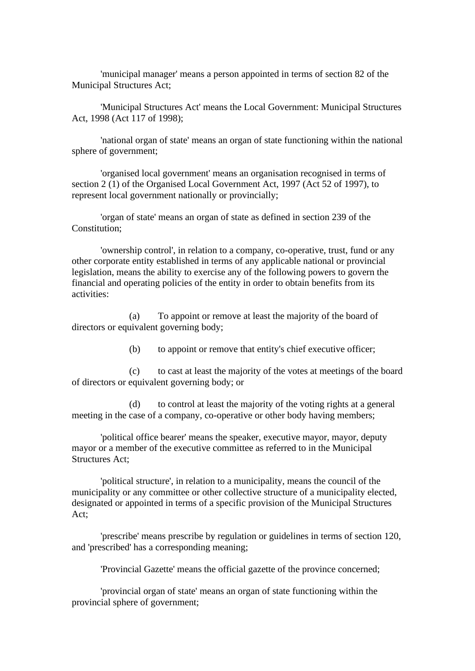'municipal manager' means a person appointed in terms of section 82 of the Municipal Structures Act;

'Municipal Structures Act' means the Local Government: Municipal Structures Act, 1998 (Act 117 of 1998);

'national organ of state' means an organ of state functioning within the national sphere of government;

'organised local government' means an organisation recognised in terms of section 2 (1) of the Organised Local Government Act, 1997 (Act 52 of 1997), to represent local government nationally or provincially;

'organ of state' means an organ of state as defined in section 239 of the Constitution;

'ownership control', in relation to a company, co-operative, trust, fund or any other corporate entity established in terms of any applicable national or provincial legislation, means the ability to exercise any of the following powers to govern the financial and operating policies of the entity in order to obtain benefits from its activities:

(a) To appoint or remove at least the majority of the board of directors or equivalent governing body;

(b) to appoint or remove that entity's chief executive officer;

(c) to cast at least the majority of the votes at meetings of the board of directors or equivalent governing body; or

(d) to control at least the majority of the voting rights at a general meeting in the case of a company, co-operative or other body having members;

'political office bearer' means the speaker, executive mayor, mayor, deputy mayor or a member of the executive committee as referred to in the Municipal Structures Act;

'political structure', in relation to a municipality, means the council of the municipality or any committee or other collective structure of a municipality elected, designated or appointed in terms of a specific provision of the Municipal Structures Act;

'prescribe' means prescribe by regulation or guidelines in terms of section 120, and 'prescribed' has a corresponding meaning;

'Provincial Gazette' means the official gazette of the province concerned;

'provincial organ of state' means an organ of state functioning within the provincial sphere of government;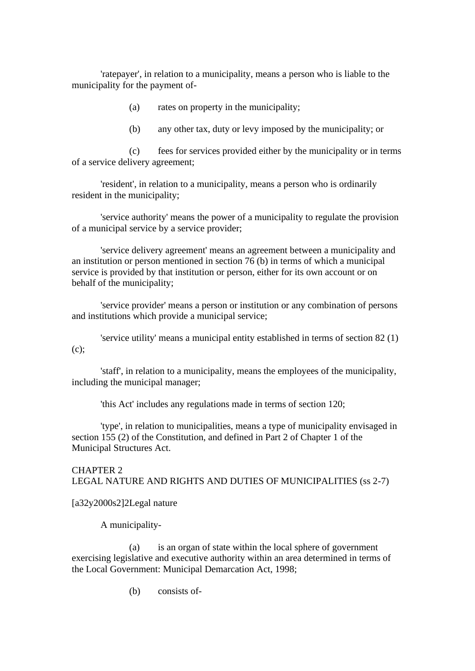'ratepayer', in relation to a municipality, means a person who is liable to the municipality for the payment of-

- (a) rates on property in the municipality;
- (b) any other tax, duty or levy imposed by the municipality; or

(c) fees for services provided either by the municipality or in terms of a service delivery agreement;

'resident', in relation to a municipality, means a person who is ordinarily resident in the municipality;

'service authority' means the power of a municipality to regulate the provision of a municipal service by a service provider;

'service delivery agreement' means an agreement between a municipality and an institution or person mentioned in section 76 (b) in terms of which a municipal service is provided by that institution or person, either for its own account or on behalf of the municipality;

'service provider' means a person or institution or any combination of persons and institutions which provide a municipal service;

'service utility' means a municipal entity established in terms of section 82 (1) (c);

'staff', in relation to a municipality, means the employees of the municipality, including the municipal manager;

'this Act' includes any regulations made in terms of section 120;

'type', in relation to municipalities, means a type of municipality envisaged in section 155 (2) of the Constitution, and defined in Part 2 of Chapter 1 of the Municipal Structures Act.

CHAPTER 2 LEGAL NATURE AND RIGHTS AND DUTIES OF MUNICIPALITIES (ss 2-7)

#### [a32y2000s2]2Legal nature

A municipality-

(a) is an organ of state within the local sphere of government exercising legislative and executive authority within an area determined in terms of the Local Government: Municipal Demarcation Act, 1998;

(b) consists of-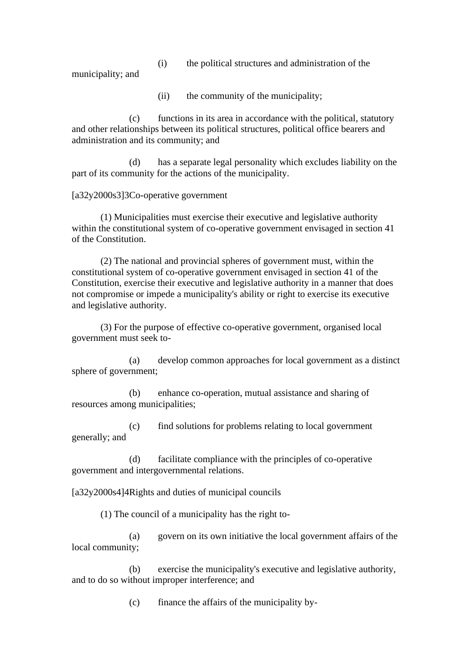(i) the political structures and administration of the

municipality; and

(ii) the community of the municipality;

(c) functions in its area in accordance with the political, statutory and other relationships between its political structures, political office bearers and administration and its community; and

(d) has a separate legal personality which excludes liability on the part of its community for the actions of the municipality.

[a32y2000s3]3Co-operative government

(1) Municipalities must exercise their executive and legislative authority within the constitutional system of co-operative government envisaged in section 41 of the Constitution.

(2) The national and provincial spheres of government must, within the constitutional system of co-operative government envisaged in section 41 of the Constitution, exercise their executive and legislative authority in a manner that does not compromise or impede a municipality's ability or right to exercise its executive and legislative authority.

(3) For the purpose of effective co-operative government, organised local government must seek to-

(a) develop common approaches for local government as a distinct sphere of government;

(b) enhance co-operation, mutual assistance and sharing of resources among municipalities;

(c) find solutions for problems relating to local government generally; and

(d) facilitate compliance with the principles of co-operative government and intergovernmental relations.

[a32y2000s4]4Rights and duties of municipal councils

(1) The council of a municipality has the right to-

(a) govern on its own initiative the local government affairs of the local community;

(b) exercise the municipality's executive and legislative authority, and to do so without improper interference; and

(c) finance the affairs of the municipality by-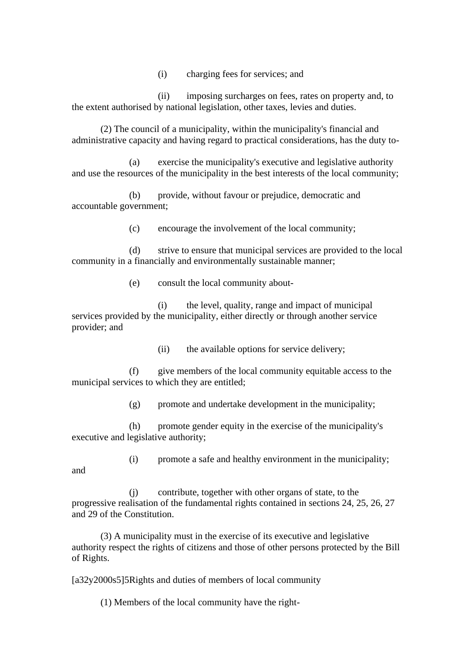(i) charging fees for services; and

(ii) imposing surcharges on fees, rates on property and, to the extent authorised by national legislation, other taxes, levies and duties.

(2) The council of a municipality, within the municipality's financial and administrative capacity and having regard to practical considerations, has the duty to-

(a) exercise the municipality's executive and legislative authority and use the resources of the municipality in the best interests of the local community;

(b) provide, without favour or prejudice, democratic and accountable government;

(c) encourage the involvement of the local community;

(d) strive to ensure that municipal services are provided to the local community in a financially and environmentally sustainable manner;

(e) consult the local community about-

(i) the level, quality, range and impact of municipal services provided by the municipality, either directly or through another service provider; and

(ii) the available options for service delivery;

(f) give members of the local community equitable access to the municipal services to which they are entitled;

(g) promote and undertake development in the municipality;

(h) promote gender equity in the exercise of the municipality's executive and legislative authority;

(i) promote a safe and healthy environment in the municipality;

and

(j) contribute, together with other organs of state, to the progressive realisation of the fundamental rights contained in sections 24, 25, 26, 27 and 29 of the Constitution.

(3) A municipality must in the exercise of its executive and legislative authority respect the rights of citizens and those of other persons protected by the Bill of Rights.

[a32y2000s5]5Rights and duties of members of local community

(1) Members of the local community have the right-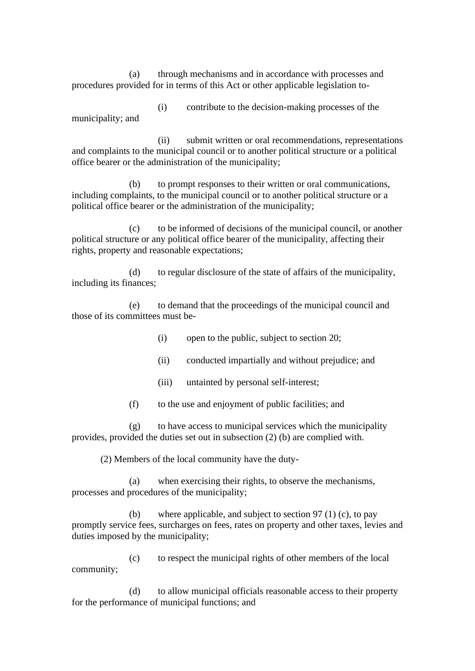(a) through mechanisms and in accordance with processes and procedures provided for in terms of this Act or other applicable legislation to-

(i) contribute to the decision-making processes of the municipality; and

(ii) submit written or oral recommendations, representations and complaints to the municipal council or to another political structure or a political office bearer or the administration of the municipality;

(b) to prompt responses to their written or oral communications, including complaints, to the municipal council or to another political structure or a political office bearer or the administration of the municipality;

(c) to be informed of decisions of the municipal council, or another political structure or any political office bearer of the municipality, affecting their rights, property and reasonable expectations;

(d) to regular disclosure of the state of affairs of the municipality, including its finances;

(e) to demand that the proceedings of the municipal council and those of its committees must be-

(i) open to the public, subject to section 20;

- (ii) conducted impartially and without prejudice; and
- (iii) untainted by personal self-interest;
- (f) to the use and enjoyment of public facilities; and

(g) to have access to municipal services which the municipality provides, provided the duties set out in subsection (2) (b) are complied with.

(2) Members of the local community have the duty-

(a) when exercising their rights, to observe the mechanisms, processes and procedures of the municipality;

(b) where applicable, and subject to section 97 (1) (c), to pay promptly service fees, surcharges on fees, rates on property and other taxes, levies and duties imposed by the municipality;

(c) to respect the municipal rights of other members of the local community;

(d) to allow municipal officials reasonable access to their property for the performance of municipal functions; and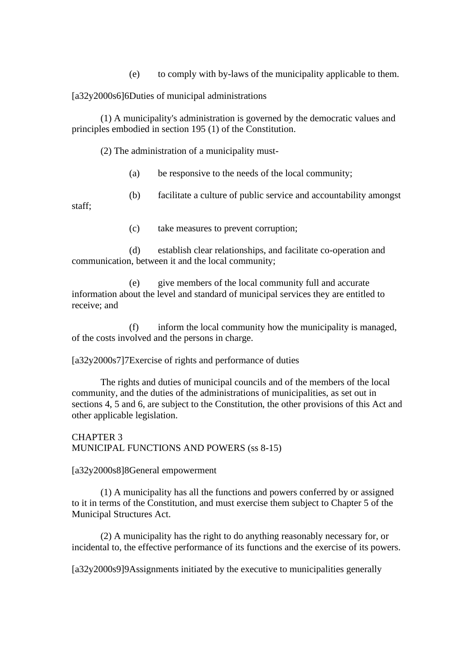(e) to comply with by-laws of the municipality applicable to them.

[a32y2000s6]6Duties of municipal administrations

(1) A municipality's administration is governed by the democratic values and principles embodied in section 195 (1) of the Constitution.

(2) The administration of a municipality must-

- (a) be responsive to the needs of the local community;
- (b) facilitate a culture of public service and accountability amongst

staff;

(c) take measures to prevent corruption;

(d) establish clear relationships, and facilitate co-operation and communication, between it and the local community;

(e) give members of the local community full and accurate information about the level and standard of municipal services they are entitled to receive; and

(f) inform the local community how the municipality is managed, of the costs involved and the persons in charge.

[a32y2000s7]7Exercise of rights and performance of duties

The rights and duties of municipal councils and of the members of the local community, and the duties of the administrations of municipalities, as set out in sections 4, 5 and 6, are subject to the Constitution, the other provisions of this Act and other applicable legislation.

CHAPTER 3 MUNICIPAL FUNCTIONS AND POWERS (ss 8-15)

[a32y2000s8]8General empowerment

(1) A municipality has all the functions and powers conferred by or assigned to it in terms of the Constitution, and must exercise them subject to Chapter 5 of the Municipal Structures Act.

(2) A municipality has the right to do anything reasonably necessary for, or incidental to, the effective performance of its functions and the exercise of its powers.

[a32y2000s9]9Assignments initiated by the executive to municipalities generally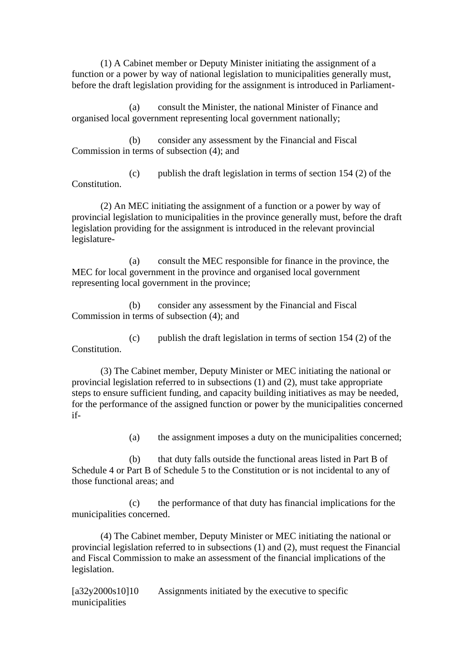(1) A Cabinet member or Deputy Minister initiating the assignment of a function or a power by way of national legislation to municipalities generally must, before the draft legislation providing for the assignment is introduced in Parliament-

(a) consult the Minister, the national Minister of Finance and organised local government representing local government nationally;

(b) consider any assessment by the Financial and Fiscal Commission in terms of subsection (4); and

(c) publish the draft legislation in terms of section 154 (2) of the Constitution.

(2) An MEC initiating the assignment of a function or a power by way of provincial legislation to municipalities in the province generally must, before the draft legislation providing for the assignment is introduced in the relevant provincial legislature-

(a) consult the MEC responsible for finance in the province, the MEC for local government in the province and organised local government representing local government in the province;

(b) consider any assessment by the Financial and Fiscal Commission in terms of subsection (4); and

(c) publish the draft legislation in terms of section 154 (2) of the Constitution.

(3) The Cabinet member, Deputy Minister or MEC initiating the national or provincial legislation referred to in subsections (1) and (2), must take appropriate steps to ensure sufficient funding, and capacity building initiatives as may be needed, for the performance of the assigned function or power by the municipalities concerned if-

(a) the assignment imposes a duty on the municipalities concerned;

(b) that duty falls outside the functional areas listed in Part B of Schedule 4 or Part B of Schedule 5 to the Constitution or is not incidental to any of those functional areas; and

(c) the performance of that duty has financial implications for the municipalities concerned.

(4) The Cabinet member, Deputy Minister or MEC initiating the national or provincial legislation referred to in subsections (1) and (2), must request the Financial and Fiscal Commission to make an assessment of the financial implications of the legislation.

[a32y2000s10]10 Assignments initiated by the executive to specific municipalities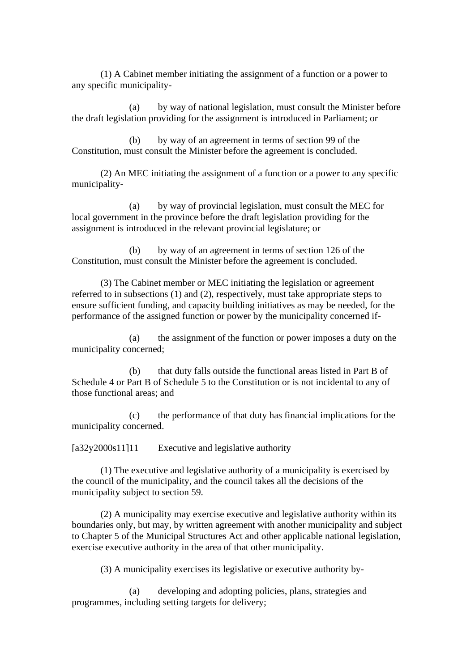(1) A Cabinet member initiating the assignment of a function or a power to any specific municipality-

(a) by way of national legislation, must consult the Minister before the draft legislation providing for the assignment is introduced in Parliament; or

(b) by way of an agreement in terms of section 99 of the Constitution, must consult the Minister before the agreement is concluded.

(2) An MEC initiating the assignment of a function or a power to any specific municipality-

(a) by way of provincial legislation, must consult the MEC for local government in the province before the draft legislation providing for the assignment is introduced in the relevant provincial legislature; or

(b) by way of an agreement in terms of section 126 of the Constitution, must consult the Minister before the agreement is concluded.

(3) The Cabinet member or MEC initiating the legislation or agreement referred to in subsections (1) and (2), respectively, must take appropriate steps to ensure sufficient funding, and capacity building initiatives as may be needed, for the performance of the assigned function or power by the municipality concerned if-

(a) the assignment of the function or power imposes a duty on the municipality concerned;

(b) that duty falls outside the functional areas listed in Part B of Schedule 4 or Part B of Schedule 5 to the Constitution or is not incidental to any of those functional areas; and

(c) the performance of that duty has financial implications for the municipality concerned.

[a32y2000s11]11 Executive and legislative authority

(1) The executive and legislative authority of a municipality is exercised by the council of the municipality, and the council takes all the decisions of the municipality subject to section 59.

(2) A municipality may exercise executive and legislative authority within its boundaries only, but may, by written agreement with another municipality and subject to Chapter 5 of the Municipal Structures Act and other applicable national legislation, exercise executive authority in the area of that other municipality.

(3) A municipality exercises its legislative or executive authority by-

(a) developing and adopting policies, plans, strategies and programmes, including setting targets for delivery;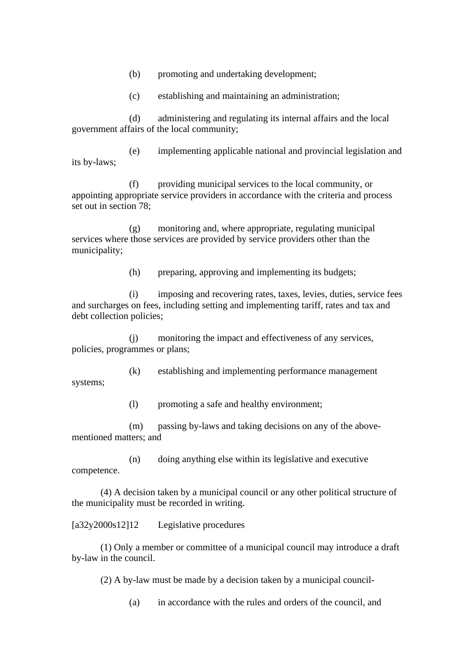(b) promoting and undertaking development;

(c) establishing and maintaining an administration;

(d) administering and regulating its internal affairs and the local government affairs of the local community;

(e) implementing applicable national and provincial legislation and its by-laws;

(f) providing municipal services to the local community, or appointing appropriate service providers in accordance with the criteria and process set out in section 78;

(g) monitoring and, where appropriate, regulating municipal services where those services are provided by service providers other than the municipality;

(h) preparing, approving and implementing its budgets;

(i) imposing and recovering rates, taxes, levies, duties, service fees and surcharges on fees, including setting and implementing tariff, rates and tax and debt collection policies;

(j) monitoring the impact and effectiveness of any services, policies, programmes or plans;

(k) establishing and implementing performance management systems;

(l) promoting a safe and healthy environment;

(m) passing by-laws and taking decisions on any of the abovementioned matters; and

(n) doing anything else within its legislative and executive competence.

(4) A decision taken by a municipal council or any other political structure of the municipality must be recorded in writing.

[a32y2000s12]12 Legislative procedures

(1) Only a member or committee of a municipal council may introduce a draft by-law in the council.

(2) A by-law must be made by a decision taken by a municipal council-

(a) in accordance with the rules and orders of the council, and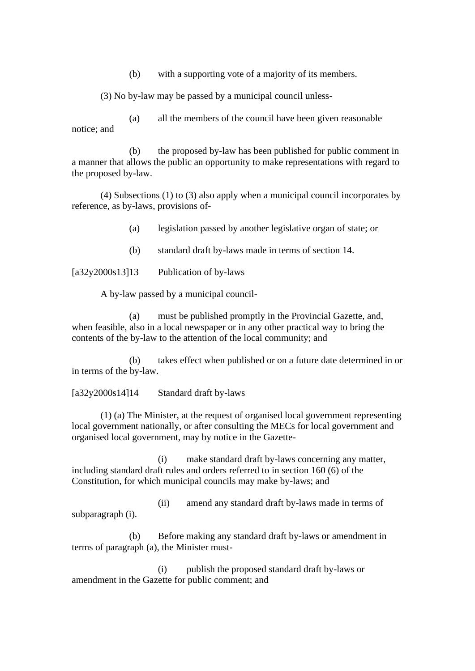(b) with a supporting vote of a majority of its members.

(3) No by-law may be passed by a municipal council unless-

(a) all the members of the council have been given reasonable notice; and

(b) the proposed by-law has been published for public comment in a manner that allows the public an opportunity to make representations with regard to the proposed by-law.

(4) Subsections (1) to (3) also apply when a municipal council incorporates by reference, as by-laws, provisions of-

(a) legislation passed by another legislative organ of state; or

(b) standard draft by-laws made in terms of section 14.

[a32y2000s13]13 Publication of by-laws

A by-law passed by a municipal council-

(a) must be published promptly in the Provincial Gazette, and, when feasible, also in a local newspaper or in any other practical way to bring the contents of the by-law to the attention of the local community; and

(b) takes effect when published or on a future date determined in or in terms of the by-law.

[a32y2000s14]14 Standard draft by-laws

(1) (a) The Minister, at the request of organised local government representing local government nationally, or after consulting the MECs for local government and organised local government, may by notice in the Gazette-

(i) make standard draft by-laws concerning any matter, including standard draft rules and orders referred to in section 160 (6) of the Constitution, for which municipal councils may make by-laws; and

(ii) amend any standard draft by-laws made in terms of subparagraph (i).

(b) Before making any standard draft by-laws or amendment in terms of paragraph (a), the Minister must-

(i) publish the proposed standard draft by-laws or amendment in the Gazette for public comment; and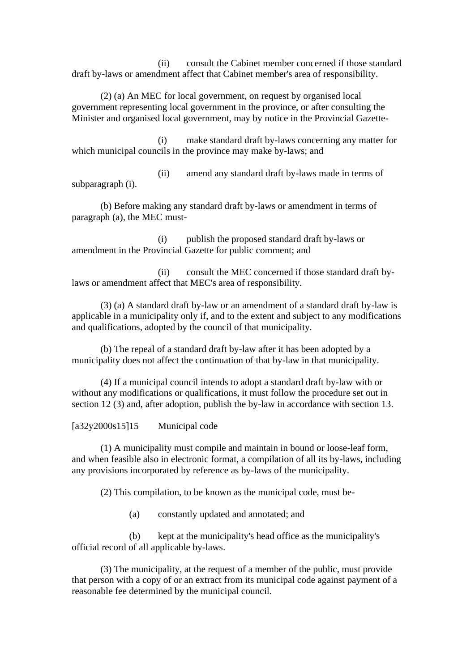(ii) consult the Cabinet member concerned if those standard draft by-laws or amendment affect that Cabinet member's area of responsibility.

(2) (a) An MEC for local government, on request by organised local government representing local government in the province, or after consulting the Minister and organised local government, may by notice in the Provincial Gazette-

(i) make standard draft by-laws concerning any matter for which municipal councils in the province may make by-laws; and

(ii) amend any standard draft by-laws made in terms of subparagraph (i).

(b) Before making any standard draft by-laws or amendment in terms of paragraph (a), the MEC must-

(i) publish the proposed standard draft by-laws or amendment in the Provincial Gazette for public comment; and

(ii) consult the MEC concerned if those standard draft bylaws or amendment affect that MEC's area of responsibility.

(3) (a) A standard draft by-law or an amendment of a standard draft by-law is applicable in a municipality only if, and to the extent and subject to any modifications and qualifications, adopted by the council of that municipality.

(b) The repeal of a standard draft by-law after it has been adopted by a municipality does not affect the continuation of that by-law in that municipality.

(4) If a municipal council intends to adopt a standard draft by-law with or without any modifications or qualifications, it must follow the procedure set out in section 12 (3) and, after adoption, publish the by-law in accordance with section 13.

[a32y2000s15]15 Municipal code

(1) A municipality must compile and maintain in bound or loose-leaf form, and when feasible also in electronic format, a compilation of all its by-laws, including any provisions incorporated by reference as by-laws of the municipality.

(2) This compilation, to be known as the municipal code, must be-

(a) constantly updated and annotated; and

(b) kept at the municipality's head office as the municipality's official record of all applicable by-laws.

(3) The municipality, at the request of a member of the public, must provide that person with a copy of or an extract from its municipal code against payment of a reasonable fee determined by the municipal council.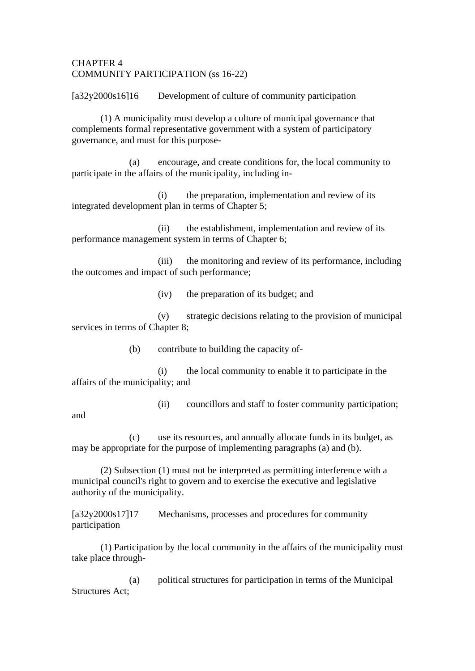## CHAPTER 4 COMMUNITY PARTICIPATION (ss 16-22)

[a32y2000s16]16 Development of culture of community participation

(1) A municipality must develop a culture of municipal governance that complements formal representative government with a system of participatory governance, and must for this purpose-

(a) encourage, and create conditions for, the local community to participate in the affairs of the municipality, including in-

(i) the preparation, implementation and review of its integrated development plan in terms of Chapter 5;

(ii) the establishment, implementation and review of its performance management system in terms of Chapter 6;

(iii) the monitoring and review of its performance, including the outcomes and impact of such performance;

(iv) the preparation of its budget; and

(v) strategic decisions relating to the provision of municipal services in terms of Chapter 8;

(b) contribute to building the capacity of-

(i) the local community to enable it to participate in the affairs of the municipality; and

(ii) councillors and staff to foster community participation;

and

(c) use its resources, and annually allocate funds in its budget, as may be appropriate for the purpose of implementing paragraphs (a) and (b).

(2) Subsection (1) must not be interpreted as permitting interference with a municipal council's right to govern and to exercise the executive and legislative authority of the municipality.

[a32y2000s17]17 Mechanisms, processes and procedures for community participation

(1) Participation by the local community in the affairs of the municipality must take place through-

(a) political structures for participation in terms of the Municipal Structures Act;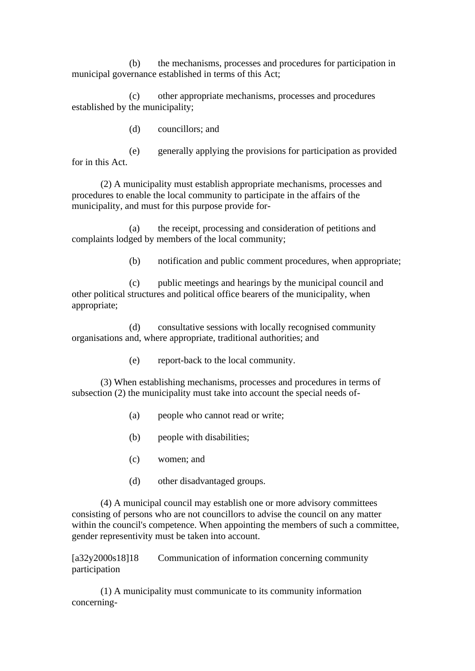(b) the mechanisms, processes and procedures for participation in municipal governance established in terms of this Act;

(c) other appropriate mechanisms, processes and procedures established by the municipality;

(d) councillors; and

(e) generally applying the provisions for participation as provided for in this Act.

(2) A municipality must establish appropriate mechanisms, processes and procedures to enable the local community to participate in the affairs of the municipality, and must for this purpose provide for-

(a) the receipt, processing and consideration of petitions and complaints lodged by members of the local community;

(b) notification and public comment procedures, when appropriate;

(c) public meetings and hearings by the municipal council and other political structures and political office bearers of the municipality, when appropriate;

(d) consultative sessions with locally recognised community organisations and, where appropriate, traditional authorities; and

(e) report-back to the local community.

(3) When establishing mechanisms, processes and procedures in terms of subsection (2) the municipality must take into account the special needs of-

- (a) people who cannot read or write;
- (b) people with disabilities;
- (c) women; and
- (d) other disadvantaged groups.

(4) A municipal council may establish one or more advisory committees consisting of persons who are not councillors to advise the council on any matter within the council's competence. When appointing the members of such a committee, gender representivity must be taken into account.

[a32y2000s18]18 Communication of information concerning community participation

(1) A municipality must communicate to its community information concerning-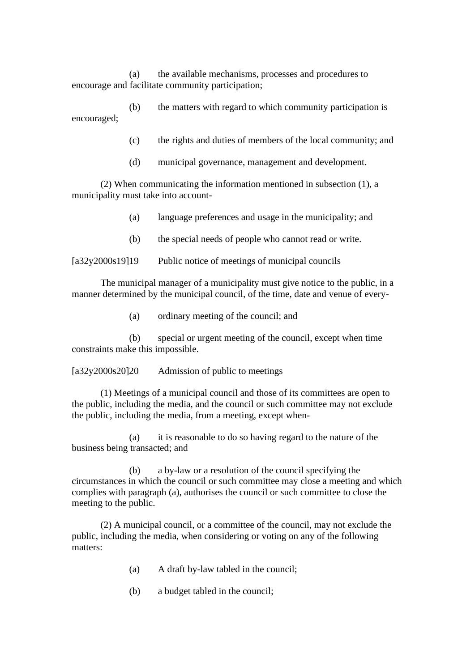(a) the available mechanisms, processes and procedures to encourage and facilitate community participation;

(b) the matters with regard to which community participation is encouraged;

- (c) the rights and duties of members of the local community; and
- (d) municipal governance, management and development.

(2) When communicating the information mentioned in subsection (1), a municipality must take into account-

- (a) language preferences and usage in the municipality; and
- (b) the special needs of people who cannot read or write.

[a32y2000s19]19 Public notice of meetings of municipal councils

The municipal manager of a municipality must give notice to the public, in a manner determined by the municipal council, of the time, date and venue of every-

(a) ordinary meeting of the council; and

(b) special or urgent meeting of the council, except when time constraints make this impossible.

[a32y2000s20]20 Admission of public to meetings

(1) Meetings of a municipal council and those of its committees are open to the public, including the media, and the council or such committee may not exclude the public, including the media, from a meeting, except when-

(a) it is reasonable to do so having regard to the nature of the business being transacted; and

(b) a by-law or a resolution of the council specifying the circumstances in which the council or such committee may close a meeting and which complies with paragraph (a), authorises the council or such committee to close the meeting to the public.

(2) A municipal council, or a committee of the council, may not exclude the public, including the media, when considering or voting on any of the following matters:

- (a) A draft by-law tabled in the council;
- (b) a budget tabled in the council;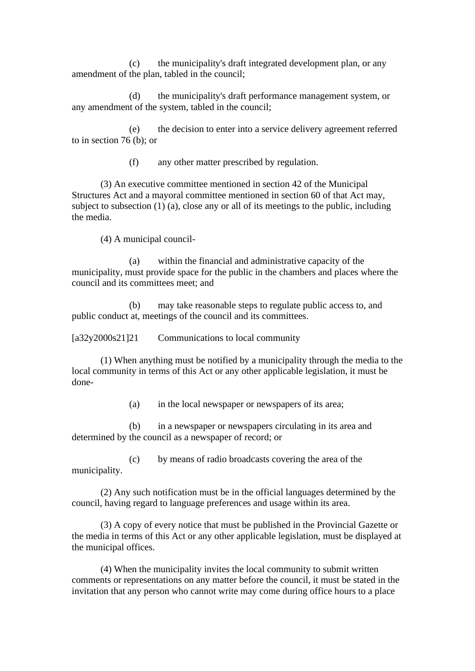(c) the municipality's draft integrated development plan, or any amendment of the plan, tabled in the council;

(d) the municipality's draft performance management system, or any amendment of the system, tabled in the council;

(e) the decision to enter into a service delivery agreement referred to in section 76 (b); or

(f) any other matter prescribed by regulation.

(3) An executive committee mentioned in section 42 of the Municipal Structures Act and a mayoral committee mentioned in section 60 of that Act may, subject to subsection (1) (a), close any or all of its meetings to the public, including the media.

(4) A municipal council-

(a) within the financial and administrative capacity of the municipality, must provide space for the public in the chambers and places where the council and its committees meet; and

(b) may take reasonable steps to regulate public access to, and public conduct at, meetings of the council and its committees.

[a32y2000s21]21 Communications to local community

(1) When anything must be notified by a municipality through the media to the local community in terms of this Act or any other applicable legislation, it must be done-

(a) in the local newspaper or newspapers of its area;

(b) in a newspaper or newspapers circulating in its area and determined by the council as a newspaper of record; or

(c) by means of radio broadcasts covering the area of the municipality.

(2) Any such notification must be in the official languages determined by the council, having regard to language preferences and usage within its area.

(3) A copy of every notice that must be published in the Provincial Gazette or the media in terms of this Act or any other applicable legislation, must be displayed at the municipal offices.

(4) When the municipality invites the local community to submit written comments or representations on any matter before the council, it must be stated in the invitation that any person who cannot write may come during office hours to a place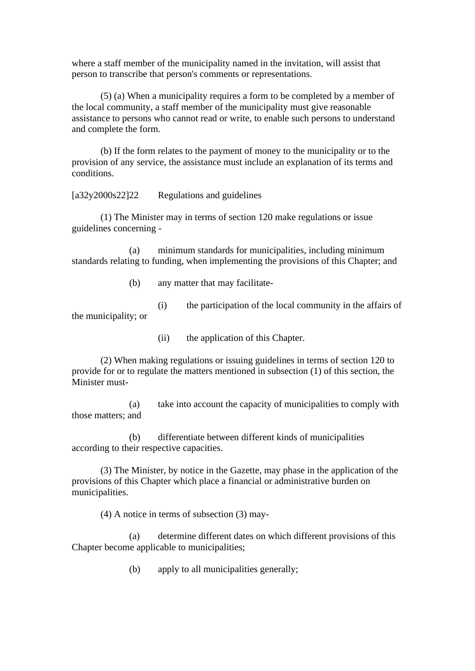where a staff member of the municipality named in the invitation, will assist that person to transcribe that person's comments or representations.

(5) (a) When a municipality requires a form to be completed by a member of the local community, a staff member of the municipality must give reasonable assistance to persons who cannot read or write, to enable such persons to understand and complete the form.

(b) If the form relates to the payment of money to the municipality or to the provision of any service, the assistance must include an explanation of its terms and conditions.

[a32y2000s22]22 Regulations and guidelines

(1) The Minister may in terms of section 120 make regulations or issue guidelines concerning -

(a) minimum standards for municipalities, including minimum standards relating to funding, when implementing the provisions of this Chapter; and

- (b) any matter that may facilitate-
- (i) the participation of the local community in the affairs of the municipality; or
	- (ii) the application of this Chapter.

(2) When making regulations or issuing guidelines in terms of section 120 to provide for or to regulate the matters mentioned in subsection (1) of this section, the Minister must-

(a) take into account the capacity of municipalities to comply with those matters; and

(b) differentiate between different kinds of municipalities according to their respective capacities.

(3) The Minister, by notice in the Gazette, may phase in the application of the provisions of this Chapter which place a financial or administrative burden on municipalities.

(4) A notice in terms of subsection (3) may-

(a) determine different dates on which different provisions of this Chapter become applicable to municipalities;

(b) apply to all municipalities generally;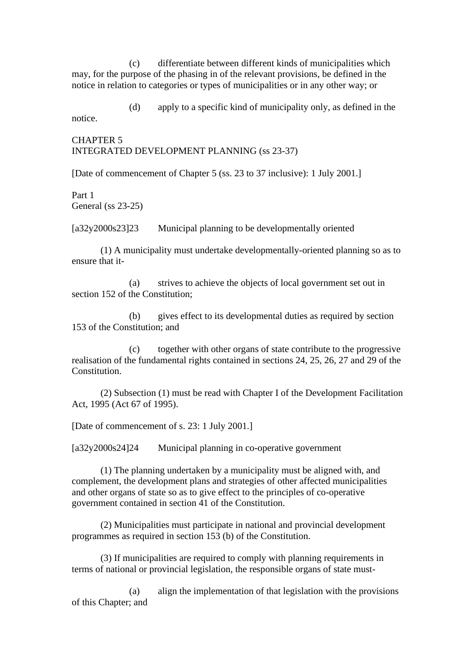(c) differentiate between different kinds of municipalities which may, for the purpose of the phasing in of the relevant provisions, be defined in the notice in relation to categories or types of municipalities or in any other way; or

(d) apply to a specific kind of municipality only, as defined in the notice.

CHAPTER 5 INTEGRATED DEVELOPMENT PLANNING (ss 23-37)

[Date of commencement of Chapter 5 (ss. 23 to 37 inclusive): 1 July 2001.]

Part 1 General (ss 23-25)

[a32y2000s23]23 Municipal planning to be developmentally oriented

(1) A municipality must undertake developmentally-oriented planning so as to ensure that it-

(a) strives to achieve the objects of local government set out in section 152 of the Constitution;

(b) gives effect to its developmental duties as required by section 153 of the Constitution; and

(c) together with other organs of state contribute to the progressive realisation of the fundamental rights contained in sections 24, 25, 26, 27 and 29 of the Constitution.

(2) Subsection (1) must be read with Chapter I of the Development Facilitation Act, 1995 (Act 67 of 1995).

[Date of commencement of s. 23: 1 July 2001.]

[a32y2000s24]24 Municipal planning in co-operative government

(1) The planning undertaken by a municipality must be aligned with, and complement, the development plans and strategies of other affected municipalities and other organs of state so as to give effect to the principles of co-operative government contained in section 41 of the Constitution.

(2) Municipalities must participate in national and provincial development programmes as required in section 153 (b) of the Constitution.

(3) If municipalities are required to comply with planning requirements in terms of national or provincial legislation, the responsible organs of state must-

(a) align the implementation of that legislation with the provisions of this Chapter; and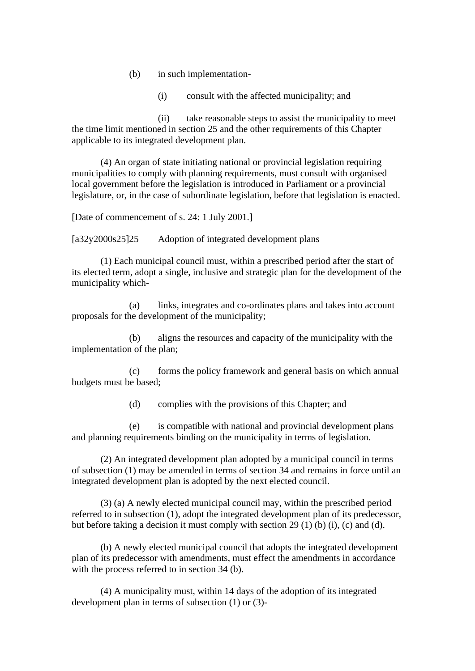- (b) in such implementation-
	- (i) consult with the affected municipality; and

(ii) take reasonable steps to assist the municipality to meet the time limit mentioned in section 25 and the other requirements of this Chapter applicable to its integrated development plan.

(4) An organ of state initiating national or provincial legislation requiring municipalities to comply with planning requirements, must consult with organised local government before the legislation is introduced in Parliament or a provincial legislature, or, in the case of subordinate legislation, before that legislation is enacted.

[Date of commencement of s. 24: 1 July 2001.]

[a32y2000s25]25 Adoption of integrated development plans

(1) Each municipal council must, within a prescribed period after the start of its elected term, adopt a single, inclusive and strategic plan for the development of the municipality which-

(a) links, integrates and co-ordinates plans and takes into account proposals for the development of the municipality;

(b) aligns the resources and capacity of the municipality with the implementation of the plan;

(c) forms the policy framework and general basis on which annual budgets must be based;

(d) complies with the provisions of this Chapter; and

(e) is compatible with national and provincial development plans and planning requirements binding on the municipality in terms of legislation.

(2) An integrated development plan adopted by a municipal council in terms of subsection (1) may be amended in terms of section 34 and remains in force until an integrated development plan is adopted by the next elected council.

(3) (a) A newly elected municipal council may, within the prescribed period referred to in subsection (1), adopt the integrated development plan of its predecessor, but before taking a decision it must comply with section 29 (1) (b) (i), (c) and (d).

(b) A newly elected municipal council that adopts the integrated development plan of its predecessor with amendments, must effect the amendments in accordance with the process referred to in section 34 (b).

(4) A municipality must, within 14 days of the adoption of its integrated development plan in terms of subsection (1) or (3)-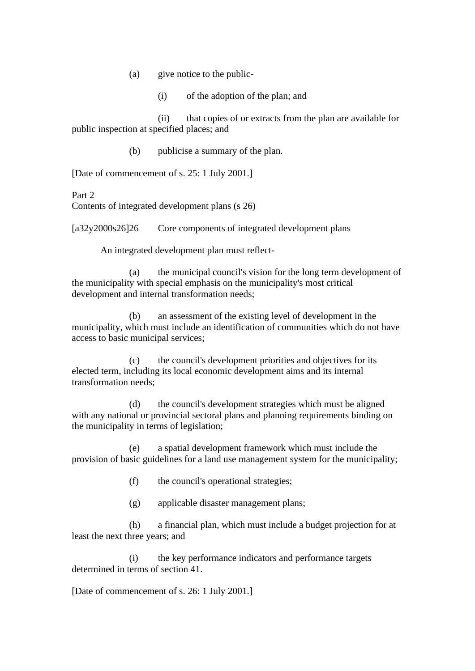- (a) give notice to the public-
	- (i) of the adoption of the plan; and

(ii) that copies of or extracts from the plan are available for public inspection at specified places; and

(b) publicise a summary of the plan.

[Date of commencement of s. 25: 1 July 2001.]

Part 2

Contents of integrated development plans (s 26)

[a32y2000s26]26 Core components of integrated development plans

An integrated development plan must reflect-

(a) the municipal council's vision for the long term development of the municipality with special emphasis on the municipality's most critical development and internal transformation needs;

(b) an assessment of the existing level of development in the municipality, which must include an identification of communities which do not have access to basic municipal services;

(c) the council's development priorities and objectives for its elected term, including its local economic development aims and its internal transformation needs;

(d) the council's development strategies which must be aligned with any national or provincial sectoral plans and planning requirements binding on the municipality in terms of legislation;

(e) a spatial development framework which must include the provision of basic guidelines for a land use management system for the municipality;

- (f) the council's operational strategies;
- (g) applicable disaster management plans;

(h) a financial plan, which must include a budget projection for at least the next three years; and

(i) the key performance indicators and performance targets determined in terms of section 41.

[Date of commencement of s. 26: 1 July 2001.]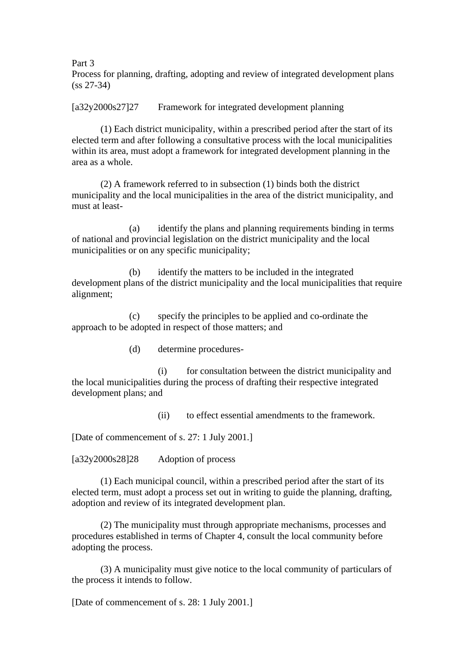Part 3

Process for planning, drafting, adopting and review of integrated development plans (ss 27-34)

[a32y2000s27]27 Framework for integrated development planning

(1) Each district municipality, within a prescribed period after the start of its elected term and after following a consultative process with the local municipalities within its area, must adopt a framework for integrated development planning in the area as a whole.

(2) A framework referred to in subsection (1) binds both the district municipality and the local municipalities in the area of the district municipality, and must at least-

(a) identify the plans and planning requirements binding in terms of national and provincial legislation on the district municipality and the local municipalities or on any specific municipality;

(b) identify the matters to be included in the integrated development plans of the district municipality and the local municipalities that require alignment;

(c) specify the principles to be applied and co-ordinate the approach to be adopted in respect of those matters; and

(d) determine procedures-

(i) for consultation between the district municipality and the local municipalities during the process of drafting their respective integrated development plans; and

(ii) to effect essential amendments to the framework.

[Date of commencement of s. 27: 1 July 2001.]

[a32y2000s28]28 Adoption of process

(1) Each municipal council, within a prescribed period after the start of its elected term, must adopt a process set out in writing to guide the planning, drafting, adoption and review of its integrated development plan.

(2) The municipality must through appropriate mechanisms, processes and procedures established in terms of Chapter 4, consult the local community before adopting the process.

(3) A municipality must give notice to the local community of particulars of the process it intends to follow.

[Date of commencement of s. 28: 1 July 2001.]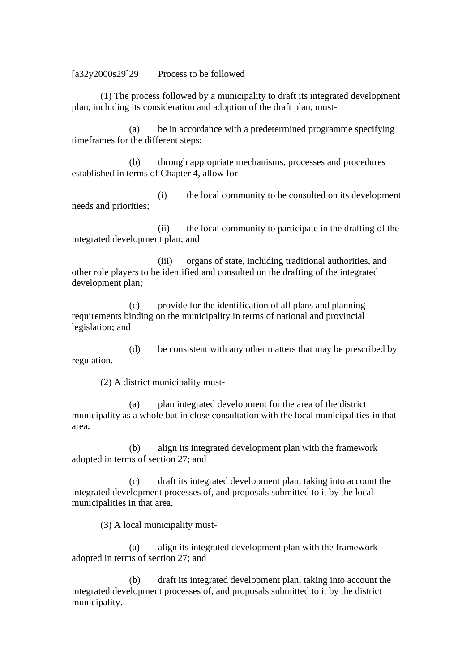[a32y2000s29]29 Process to be followed

(1) The process followed by a municipality to draft its integrated development plan, including its consideration and adoption of the draft plan, must-

(a) be in accordance with a predetermined programme specifying timeframes for the different steps;

(b) through appropriate mechanisms, processes and procedures established in terms of Chapter 4, allow for-

(i) the local community to be consulted on its development needs and priorities;

(ii) the local community to participate in the drafting of the integrated development plan; and

(iii) organs of state, including traditional authorities, and other role players to be identified and consulted on the drafting of the integrated development plan;

(c) provide for the identification of all plans and planning requirements binding on the municipality in terms of national and provincial legislation; and

(d) be consistent with any other matters that may be prescribed by regulation.

(2) A district municipality must-

(a) plan integrated development for the area of the district municipality as a whole but in close consultation with the local municipalities in that area;

(b) align its integrated development plan with the framework adopted in terms of section 27; and

(c) draft its integrated development plan, taking into account the integrated development processes of, and proposals submitted to it by the local municipalities in that area.

(3) A local municipality must-

(a) align its integrated development plan with the framework adopted in terms of section 27; and

(b) draft its integrated development plan, taking into account the integrated development processes of, and proposals submitted to it by the district municipality.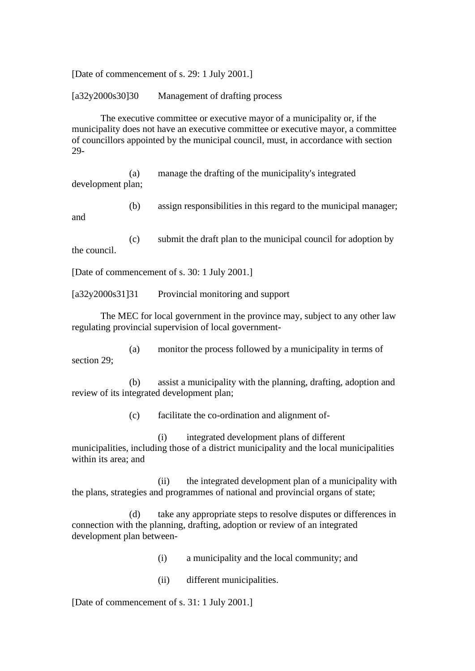[Date of commencement of s. 29: 1 July 2001.]

[a32y2000s30]30 Management of drafting process

The executive committee or executive mayor of a municipality or, if the municipality does not have an executive committee or executive mayor, a committee of councillors appointed by the municipal council, must, in accordance with section 29-

(a) manage the drafting of the municipality's integrated development plan;

(b) assign responsibilities in this regard to the municipal manager; and

(c) submit the draft plan to the municipal council for adoption by the council.

[Date of commencement of s. 30: 1 July 2001.]

[a32y2000s31]31 Provincial monitoring and support

The MEC for local government in the province may, subject to any other law regulating provincial supervision of local government-

(a) monitor the process followed by a municipality in terms of section 29;

(b) assist a municipality with the planning, drafting, adoption and review of its integrated development plan;

(c) facilitate the co-ordination and alignment of-

(i) integrated development plans of different municipalities, including those of a district municipality and the local municipalities within its area; and

(ii) the integrated development plan of a municipality with the plans, strategies and programmes of national and provincial organs of state;

(d) take any appropriate steps to resolve disputes or differences in connection with the planning, drafting, adoption or review of an integrated development plan between-

(i) a municipality and the local community; and

(ii) different municipalities.

[Date of commencement of s. 31: 1 July 2001.]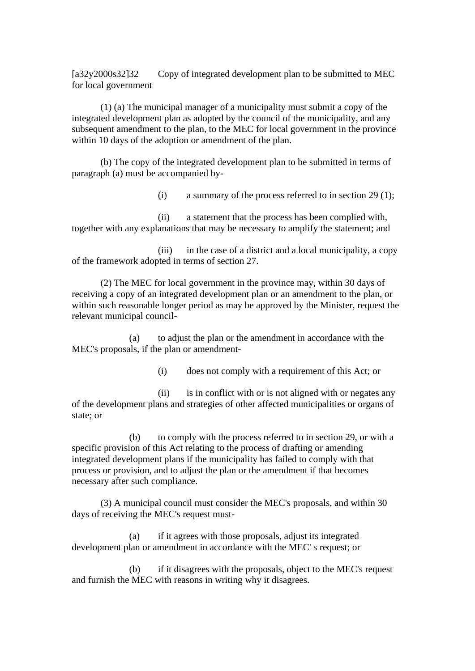[a32y2000s32]32 Copy of integrated development plan to be submitted to MEC for local government

(1) (a) The municipal manager of a municipality must submit a copy of the integrated development plan as adopted by the council of the municipality, and any subsequent amendment to the plan, to the MEC for local government in the province within 10 days of the adoption or amendment of the plan.

(b) The copy of the integrated development plan to be submitted in terms of paragraph (a) must be accompanied by-

(i) a summary of the process referred to in section 29 (1);

(ii) a statement that the process has been complied with, together with any explanations that may be necessary to amplify the statement; and

(iii) in the case of a district and a local municipality, a copy of the framework adopted in terms of section 27.

(2) The MEC for local government in the province may, within 30 days of receiving a copy of an integrated development plan or an amendment to the plan, or within such reasonable longer period as may be approved by the Minister, request the relevant municipal council-

(a) to adjust the plan or the amendment in accordance with the MEC's proposals, if the plan or amendment-

(i) does not comply with a requirement of this Act; or

(ii) is in conflict with or is not aligned with or negates any of the development plans and strategies of other affected municipalities or organs of state; or

(b) to comply with the process referred to in section 29, or with a specific provision of this Act relating to the process of drafting or amending integrated development plans if the municipality has failed to comply with that process or provision, and to adjust the plan or the amendment if that becomes necessary after such compliance.

(3) A municipal council must consider the MEC's proposals, and within 30 days of receiving the MEC's request must-

(a) if it agrees with those proposals, adjust its integrated development plan or amendment in accordance with the MEC' s request; or

(b) if it disagrees with the proposals, object to the MEC's request and furnish the MEC with reasons in writing why it disagrees.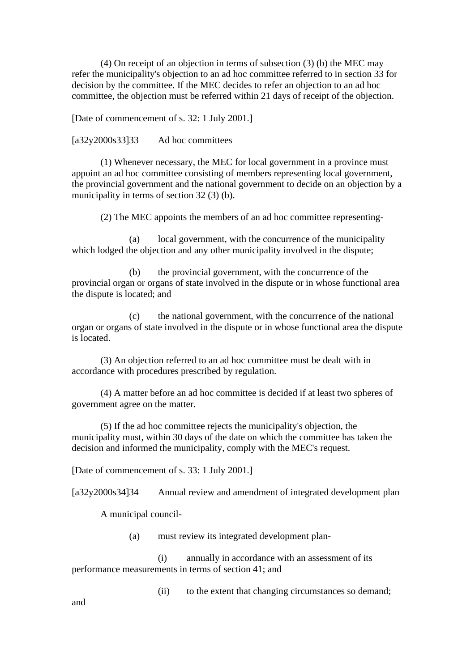(4) On receipt of an objection in terms of subsection (3) (b) the MEC may refer the municipality's objection to an ad hoc committee referred to in section 33 for decision by the committee. If the MEC decides to refer an objection to an ad hoc committee, the objection must be referred within 21 days of receipt of the objection.

[Date of commencement of s. 32: 1 July 2001.]

[a32y2000s33]33 Ad hoc committees

(1) Whenever necessary, the MEC for local government in a province must appoint an ad hoc committee consisting of members representing local government, the provincial government and the national government to decide on an objection by a municipality in terms of section 32 (3) (b).

(2) The MEC appoints the members of an ad hoc committee representing-

(a) local government, with the concurrence of the municipality which lodged the objection and any other municipality involved in the dispute;

(b) the provincial government, with the concurrence of the provincial organ or organs of state involved in the dispute or in whose functional area the dispute is located; and

(c) the national government, with the concurrence of the national organ or organs of state involved in the dispute or in whose functional area the dispute is located.

(3) An objection referred to an ad hoc committee must be dealt with in accordance with procedures prescribed by regulation.

(4) A matter before an ad hoc committee is decided if at least two spheres of government agree on the matter.

(5) If the ad hoc committee rejects the municipality's objection, the municipality must, within 30 days of the date on which the committee has taken the decision and informed the municipality, comply with the MEC's request.

[Date of commencement of s. 33: 1 July 2001.]

[a32y2000s34]34 Annual review and amendment of integrated development plan

A municipal council-

(a) must review its integrated development plan-

(i) annually in accordance with an assessment of its performance measurements in terms of section 41; and

(ii) to the extent that changing circumstances so demand;

and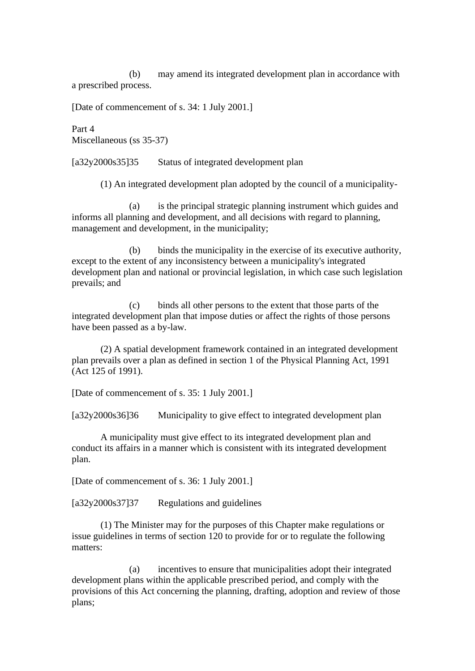(b) may amend its integrated development plan in accordance with a prescribed process.

[Date of commencement of s. 34: 1 July 2001.]

Part 4 Miscellaneous (ss 35-37)

[a32y2000s35]35 Status of integrated development plan

(1) An integrated development plan adopted by the council of a municipality-

(a) is the principal strategic planning instrument which guides and informs all planning and development, and all decisions with regard to planning, management and development, in the municipality;

(b) binds the municipality in the exercise of its executive authority, except to the extent of any inconsistency between a municipality's integrated development plan and national or provincial legislation, in which case such legislation prevails; and

(c) binds all other persons to the extent that those parts of the integrated development plan that impose duties or affect the rights of those persons have been passed as a by-law.

(2) A spatial development framework contained in an integrated development plan prevails over a plan as defined in section 1 of the Physical Planning Act, 1991 (Act 125 of 1991).

[Date of commencement of s. 35: 1 July 2001.]

[a32y2000s36]36 Municipality to give effect to integrated development plan

A municipality must give effect to its integrated development plan and conduct its affairs in a manner which is consistent with its integrated development plan.

[Date of commencement of s. 36: 1 July 2001.]

[a32y2000s37]37 Regulations and guidelines

(1) The Minister may for the purposes of this Chapter make regulations or issue guidelines in terms of section 120 to provide for or to regulate the following matters:

(a) incentives to ensure that municipalities adopt their integrated development plans within the applicable prescribed period, and comply with the provisions of this Act concerning the planning, drafting, adoption and review of those plans;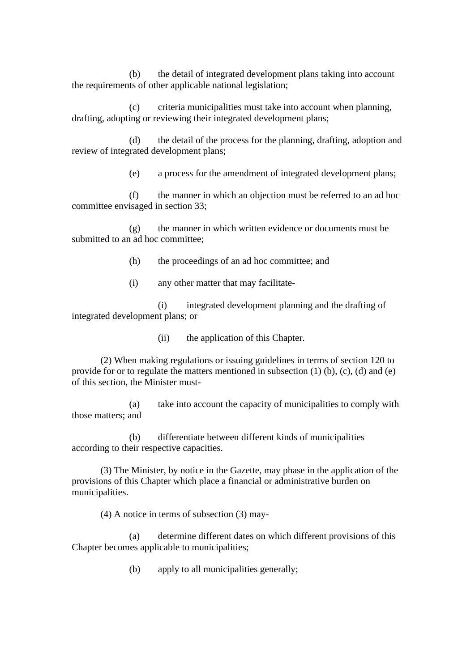(b) the detail of integrated development plans taking into account the requirements of other applicable national legislation;

(c) criteria municipalities must take into account when planning, drafting, adopting or reviewing their integrated development plans;

(d) the detail of the process for the planning, drafting, adoption and review of integrated development plans;

(e) a process for the amendment of integrated development plans;

(f) the manner in which an objection must be referred to an ad hoc committee envisaged in section 33;

(g) the manner in which written evidence or documents must be submitted to an ad hoc committee;

(h) the proceedings of an ad hoc committee; and

(i) any other matter that may facilitate-

(i) integrated development planning and the drafting of integrated development plans; or

(ii) the application of this Chapter.

(2) When making regulations or issuing guidelines in terms of section 120 to provide for or to regulate the matters mentioned in subsection (1) (b), (c), (d) and (e) of this section, the Minister must-

(a) take into account the capacity of municipalities to comply with those matters; and

(b) differentiate between different kinds of municipalities according to their respective capacities.

(3) The Minister, by notice in the Gazette, may phase in the application of the provisions of this Chapter which place a financial or administrative burden on municipalities.

(4) A notice in terms of subsection (3) may-

(a) determine different dates on which different provisions of this Chapter becomes applicable to municipalities;

(b) apply to all municipalities generally;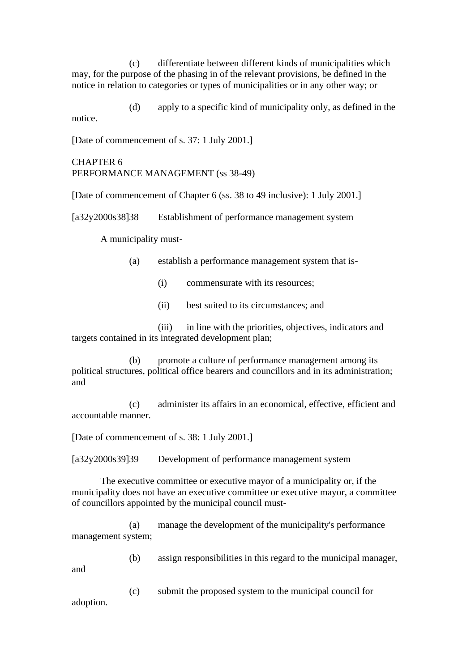(c) differentiate between different kinds of municipalities which may, for the purpose of the phasing in of the relevant provisions, be defined in the notice in relation to categories or types of municipalities or in any other way; or

(d) apply to a specific kind of municipality only, as defined in the notice.

[Date of commencement of s. 37: 1 July 2001.]

## CHAPTER 6 PERFORMANCE MANAGEMENT (ss 38-49)

[Date of commencement of Chapter 6 (ss. 38 to 49 inclusive): 1 July 2001.]

[a32y2000s38]38 Establishment of performance management system

A municipality must-

- (a) establish a performance management system that is-
	- (i) commensurate with its resources;
	- (ii) best suited to its circumstances; and

(iii) in line with the priorities, objectives, indicators and targets contained in its integrated development plan;

(b) promote a culture of performance management among its political structures, political office bearers and councillors and in its administration; and

(c) administer its affairs in an economical, effective, efficient and accountable manner.

[Date of commencement of s. 38: 1 July 2001.]

[a32y2000s39]39 Development of performance management system

The executive committee or executive mayor of a municipality or, if the municipality does not have an executive committee or executive mayor, a committee of councillors appointed by the municipal council must-

(a) manage the development of the municipality's performance management system;

(b) assign responsibilities in this regard to the municipal manager,

and

(c) submit the proposed system to the municipal council for adoption.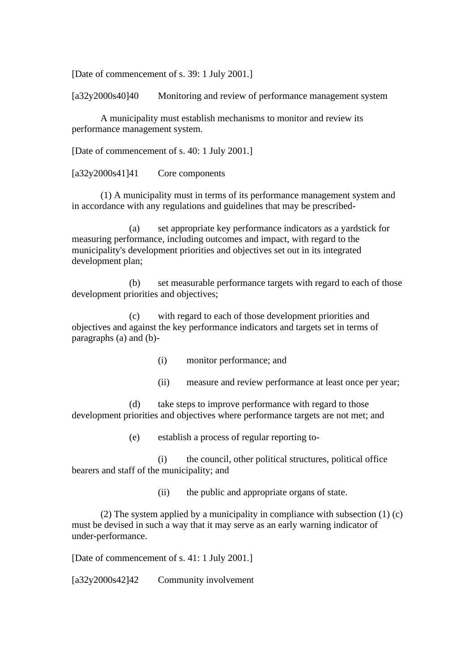[Date of commencement of s. 39: 1 July 2001.]

[a32y2000s40]40 Monitoring and review of performance management system

A municipality must establish mechanisms to monitor and review its performance management system.

[Date of commencement of s. 40: 1 July 2001.]

[a32y2000s41]41 Core components

(1) A municipality must in terms of its performance management system and in accordance with any regulations and guidelines that may be prescribed-

(a) set appropriate key performance indicators as a yardstick for measuring performance, including outcomes and impact, with regard to the municipality's development priorities and objectives set out in its integrated development plan;

(b) set measurable performance targets with regard to each of those development priorities and objectives;

(c) with regard to each of those development priorities and objectives and against the key performance indicators and targets set in terms of paragraphs (a) and (b)-

(i) monitor performance; and

(ii) measure and review performance at least once per year;

(d) take steps to improve performance with regard to those development priorities and objectives where performance targets are not met; and

(e) establish a process of regular reporting to-

(i) the council, other political structures, political office bearers and staff of the municipality; and

(ii) the public and appropriate organs of state.

(2) The system applied by a municipality in compliance with subsection (1) (c) must be devised in such a way that it may serve as an early warning indicator of under-performance.

[Date of commencement of s. 41: 1 July 2001.]

[a32y2000s42]42 Community involvement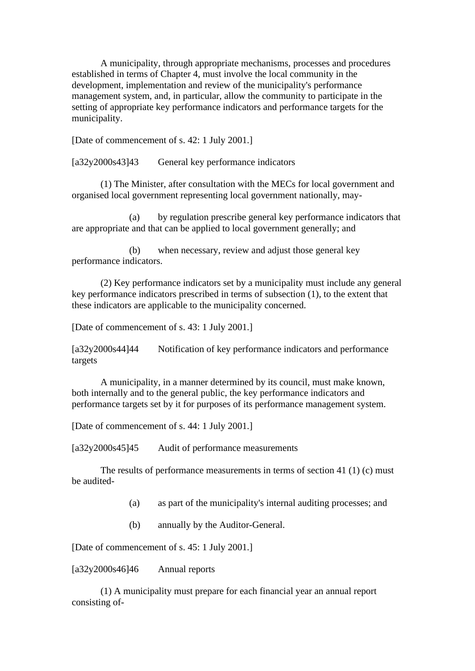A municipality, through appropriate mechanisms, processes and procedures established in terms of Chapter 4, must involve the local community in the development, implementation and review of the municipality's performance management system, and, in particular, allow the community to participate in the setting of appropriate key performance indicators and performance targets for the municipality.

[Date of commencement of s. 42: 1 July 2001.]

[a32y2000s43]43 General key performance indicators

(1) The Minister, after consultation with the MECs for local government and organised local government representing local government nationally, may-

(a) by regulation prescribe general key performance indicators that are appropriate and that can be applied to local government generally; and

(b) when necessary, review and adjust those general key performance indicators.

(2) Key performance indicators set by a municipality must include any general key performance indicators prescribed in terms of subsection (1), to the extent that these indicators are applicable to the municipality concerned.

[Date of commencement of s. 43: 1 July 2001.]

[a32y2000s44]44 Notification of key performance indicators and performance targets

A municipality, in a manner determined by its council, must make known, both internally and to the general public, the key performance indicators and performance targets set by it for purposes of its performance management system.

[Date of commencement of s. 44: 1 July 2001.]

[a32y2000s45]45 Audit of performance measurements

The results of performance measurements in terms of section 41 (1) (c) must be audited-

- (a) as part of the municipality's internal auditing processes; and
- (b) annually by the Auditor-General.

[Date of commencement of s. 45: 1 July 2001.]

[a32y2000s46]46 Annual reports

(1) A municipality must prepare for each financial year an annual report consisting of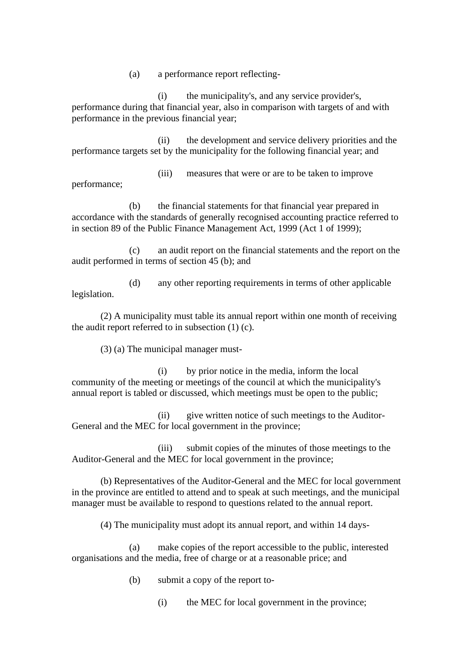(a) a performance report reflecting-

(i) the municipality's, and any service provider's, performance during that financial year, also in comparison with targets of and with performance in the previous financial year;

(ii) the development and service delivery priorities and the performance targets set by the municipality for the following financial year; and

(iii) measures that were or are to be taken to improve performance;

(b) the financial statements for that financial year prepared in accordance with the standards of generally recognised accounting practice referred to in section 89 of the Public Finance Management Act, 1999 (Act 1 of 1999);

(c) an audit report on the financial statements and the report on the audit performed in terms of section 45 (b); and

(d) any other reporting requirements in terms of other applicable legislation.

(2) A municipality must table its annual report within one month of receiving the audit report referred to in subsection (1) (c).

(3) (a) The municipal manager must-

(i) by prior notice in the media, inform the local community of the meeting or meetings of the council at which the municipality's annual report is tabled or discussed, which meetings must be open to the public;

(ii) give written notice of such meetings to the Auditor-General and the MEC for local government in the province;

(iii) submit copies of the minutes of those meetings to the Auditor-General and the MEC for local government in the province;

(b) Representatives of the Auditor-General and the MEC for local government in the province are entitled to attend and to speak at such meetings, and the municipal manager must be available to respond to questions related to the annual report.

(4) The municipality must adopt its annual report, and within 14 days-

(a) make copies of the report accessible to the public, interested organisations and the media, free of charge or at a reasonable price; and

- (b) submit a copy of the report to-
	- (i) the MEC for local government in the province;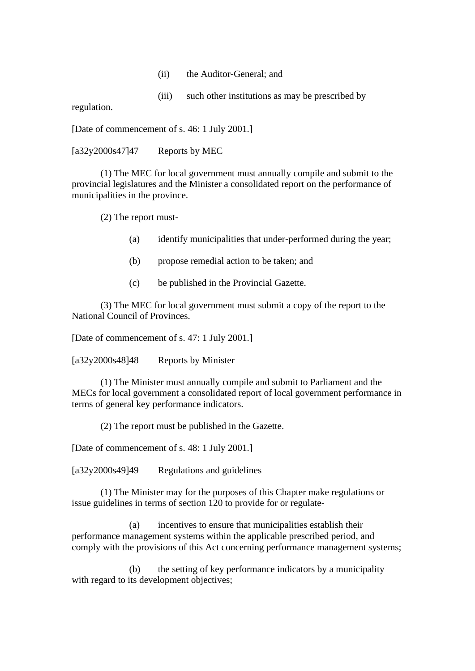- (ii) the Auditor-General; and
- (iii) such other institutions as may be prescribed by

regulation.

[Date of commencement of s. 46: 1 July 2001.]

 $[a32y2000s47]47$  Reports by MEC

(1) The MEC for local government must annually compile and submit to the provincial legislatures and the Minister a consolidated report on the performance of municipalities in the province.

(2) The report must-

- (a) identify municipalities that under-performed during the year;
- (b) propose remedial action to be taken; and
- (c) be published in the Provincial Gazette.

(3) The MEC for local government must submit a copy of the report to the National Council of Provinces.

[Date of commencement of s. 47: 1 July 2001.]

[a32y2000s48]48 Reports by Minister

(1) The Minister must annually compile and submit to Parliament and the MECs for local government a consolidated report of local government performance in terms of general key performance indicators.

(2) The report must be published in the Gazette.

[Date of commencement of s. 48: 1 July 2001.]

[a32y2000s49]49 Regulations and guidelines

(1) The Minister may for the purposes of this Chapter make regulations or issue guidelines in terms of section 120 to provide for or regulate-

(a) incentives to ensure that municipalities establish their performance management systems within the applicable prescribed period, and comply with the provisions of this Act concerning performance management systems;

(b) the setting of key performance indicators by a municipality with regard to its development objectives;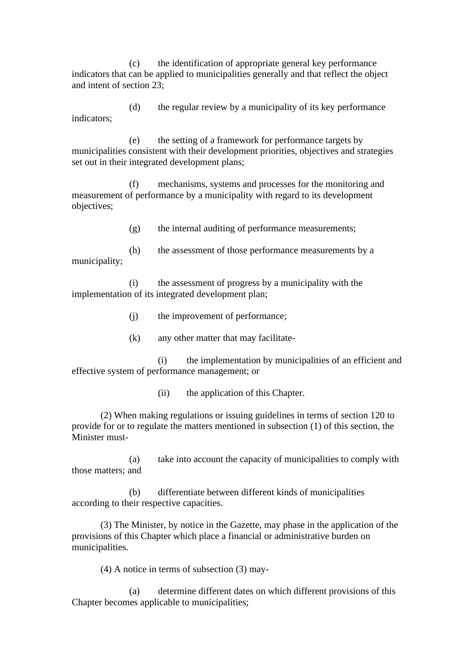(c) the identification of appropriate general key performance indicators that can be applied to municipalities generally and that reflect the object and intent of section 23;

(d) the regular review by a municipality of its key performance indicators;

(e) the setting of a framework for performance targets by municipalities consistent with their development priorities, objectives and strategies set out in their integrated development plans;

(f) mechanisms, systems and processes for the monitoring and measurement of performance by a municipality with regard to its development objectives;

(g) the internal auditing of performance measurements;

(h) the assessment of those performance measurements by a municipality;

(i) the assessment of progress by a municipality with the implementation of its integrated development plan;

(j) the improvement of performance;

(k) any other matter that may facilitate-

(i) the implementation by municipalities of an efficient and effective system of performance management; or

(ii) the application of this Chapter.

(2) When making regulations or issuing guidelines in terms of section 120 to provide for or to regulate the matters mentioned in subsection (1) of this section, the Minister must-

(a) take into account the capacity of municipalities to comply with those matters; and

(b) differentiate between different kinds of municipalities according to their respective capacities.

(3) The Minister, by notice in the Gazette, may phase in the application of the provisions of this Chapter which place a financial or administrative burden on municipalities.

(4) A notice in terms of subsection (3) may-

(a) determine different dates on which different provisions of this Chapter becomes applicable to municipalities;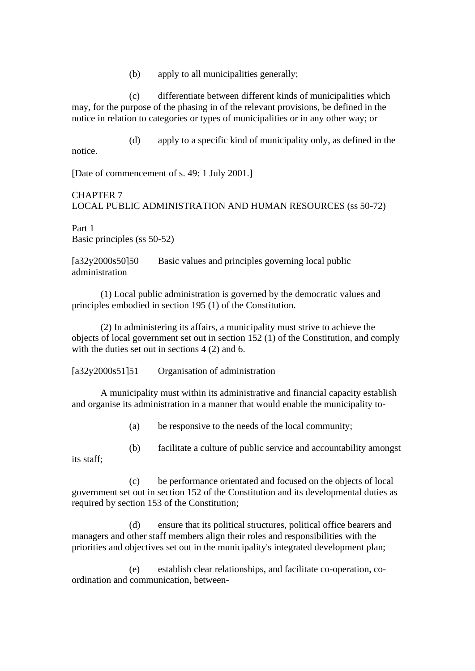(b) apply to all municipalities generally;

(c) differentiate between different kinds of municipalities which may, for the purpose of the phasing in of the relevant provisions, be defined in the notice in relation to categories or types of municipalities or in any other way; or

(d) apply to a specific kind of municipality only, as defined in the notice.

[Date of commencement of s. 49: 1 July 2001.]

# CHAPTER 7 LOCAL PUBLIC ADMINISTRATION AND HUMAN RESOURCES (ss 50-72)

Part 1 Basic principles (ss 50-52)

[a32y2000s50]50 Basic values and principles governing local public administration

(1) Local public administration is governed by the democratic values and principles embodied in section 195 (1) of the Constitution.

(2) In administering its affairs, a municipality must strive to achieve the objects of local government set out in section 152 (1) of the Constitution, and comply with the duties set out in sections 4 (2) and 6.

[a32y2000s51]51 Organisation of administration

A municipality must within its administrative and financial capacity establish and organise its administration in a manner that would enable the municipality to-

(a) be responsive to the needs of the local community;

(b) facilitate a culture of public service and accountability amongst its staff;

(c) be performance orientated and focused on the objects of local government set out in section 152 of the Constitution and its developmental duties as required by section 153 of the Constitution;

(d) ensure that its political structures, political office bearers and managers and other staff members align their roles and responsibilities with the priorities and objectives set out in the municipality's integrated development plan;

(e) establish clear relationships, and facilitate co-operation, coordination and communication, between-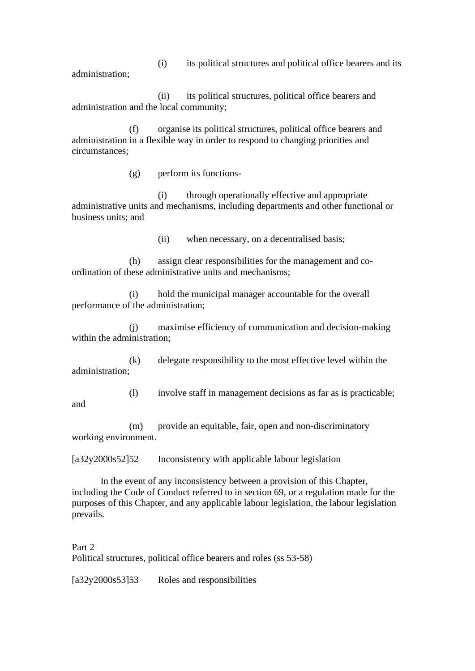(i) its political structures and political office bearers and its administration;

(ii) its political structures, political office bearers and administration and the local community;

(f) organise its political structures, political office bearers and administration in a flexible way in order to respond to changing priorities and circumstances;

(g) perform its functions-

(i) through operationally effective and appropriate administrative units and mechanisms, including departments and other functional or business units; and

(ii) when necessary, on a decentralised basis;

(h) assign clear responsibilities for the management and coordination of these administrative units and mechanisms;

(i) hold the municipal manager accountable for the overall performance of the administration;

(j) maximise efficiency of communication and decision-making within the administration;

(k) delegate responsibility to the most effective level within the administration;

(l) involve staff in management decisions as far as is practicable;

(m) provide an equitable, fair, open and non-discriminatory working environment.

[a32y2000s52]52 Inconsistency with applicable labour legislation

In the event of any inconsistency between a provision of this Chapter, including the Code of Conduct referred to in section 69, or a regulation made for the purposes of this Chapter, and any applicable labour legislation, the labour legislation prevails.

Part 2

and

Political structures, political office bearers and roles (ss 53-58)

[a32y2000s53]53 Roles and responsibilities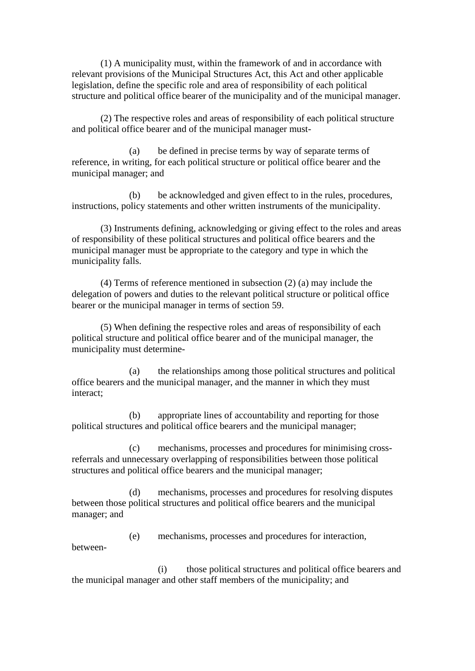(1) A municipality must, within the framework of and in accordance with relevant provisions of the Municipal Structures Act, this Act and other applicable legislation, define the specific role and area of responsibility of each political structure and political office bearer of the municipality and of the municipal manager.

(2) The respective roles and areas of responsibility of each political structure and political office bearer and of the municipal manager must-

(a) be defined in precise terms by way of separate terms of reference, in writing, for each political structure or political office bearer and the municipal manager; and

(b) be acknowledged and given effect to in the rules, procedures, instructions, policy statements and other written instruments of the municipality.

(3) Instruments defining, acknowledging or giving effect to the roles and areas of responsibility of these political structures and political office bearers and the municipal manager must be appropriate to the category and type in which the municipality falls.

(4) Terms of reference mentioned in subsection (2) (a) may include the delegation of powers and duties to the relevant political structure or political office bearer or the municipal manager in terms of section 59.

(5) When defining the respective roles and areas of responsibility of each political structure and political office bearer and of the municipal manager, the municipality must determine-

(a) the relationships among those political structures and political office bearers and the municipal manager, and the manner in which they must interact;

(b) appropriate lines of accountability and reporting for those political structures and political office bearers and the municipal manager;

(c) mechanisms, processes and procedures for minimising crossreferrals and unnecessary overlapping of responsibilities between those political structures and political office bearers and the municipal manager;

(d) mechanisms, processes and procedures for resolving disputes between those political structures and political office bearers and the municipal manager; and

(e) mechanisms, processes and procedures for interaction, between-

(i) those political structures and political office bearers and the municipal manager and other staff members of the municipality; and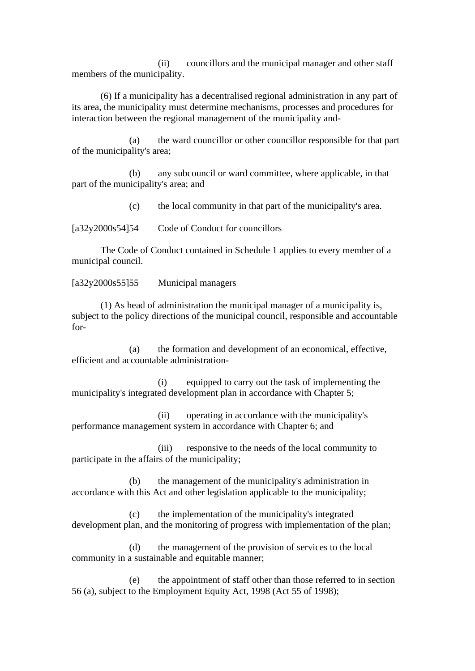(ii) councillors and the municipal manager and other staff members of the municipality.

(6) If a municipality has a decentralised regional administration in any part of its area, the municipality must determine mechanisms, processes and procedures for interaction between the regional management of the municipality and-

(a) the ward councillor or other councillor responsible for that part of the municipality's area;

(b) any subcouncil or ward committee, where applicable, in that part of the municipality's area; and

(c) the local community in that part of the municipality's area.

[a32y2000s54]54 Code of Conduct for councillors

The Code of Conduct contained in Schedule 1 applies to every member of a municipal council.

[a32y2000s55]55 Municipal managers

(1) As head of administration the municipal manager of a municipality is, subject to the policy directions of the municipal council, responsible and accountable for-

(a) the formation and development of an economical, effective, efficient and accountable administration-

(i) equipped to carry out the task of implementing the municipality's integrated development plan in accordance with Chapter 5;

(ii) operating in accordance with the municipality's performance management system in accordance with Chapter 6; and

(iii) responsive to the needs of the local community to participate in the affairs of the municipality;

(b) the management of the municipality's administration in accordance with this Act and other legislation applicable to the municipality;

(c) the implementation of the municipality's integrated development plan, and the monitoring of progress with implementation of the plan;

(d) the management of the provision of services to the local community in a sustainable and equitable manner;

(e) the appointment of staff other than those referred to in section 56 (a), subject to the Employment Equity Act, 1998 (Act 55 of 1998);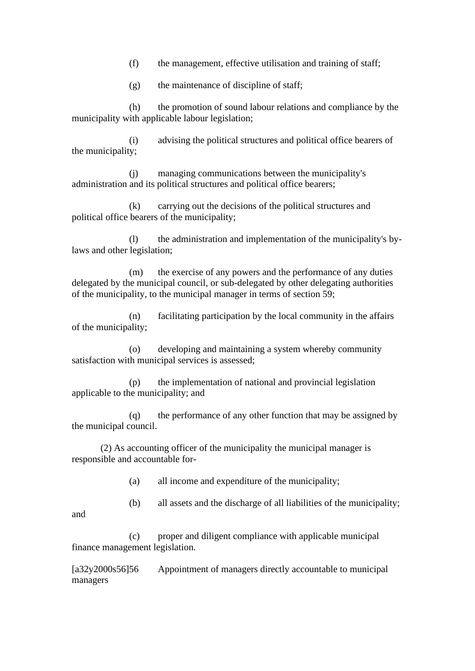(f) the management, effective utilisation and training of staff;

(g) the maintenance of discipline of staff;

(h) the promotion of sound labour relations and compliance by the municipality with applicable labour legislation;

(i) advising the political structures and political office bearers of the municipality;

(j) managing communications between the municipality's administration and its political structures and political office bearers;

(k) carrying out the decisions of the political structures and political office bearers of the municipality;

(l) the administration and implementation of the municipality's bylaws and other legislation;

(m) the exercise of any powers and the performance of any duties delegated by the municipal council, or sub-delegated by other delegating authorities of the municipality, to the municipal manager in terms of section 59;

(n) facilitating participation by the local community in the affairs of the municipality;

(o) developing and maintaining a system whereby community satisfaction with municipal services is assessed;

(p) the implementation of national and provincial legislation applicable to the municipality; and

(q) the performance of any other function that may be assigned by the municipal council.

(2) As accounting officer of the municipality the municipal manager is responsible and accountable for-

(a) all income and expenditure of the municipality;

(b) all assets and the discharge of all liabilities of the municipality;

(c) proper and diligent compliance with applicable municipal finance management legislation.

and

[a32y2000s56]56 Appointment of managers directly accountable to municipal managers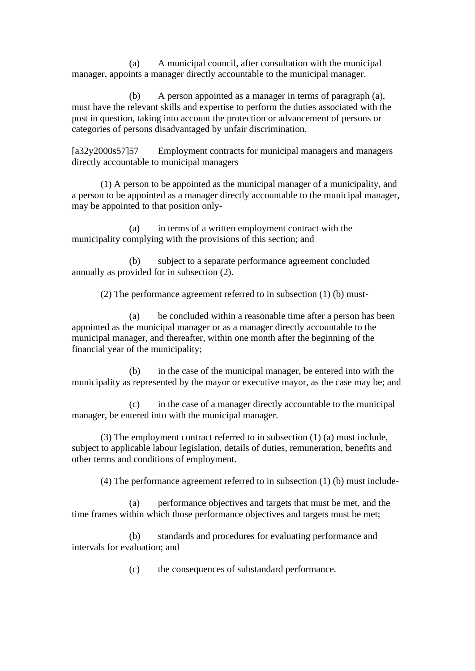(a) A municipal council, after consultation with the municipal manager, appoints a manager directly accountable to the municipal manager.

(b) A person appointed as a manager in terms of paragraph (a), must have the relevant skills and expertise to perform the duties associated with the post in question, taking into account the protection or advancement of persons or categories of persons disadvantaged by unfair discrimination.

[a32y2000s57]57 Employment contracts for municipal managers and managers directly accountable to municipal managers

(1) A person to be appointed as the municipal manager of a municipality, and a person to be appointed as a manager directly accountable to the municipal manager, may be appointed to that position only-

(a) in terms of a written employment contract with the municipality complying with the provisions of this section; and

(b) subject to a separate performance agreement concluded annually as provided for in subsection (2).

(2) The performance agreement referred to in subsection (1) (b) must-

(a) be concluded within a reasonable time after a person has been appointed as the municipal manager or as a manager directly accountable to the municipal manager, and thereafter, within one month after the beginning of the financial year of the municipality;

(b) in the case of the municipal manager, be entered into with the municipality as represented by the mayor or executive mayor, as the case may be; and

(c) in the case of a manager directly accountable to the municipal manager, be entered into with the municipal manager.

(3) The employment contract referred to in subsection (1) (a) must include, subject to applicable labour legislation, details of duties, remuneration, benefits and other terms and conditions of employment.

(4) The performance agreement referred to in subsection (1) (b) must include-

(a) performance objectives and targets that must be met, and the time frames within which those performance objectives and targets must be met;

(b) standards and procedures for evaluating performance and intervals for evaluation; and

(c) the consequences of substandard performance.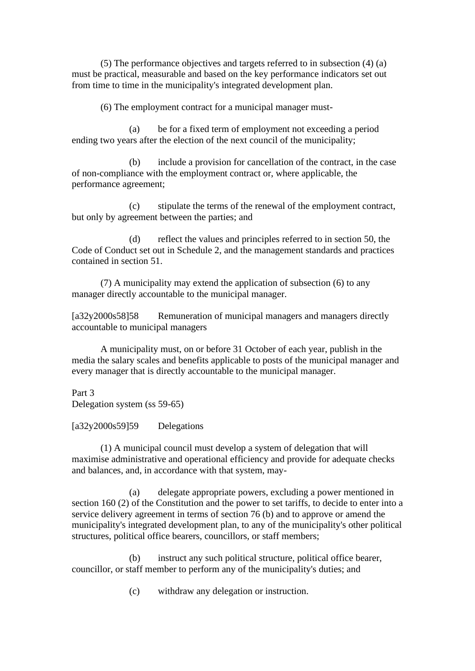(5) The performance objectives and targets referred to in subsection (4) (a) must be practical, measurable and based on the key performance indicators set out from time to time in the municipality's integrated development plan.

(6) The employment contract for a municipal manager must-

(a) be for a fixed term of employment not exceeding a period ending two years after the election of the next council of the municipality;

(b) include a provision for cancellation of the contract, in the case of non-compliance with the employment contract or, where applicable, the performance agreement;

(c) stipulate the terms of the renewal of the employment contract, but only by agreement between the parties; and

(d) reflect the values and principles referred to in section 50, the Code of Conduct set out in Schedule 2, and the management standards and practices contained in section 51.

(7) A municipality may extend the application of subsection (6) to any manager directly accountable to the municipal manager.

[a32y2000s58]58 Remuneration of municipal managers and managers directly accountable to municipal managers

A municipality must, on or before 31 October of each year, publish in the media the salary scales and benefits applicable to posts of the municipal manager and every manager that is directly accountable to the municipal manager.

Part 3 Delegation system (ss 59-65)

 $[a32y2000s59]59$  Delegations

(1) A municipal council must develop a system of delegation that will maximise administrative and operational efficiency and provide for adequate checks and balances, and, in accordance with that system, may-

(a) delegate appropriate powers, excluding a power mentioned in section 160 (2) of the Constitution and the power to set tariffs, to decide to enter into a service delivery agreement in terms of section 76 (b) and to approve or amend the municipality's integrated development plan, to any of the municipality's other political structures, political office bearers, councillors, or staff members;

(b) instruct any such political structure, political office bearer, councillor, or staff member to perform any of the municipality's duties; and

(c) withdraw any delegation or instruction.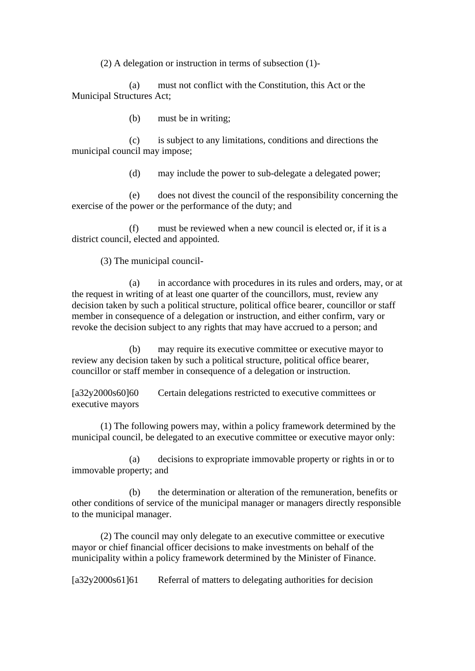(2) A delegation or instruction in terms of subsection (1)-

(a) must not conflict with the Constitution, this Act or the Municipal Structures Act;

(b) must be in writing;

(c) is subject to any limitations, conditions and directions the municipal council may impose;

(d) may include the power to sub-delegate a delegated power;

(e) does not divest the council of the responsibility concerning the exercise of the power or the performance of the duty; and

(f) must be reviewed when a new council is elected or, if it is a district council, elected and appointed.

(3) The municipal council-

(a) in accordance with procedures in its rules and orders, may, or at the request in writing of at least one quarter of the councillors, must, review any decision taken by such a political structure, political office bearer, councillor or staff member in consequence of a delegation or instruction, and either confirm, vary or revoke the decision subject to any rights that may have accrued to a person; and

(b) may require its executive committee or executive mayor to review any decision taken by such a political structure, political office bearer, councillor or staff member in consequence of a delegation or instruction.

[a32y2000s60]60 Certain delegations restricted to executive committees or executive mayors

(1) The following powers may, within a policy framework determined by the municipal council, be delegated to an executive committee or executive mayor only:

(a) decisions to expropriate immovable property or rights in or to immovable property; and

(b) the determination or alteration of the remuneration, benefits or other conditions of service of the municipal manager or managers directly responsible to the municipal manager.

(2) The council may only delegate to an executive committee or executive mayor or chief financial officer decisions to make investments on behalf of the municipality within a policy framework determined by the Minister of Finance.

[a32y2000s61]61 Referral of matters to delegating authorities for decision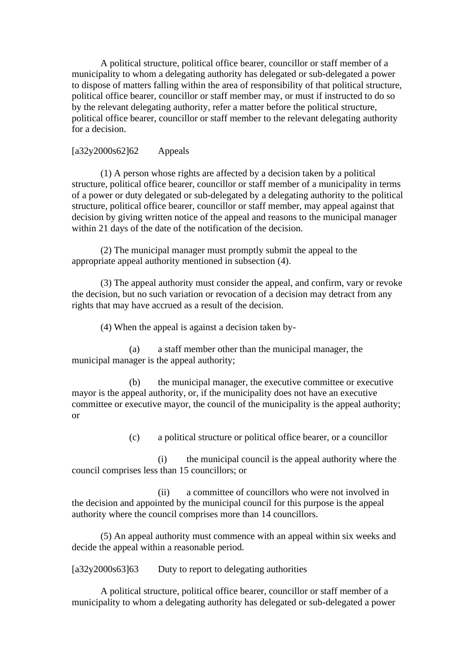A political structure, political office bearer, councillor or staff member of a municipality to whom a delegating authority has delegated or sub-delegated a power to dispose of matters falling within the area of responsibility of that political structure, political office bearer, councillor or staff member may, or must if instructed to do so by the relevant delegating authority, refer a matter before the political structure, political office bearer, councillor or staff member to the relevant delegating authority for a decision.

## [a32y2000s62]62 Appeals

(1) A person whose rights are affected by a decision taken by a political structure, political office bearer, councillor or staff member of a municipality in terms of a power or duty delegated or sub-delegated by a delegating authority to the political structure, political office bearer, councillor or staff member, may appeal against that decision by giving written notice of the appeal and reasons to the municipal manager within 21 days of the date of the notification of the decision.

(2) The municipal manager must promptly submit the appeal to the appropriate appeal authority mentioned in subsection (4).

(3) The appeal authority must consider the appeal, and confirm, vary or revoke the decision, but no such variation or revocation of a decision may detract from any rights that may have accrued as a result of the decision.

(4) When the appeal is against a decision taken by-

(a) a staff member other than the municipal manager, the municipal manager is the appeal authority;

(b) the municipal manager, the executive committee or executive mayor is the appeal authority, or, if the municipality does not have an executive committee or executive mayor, the council of the municipality is the appeal authority; or

(c) a political structure or political office bearer, or a councillor

(i) the municipal council is the appeal authority where the council comprises less than 15 councillors; or

(ii) a committee of councillors who were not involved in the decision and appointed by the municipal council for this purpose is the appeal authority where the council comprises more than 14 councillors.

(5) An appeal authority must commence with an appeal within six weeks and decide the appeal within a reasonable period.

[a32y2000s63]63 Duty to report to delegating authorities

A political structure, political office bearer, councillor or staff member of a municipality to whom a delegating authority has delegated or sub-delegated a power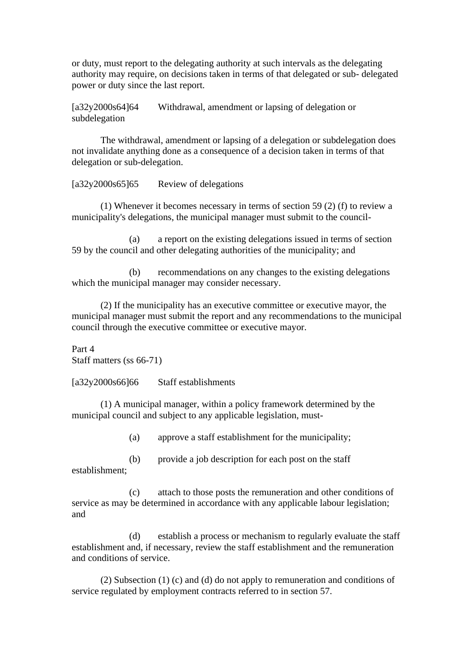or duty, must report to the delegating authority at such intervals as the delegating authority may require, on decisions taken in terms of that delegated or sub- delegated power or duty since the last report.

[a32y2000s64]64 Withdrawal, amendment or lapsing of delegation or subdelegation

The withdrawal, amendment or lapsing of a delegation or subdelegation does not invalidate anything done as a consequence of a decision taken in terms of that delegation or sub-delegation.

[a32y2000s65]65 Review of delegations

(1) Whenever it becomes necessary in terms of section 59 (2) (f) to review a municipality's delegations, the municipal manager must submit to the council-

(a) a report on the existing delegations issued in terms of section 59 by the council and other delegating authorities of the municipality; and

(b) recommendations on any changes to the existing delegations which the municipal manager may consider necessary.

(2) If the municipality has an executive committee or executive mayor, the municipal manager must submit the report and any recommendations to the municipal council through the executive committee or executive mayor.

Part 4 Staff matters (ss 66-71)

[a32y2000s66]66 Staff establishments

(1) A municipal manager, within a policy framework determined by the municipal council and subject to any applicable legislation, must-

(a) approve a staff establishment for the municipality;

(b) provide a job description for each post on the staff establishment;

(c) attach to those posts the remuneration and other conditions of service as may be determined in accordance with any applicable labour legislation; and

(d) establish a process or mechanism to regularly evaluate the staff establishment and, if necessary, review the staff establishment and the remuneration and conditions of service.

(2) Subsection (1) (c) and (d) do not apply to remuneration and conditions of service regulated by employment contracts referred to in section 57.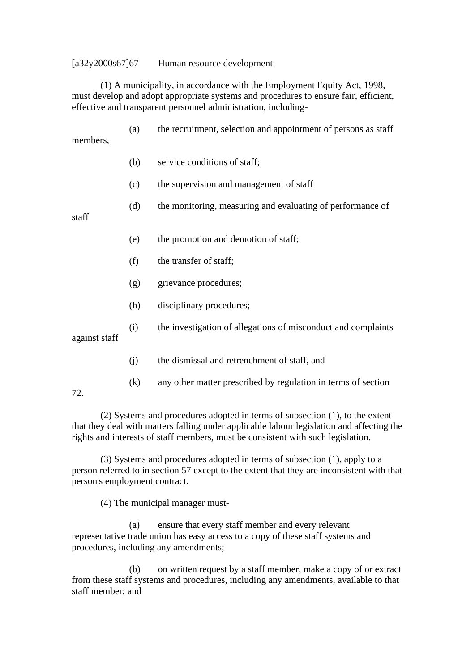#### [a32y2000s67]67 Human resource development

(1) A municipality, in accordance with the Employment Equity Act, 1998, must develop and adopt appropriate systems and procedures to ensure fair, efficient, effective and transparent personnel administration, including-

(a) the recruitment, selection and appointment of persons as staff members,

- (b) service conditions of staff;
- (c) the supervision and management of staff
- (d) the monitoring, measuring and evaluating of performance of

staff

- (e) the promotion and demotion of staff;
- (f) the transfer of staff;
- (g) grievance procedures;
- (h) disciplinary procedures;
- (i) the investigation of allegations of misconduct and complaints

against staff

- (j) the dismissal and retrenchment of staff, and
- (k) any other matter prescribed by regulation in terms of section

72.

(2) Systems and procedures adopted in terms of subsection (1), to the extent that they deal with matters falling under applicable labour legislation and affecting the rights and interests of staff members, must be consistent with such legislation.

(3) Systems and procedures adopted in terms of subsection (1), apply to a person referred to in section 57 except to the extent that they are inconsistent with that person's employment contract.

(4) The municipal manager must-

(a) ensure that every staff member and every relevant representative trade union has easy access to a copy of these staff systems and procedures, including any amendments;

(b) on written request by a staff member, make a copy of or extract from these staff systems and procedures, including any amendments, available to that staff member; and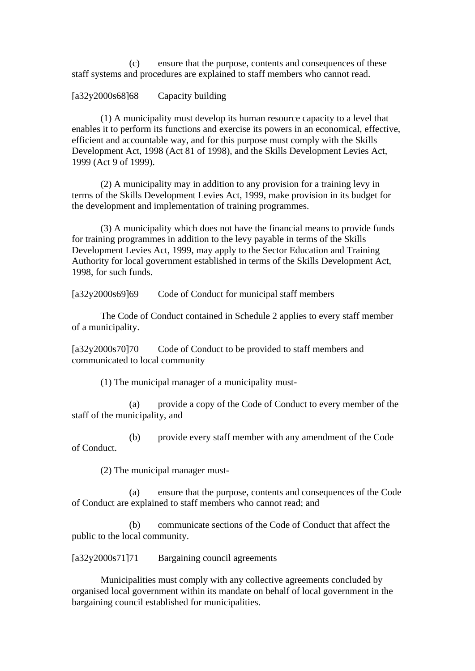(c) ensure that the purpose, contents and consequences of these staff systems and procedures are explained to staff members who cannot read.

#### [a32y2000s68]68 Capacity building

(1) A municipality must develop its human resource capacity to a level that enables it to perform its functions and exercise its powers in an economical, effective, efficient and accountable way, and for this purpose must comply with the Skills Development Act, 1998 (Act 81 of 1998), and the Skills Development Levies Act, 1999 (Act 9 of 1999).

(2) A municipality may in addition to any provision for a training levy in terms of the Skills Development Levies Act, 1999, make provision in its budget for the development and implementation of training programmes.

(3) A municipality which does not have the financial means to provide funds for training programmes in addition to the levy payable in terms of the Skills Development Levies Act, 1999, may apply to the Sector Education and Training Authority for local government established in terms of the Skills Development Act, 1998, for such funds.

[a32y2000s69]69 Code of Conduct for municipal staff members

The Code of Conduct contained in Schedule 2 applies to every staff member of a municipality.

[a32y2000s70]70 Code of Conduct to be provided to staff members and communicated to local community

(1) The municipal manager of a municipality must-

(a) provide a copy of the Code of Conduct to every member of the staff of the municipality, and

(b) provide every staff member with any amendment of the Code of Conduct.

(2) The municipal manager must-

(a) ensure that the purpose, contents and consequences of the Code of Conduct are explained to staff members who cannot read; and

(b) communicate sections of the Code of Conduct that affect the public to the local community.

[a32y2000s71]71 Bargaining council agreements

Municipalities must comply with any collective agreements concluded by organised local government within its mandate on behalf of local government in the bargaining council established for municipalities.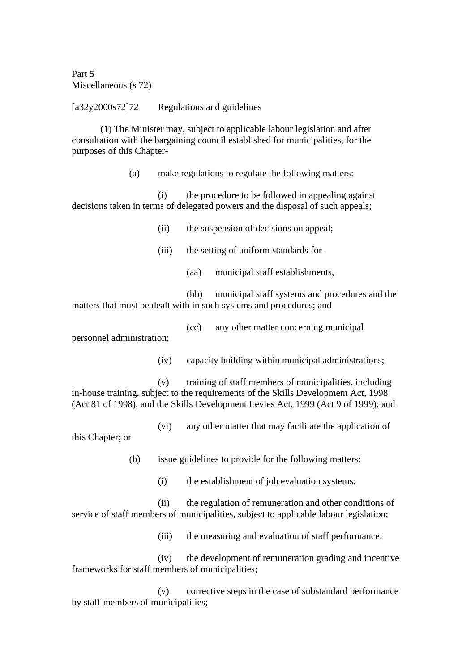Part 5 Miscellaneous (s 72)

[a32y2000s72]72 Regulations and guidelines

(1) The Minister may, subject to applicable labour legislation and after consultation with the bargaining council established for municipalities, for the purposes of this Chapter-

(a) make regulations to regulate the following matters:

(i) the procedure to be followed in appealing against decisions taken in terms of delegated powers and the disposal of such appeals;

- (ii) the suspension of decisions on appeal;
- (iii) the setting of uniform standards for-
	- (aa) municipal staff establishments,

(bb) municipal staff systems and procedures and the matters that must be dealt with in such systems and procedures; and

(cc) any other matter concerning municipal

personnel administration;

(iv) capacity building within municipal administrations;

(v) training of staff members of municipalities, including in-house training, subject to the requirements of the Skills Development Act, 1998 (Act 81 of 1998), and the Skills Development Levies Act, 1999 (Act 9 of 1999); and

(vi) any other matter that may facilitate the application of

this Chapter; or

(b) issue guidelines to provide for the following matters:

(i) the establishment of job evaluation systems;

(ii) the regulation of remuneration and other conditions of service of staff members of municipalities, subject to applicable labour legislation;

(iii) the measuring and evaluation of staff performance;

(iv) the development of remuneration grading and incentive frameworks for staff members of municipalities;

(v) corrective steps in the case of substandard performance by staff members of municipalities;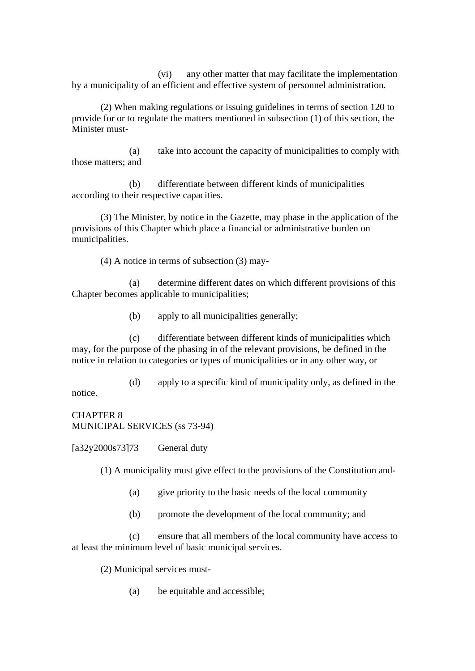(vi) any other matter that may facilitate the implementation by a municipality of an efficient and effective system of personnel administration.

(2) When making regulations or issuing guidelines in terms of section 120 to provide for or to regulate the matters mentioned in subsection (1) of this section, the Minister must-

(a) take into account the capacity of municipalities to comply with those matters; and

(b) differentiate between different kinds of municipalities according to their respective capacities.

(3) The Minister, by notice in the Gazette, may phase in the application of the provisions of this Chapter which place a financial or administrative burden on municipalities.

(4) A notice in terms of subsection (3) may-

(a) determine different dates on which different provisions of this Chapter becomes applicable to municipalities;

(b) apply to all municipalities generally;

(c) differentiate between different kinds of municipalities which may, for the purpose of the phasing in of the relevant provisions, be defined in the notice in relation to categories or types of municipalities or in any other way, or

(d) apply to a specific kind of municipality only, as defined in the notice.

CHAPTER 8 MUNICIPAL SERVICES (ss 73-94)

 $[a32y2000s73]73$  General duty

(1) A municipality must give effect to the provisions of the Constitution and-

- (a) give priority to the basic needs of the local community
- (b) promote the development of the local community; and

(c) ensure that all members of the local community have access to at least the minimum level of basic municipal services.

(2) Municipal services must-

(a) be equitable and accessible;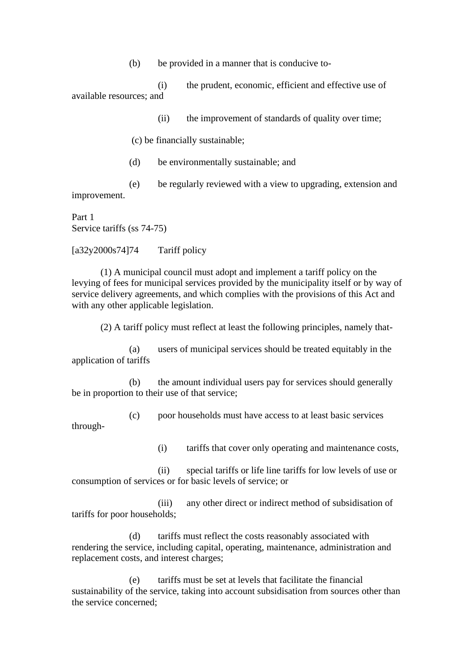(b) be provided in a manner that is conducive to-

(i) the prudent, economic, efficient and effective use of available resources; and

(ii) the improvement of standards of quality over time;

(c) be financially sustainable;

(d) be environmentally sustainable; and

(e) be regularly reviewed with a view to upgrading, extension and improvement.

Part 1 Service tariffs (ss 74-75)

 $[a32y2000s74]74$  Tariff policy

(1) A municipal council must adopt and implement a tariff policy on the levying of fees for municipal services provided by the municipality itself or by way of service delivery agreements, and which complies with the provisions of this Act and with any other applicable legislation.

(2) A tariff policy must reflect at least the following principles, namely that-

(a) users of municipal services should be treated equitably in the application of tariffs

(b) the amount individual users pay for services should generally be in proportion to their use of that service;

(c) poor households must have access to at least basic services through-

(i) tariffs that cover only operating and maintenance costs,

(ii) special tariffs or life line tariffs for low levels of use or consumption of services or for basic levels of service; or

(iii) any other direct or indirect method of subsidisation of tariffs for poor households;

(d) tariffs must reflect the costs reasonably associated with rendering the service, including capital, operating, maintenance, administration and replacement costs, and interest charges;

(e) tariffs must be set at levels that facilitate the financial sustainability of the service, taking into account subsidisation from sources other than the service concerned;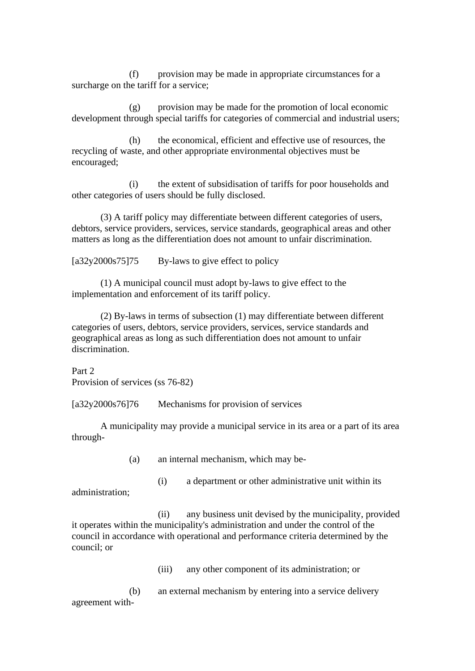(f) provision may be made in appropriate circumstances for a surcharge on the tariff for a service;

(g) provision may be made for the promotion of local economic development through special tariffs for categories of commercial and industrial users;

(h) the economical, efficient and effective use of resources, the recycling of waste, and other appropriate environmental objectives must be encouraged;

(i) the extent of subsidisation of tariffs for poor households and other categories of users should be fully disclosed.

(3) A tariff policy may differentiate between different categories of users, debtors, service providers, services, service standards, geographical areas and other matters as long as the differentiation does not amount to unfair discrimination.

 $[a32v2000s75175 \qquad Bv$ -laws to give effect to policy

(1) A municipal council must adopt by-laws to give effect to the implementation and enforcement of its tariff policy.

(2) By-laws in terms of subsection (1) may differentiate between different categories of users, debtors, service providers, services, service standards and geographical areas as long as such differentiation does not amount to unfair discrimination.

Part 2 Provision of services (ss 76-82)

[a32y2000s76]76 Mechanisms for provision of services

A municipality may provide a municipal service in its area or a part of its area through-

(a) an internal mechanism, which may be-

administration;

(i) a department or other administrative unit within its

(ii) any business unit devised by the municipality, provided it operates within the municipality's administration and under the control of the council in accordance with operational and performance criteria determined by the council; or

(iii) any other component of its administration; or

(b) an external mechanism by entering into a service delivery agreement with-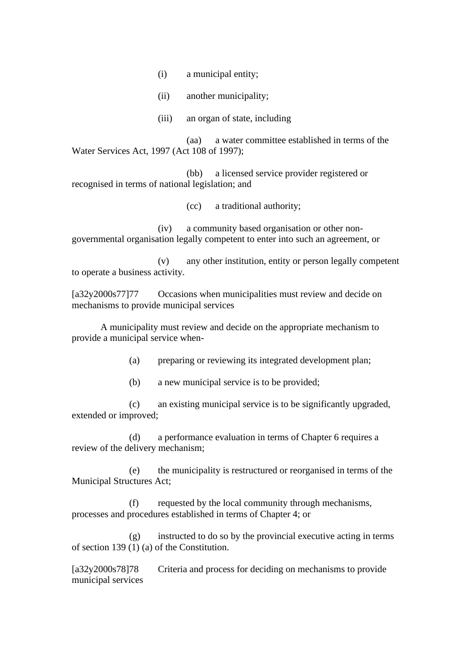- (i) a municipal entity;
- (ii) another municipality;
- (iii) an organ of state, including

(aa) a water committee established in terms of the Water Services Act, 1997 (Act 108 of 1997);

(bb) a licensed service provider registered or recognised in terms of national legislation; and

(cc) a traditional authority;

(iv) a community based organisation or other nongovernmental organisation legally competent to enter into such an agreement, or

(v) any other institution, entity or person legally competent to operate a business activity.

[a32y2000s77]77 Occasions when municipalities must review and decide on mechanisms to provide municipal services

A municipality must review and decide on the appropriate mechanism to provide a municipal service when-

(a) preparing or reviewing its integrated development plan;

(b) a new municipal service is to be provided;

(c) an existing municipal service is to be significantly upgraded, extended or improved;

(d) a performance evaluation in terms of Chapter 6 requires a review of the delivery mechanism;

(e) the municipality is restructured or reorganised in terms of the Municipal Structures Act;

(f) requested by the local community through mechanisms, processes and procedures established in terms of Chapter 4; or

 $(g)$  instructed to do so by the provincial executive acting in terms of section 139 (1) (a) of the Constitution.

[a32y2000s78]78 Criteria and process for deciding on mechanisms to provide municipal services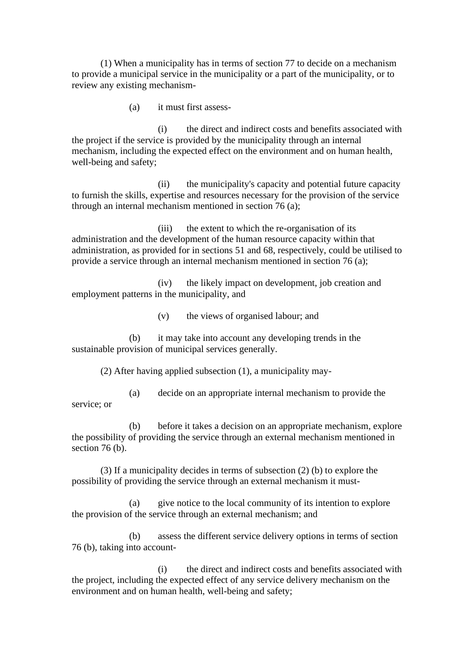(1) When a municipality has in terms of section 77 to decide on a mechanism to provide a municipal service in the municipality or a part of the municipality, or to review any existing mechanism-

(a) it must first assess-

(i) the direct and indirect costs and benefits associated with the project if the service is provided by the municipality through an internal mechanism, including the expected effect on the environment and on human health, well-being and safety;

(ii) the municipality's capacity and potential future capacity to furnish the skills, expertise and resources necessary for the provision of the service through an internal mechanism mentioned in section 76 (a);

(iii) the extent to which the re-organisation of its administration and the development of the human resource capacity within that administration, as provided for in sections 51 and 68, respectively, could be utilised to provide a service through an internal mechanism mentioned in section 76 (a);

(iv) the likely impact on development, job creation and employment patterns in the municipality, and

(v) the views of organised labour; and

(b) it may take into account any developing trends in the sustainable provision of municipal services generally.

(2) After having applied subsection (1), a municipality may-

(a) decide on an appropriate internal mechanism to provide the service; or

(b) before it takes a decision on an appropriate mechanism, explore the possibility of providing the service through an external mechanism mentioned in section 76 (b).

(3) If a municipality decides in terms of subsection (2) (b) to explore the possibility of providing the service through an external mechanism it must-

(a) give notice to the local community of its intention to explore the provision of the service through an external mechanism; and

(b) assess the different service delivery options in terms of section 76 (b), taking into account-

(i) the direct and indirect costs and benefits associated with the project, including the expected effect of any service delivery mechanism on the environment and on human health, well-being and safety;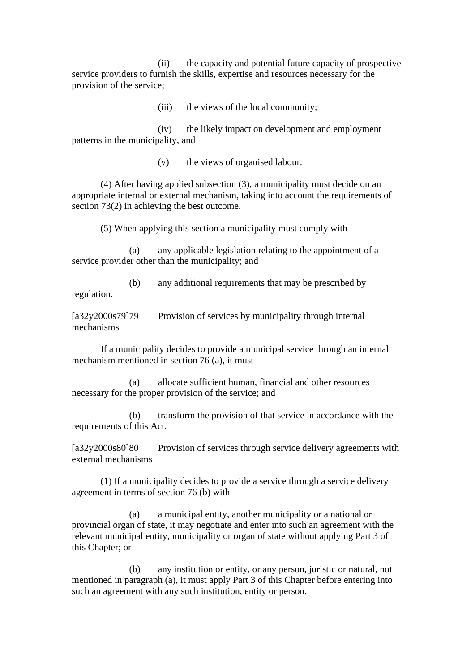(ii) the capacity and potential future capacity of prospective service providers to furnish the skills, expertise and resources necessary for the provision of the service;

(iii) the views of the local community;

(iv) the likely impact on development and employment patterns in the municipality, and

(v) the views of organised labour.

(4) After having applied subsection (3), a municipality must decide on an appropriate internal or external mechanism, taking into account the requirements of section 73(2) in achieving the best outcome.

(5) When applying this section a municipality must comply with-

(a) any applicable legislation relating to the appointment of a service provider other than the municipality; and

(b) any additional requirements that may be prescribed by regulation.

[a32y2000s79]79 Provision of services by municipality through internal mechanisms

If a municipality decides to provide a municipal service through an internal mechanism mentioned in section 76 (a), it must-

(a) allocate sufficient human, financial and other resources necessary for the proper provision of the service; and

(b) transform the provision of that service in accordance with the requirements of this Act.

[a32y2000s80]80 Provision of services through service delivery agreements with external mechanisms

(1) If a municipality decides to provide a service through a service delivery agreement in terms of section 76 (b) with-

(a) a municipal entity, another municipality or a national or provincial organ of state, it may negotiate and enter into such an agreement with the relevant municipal entity, municipality or organ of state without applying Part 3 of this Chapter; or

(b) any institution or entity, or any person, juristic or natural, not mentioned in paragraph (a), it must apply Part 3 of this Chapter before entering into such an agreement with any such institution, entity or person.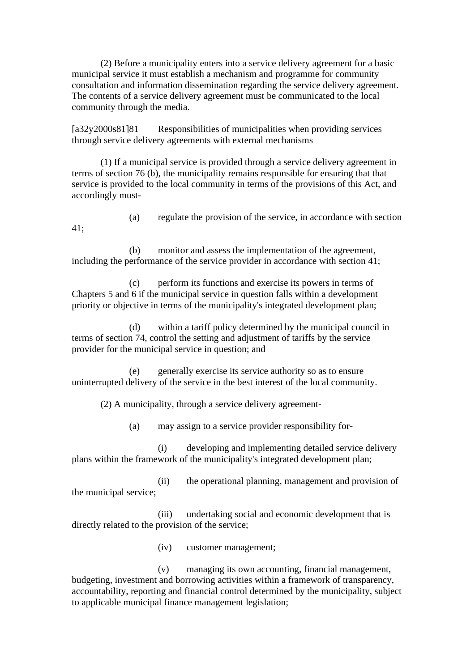(2) Before a municipality enters into a service delivery agreement for a basic municipal service it must establish a mechanism and programme for community consultation and information dissemination regarding the service delivery agreement. The contents of a service delivery agreement must be communicated to the local community through the media.

[a32y2000s81]81 Responsibilities of municipalities when providing services through service delivery agreements with external mechanisms

(1) If a municipal service is provided through a service delivery agreement in terms of section 76 (b), the municipality remains responsible for ensuring that that service is provided to the local community in terms of the provisions of this Act, and accordingly must-

(a) regulate the provision of the service, in accordance with section

(b) monitor and assess the implementation of the agreement, including the performance of the service provider in accordance with section 41;

(c) perform its functions and exercise its powers in terms of Chapters 5 and 6 if the municipal service in question falls within a development priority or objective in terms of the municipality's integrated development plan;

(d) within a tariff policy determined by the municipal council in terms of section 74, control the setting and adjustment of tariffs by the service provider for the municipal service in question; and

(e) generally exercise its service authority so as to ensure uninterrupted delivery of the service in the best interest of the local community.

(2) A municipality, through a service delivery agreement-

(a) may assign to a service provider responsibility for-

(i) developing and implementing detailed service delivery plans within the framework of the municipality's integrated development plan;

(ii) the operational planning, management and provision of the municipal service;

(iii) undertaking social and economic development that is directly related to the provision of the service;

(iv) customer management;

(v) managing its own accounting, financial management, budgeting, investment and borrowing activities within a framework of transparency, accountability, reporting and financial control determined by the municipality, subject to applicable municipal finance management legislation;

41;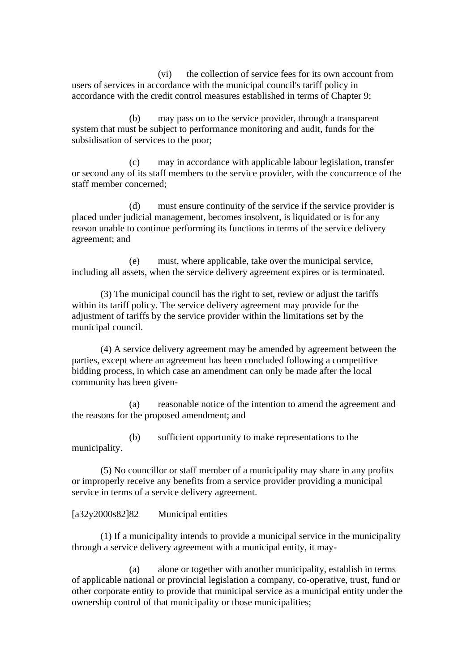(vi) the collection of service fees for its own account from users of services in accordance with the municipal council's tariff policy in accordance with the credit control measures established in terms of Chapter 9;

(b) may pass on to the service provider, through a transparent system that must be subject to performance monitoring and audit, funds for the subsidisation of services to the poor;

(c) may in accordance with applicable labour legislation, transfer or second any of its staff members to the service provider, with the concurrence of the staff member concerned;

(d) must ensure continuity of the service if the service provider is placed under judicial management, becomes insolvent, is liquidated or is for any reason unable to continue performing its functions in terms of the service delivery agreement; and

(e) must, where applicable, take over the municipal service, including all assets, when the service delivery agreement expires or is terminated.

(3) The municipal council has the right to set, review or adjust the tariffs within its tariff policy. The service delivery agreement may provide for the adjustment of tariffs by the service provider within the limitations set by the municipal council.

(4) A service delivery agreement may be amended by agreement between the parties, except where an agreement has been concluded following a competitive bidding process, in which case an amendment can only be made after the local community has been given-

(a) reasonable notice of the intention to amend the agreement and the reasons for the proposed amendment; and

(b) sufficient opportunity to make representations to the municipality.

(5) No councillor or staff member of a municipality may share in any profits or improperly receive any benefits from a service provider providing a municipal service in terms of a service delivery agreement.

## [a32y2000s82]82 Municipal entities

(1) If a municipality intends to provide a municipal service in the municipality through a service delivery agreement with a municipal entity, it may-

(a) alone or together with another municipality, establish in terms of applicable national or provincial legislation a company, co-operative, trust, fund or other corporate entity to provide that municipal service as a municipal entity under the ownership control of that municipality or those municipalities;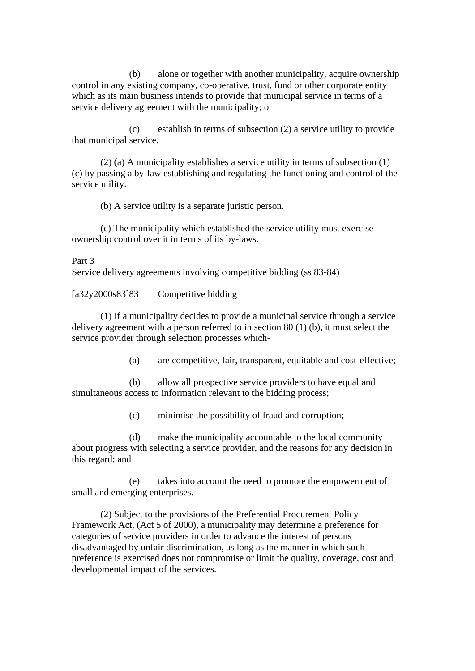(b) alone or together with another municipality, acquire ownership control in any existing company, co-operative, trust, fund or other corporate entity which as its main business intends to provide that municipal service in terms of a service delivery agreement with the municipality; or

(c) establish in terms of subsection (2) a service utility to provide that municipal service.

(2) (a) A municipality establishes a service utility in terms of subsection (1) (c) by passing a by-law establishing and regulating the functioning and control of the service utility.

(b) A service utility is a separate juristic person.

(c) The municipality which established the service utility must exercise ownership control over it in terms of its by-laws.

## Part 3

Service delivery agreements involving competitive bidding (ss 83-84)

[a32y2000s83]83 Competitive bidding

(1) If a municipality decides to provide a municipal service through a service delivery agreement with a person referred to in section 80 (1) (b), it must select the service provider through selection processes which-

(a) are competitive, fair, transparent, equitable and cost-effective;

(b) allow all prospective service providers to have equal and simultaneous access to information relevant to the bidding process;

(c) minimise the possibility of fraud and corruption;

(d) make the municipality accountable to the local community about progress with selecting a service provider, and the reasons for any decision in this regard; and

(e) takes into account the need to promote the empowerment of small and emerging enterprises.

(2) Subject to the provisions of the Preferential Procurement Policy Framework Act, (Act 5 of 2000), a municipality may determine a preference for categories of service providers in order to advance the interest of persons disadvantaged by unfair discrimination, as long as the manner in which such preference is exercised does not compromise or limit the quality, coverage, cost and developmental impact of the services.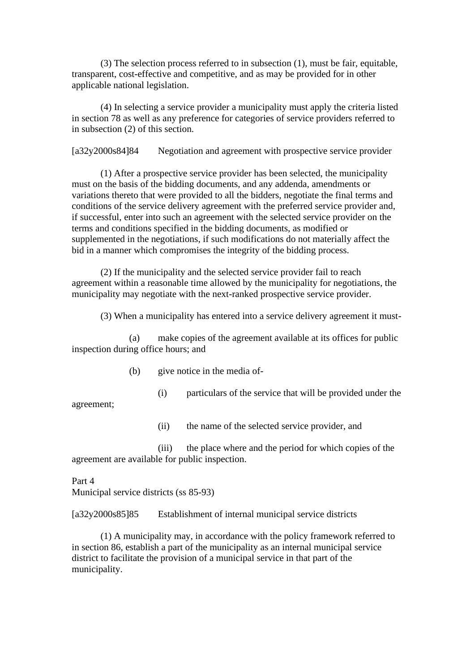(3) The selection process referred to in subsection (1), must be fair, equitable, transparent, cost-effective and competitive, and as may be provided for in other applicable national legislation.

(4) In selecting a service provider a municipality must apply the criteria listed in section 78 as well as any preference for categories of service providers referred to in subsection (2) of this section.

[a32y2000s84]84 Negotiation and agreement with prospective service provider

(1) After a prospective service provider has been selected, the municipality must on the basis of the bidding documents, and any addenda, amendments or variations thereto that were provided to all the bidders, negotiate the final terms and conditions of the service delivery agreement with the preferred service provider and, if successful, enter into such an agreement with the selected service provider on the terms and conditions specified in the bidding documents, as modified or supplemented in the negotiations, if such modifications do not materially affect the bid in a manner which compromises the integrity of the bidding process.

(2) If the municipality and the selected service provider fail to reach agreement within a reasonable time allowed by the municipality for negotiations, the municipality may negotiate with the next-ranked prospective service provider.

(3) When a municipality has entered into a service delivery agreement it must-

(a) make copies of the agreement available at its offices for public inspection during office hours; and

- (b) give notice in the media of-
	- (i) particulars of the service that will be provided under the

agreement;

(ii) the name of the selected service provider, and

(iii) the place where and the period for which copies of the agreement are available for public inspection.

Part 4 Municipal service districts (ss 85-93)

[a32y2000s85]85 Establishment of internal municipal service districts

(1) A municipality may, in accordance with the policy framework referred to in section 86, establish a part of the municipality as an internal municipal service district to facilitate the provision of a municipal service in that part of the municipality.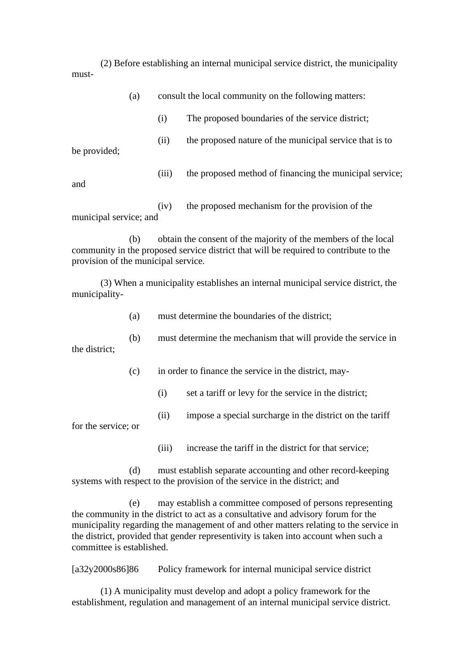(2) Before establishing an internal municipal service district, the municipality must-

|                        | (a) | consult the local community on the following matters: |                                                         |  |
|------------------------|-----|-------------------------------------------------------|---------------------------------------------------------|--|
|                        |     | (i)                                                   | The proposed boundaries of the service district;        |  |
| be provided;           |     | (11)                                                  | the proposed nature of the municipal service that is to |  |
| and                    |     | (iii)                                                 | the proposed method of financing the municipal service; |  |
| municipal service; and |     | (iv)                                                  | the proposed mechanism for the provision of the         |  |

(b) obtain the consent of the majority of the members of the local community in the proposed service district that will be required to contribute to the provision of the municipal service.

(3) When a municipality establishes an internal municipal service district, the municipality-

(a) must determine the boundaries of the district;

(b) must determine the mechanism that will provide the service in the district;

- (c) in order to finance the service in the district, may-
	- (i) set a tariff or levy for the service in the district;
	- (ii) impose a special surcharge in the district on the tariff

for the service; or

(iii) increase the tariff in the district for that service;

(d) must establish separate accounting and other record-keeping systems with respect to the provision of the service in the district; and

(e) may establish a committee composed of persons representing the community in the district to act as a consultative and advisory forum for the municipality regarding the management of and other matters relating to the service in the district, provided that gender representivity is taken into account when such a committee is established.

[a32y2000s86]86 Policy framework for internal municipal service district

(1) A municipality must develop and adopt a policy framework for the establishment, regulation and management of an internal municipal service district.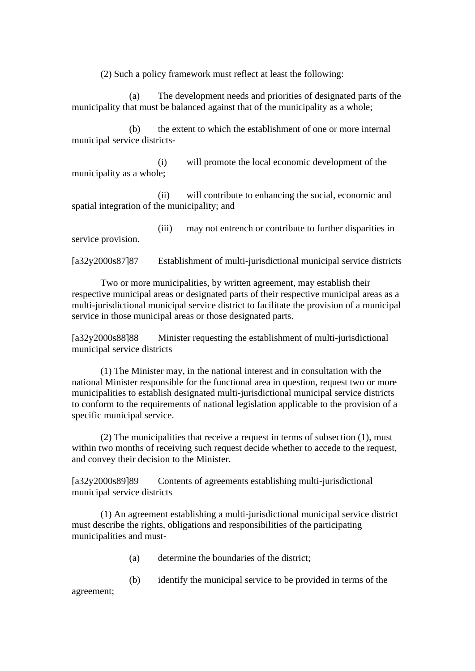(2) Such a policy framework must reflect at least the following:

(a) The development needs and priorities of designated parts of the municipality that must be balanced against that of the municipality as a whole;

(b) the extent to which the establishment of one or more internal municipal service districts-

(i) will promote the local economic development of the municipality as a whole;

(ii) will contribute to enhancing the social, economic and spatial integration of the municipality; and

(iii) may not entrench or contribute to further disparities in service provision.

[a32y2000s87]87 Establishment of multi-jurisdictional municipal service districts

Two or more municipalities, by written agreement, may establish their respective municipal areas or designated parts of their respective municipal areas as a multi-jurisdictional municipal service district to facilitate the provision of a municipal service in those municipal areas or those designated parts.

[a32y2000s88]88 Minister requesting the establishment of multi-jurisdictional municipal service districts

(1) The Minister may, in the national interest and in consultation with the national Minister responsible for the functional area in question, request two or more municipalities to establish designated multi-jurisdictional municipal service districts to conform to the requirements of national legislation applicable to the provision of a specific municipal service.

(2) The municipalities that receive a request in terms of subsection (1), must within two months of receiving such request decide whether to accede to the request, and convey their decision to the Minister.

[a32y2000s89]89 Contents of agreements establishing multi-jurisdictional municipal service districts

(1) An agreement establishing a multi-jurisdictional municipal service district must describe the rights, obligations and responsibilities of the participating municipalities and must-

(a) determine the boundaries of the district;

(b) identify the municipal service to be provided in terms of the

agreement;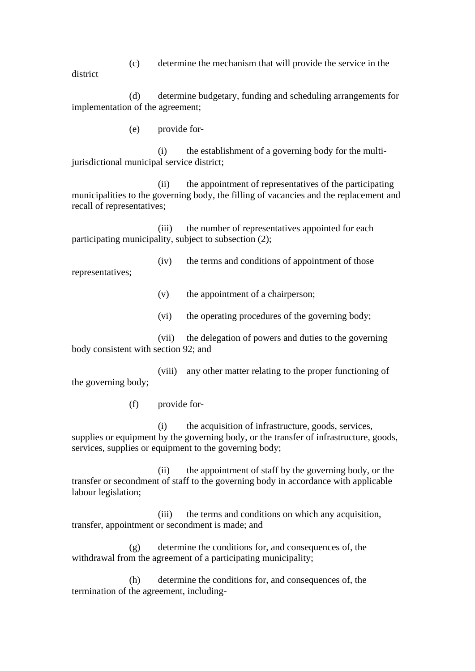(c) determine the mechanism that will provide the service in the

district

(d) determine budgetary, funding and scheduling arrangements for implementation of the agreement;

(e) provide for-

(i) the establishment of a governing body for the multijurisdictional municipal service district;

(ii) the appointment of representatives of the participating municipalities to the governing body, the filling of vacancies and the replacement and recall of representatives;

(iii) the number of representatives appointed for each participating municipality, subject to subsection (2);

(iv) the terms and conditions of appointment of those

representatives;

(v) the appointment of a chairperson;

(vi) the operating procedures of the governing body;

(vii) the delegation of powers and duties to the governing body consistent with section 92; and

(viii) any other matter relating to the proper functioning of the governing body;

(f) provide for-

(i) the acquisition of infrastructure, goods, services, supplies or equipment by the governing body, or the transfer of infrastructure, goods, services, supplies or equipment to the governing body;

(ii) the appointment of staff by the governing body, or the transfer or secondment of staff to the governing body in accordance with applicable labour legislation;

(iii) the terms and conditions on which any acquisition, transfer, appointment or secondment is made; and

(g) determine the conditions for, and consequences of, the withdrawal from the agreement of a participating municipality;

(h) determine the conditions for, and consequences of, the termination of the agreement, including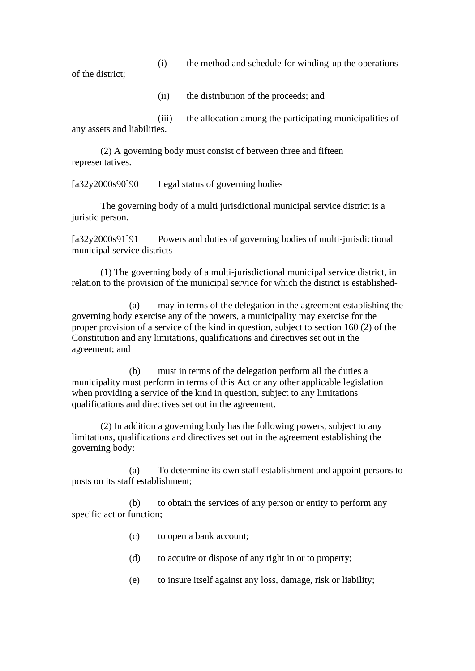(i) the method and schedule for winding-up the operations

of the district;

(ii) the distribution of the proceeds; and

(iii) the allocation among the participating municipalities of any assets and liabilities.

(2) A governing body must consist of between three and fifteen representatives.

[a32y2000s90]90 Legal status of governing bodies

The governing body of a multi jurisdictional municipal service district is a juristic person.

[a32y2000s91]91 Powers and duties of governing bodies of multi-jurisdictional municipal service districts

(1) The governing body of a multi-jurisdictional municipal service district, in relation to the provision of the municipal service for which the district is established-

(a) may in terms of the delegation in the agreement establishing the governing body exercise any of the powers, a municipality may exercise for the proper provision of a service of the kind in question, subject to section 160 (2) of the Constitution and any limitations, qualifications and directives set out in the agreement; and

(b) must in terms of the delegation perform all the duties a municipality must perform in terms of this Act or any other applicable legislation when providing a service of the kind in question, subject to any limitations qualifications and directives set out in the agreement.

(2) In addition a governing body has the following powers, subject to any limitations, qualifications and directives set out in the agreement establishing the governing body:

(a) To determine its own staff establishment and appoint persons to posts on its staff establishment;

(b) to obtain the services of any person or entity to perform any specific act or function;

- (c) to open a bank account;
- (d) to acquire or dispose of any right in or to property;
- (e) to insure itself against any loss, damage, risk or liability;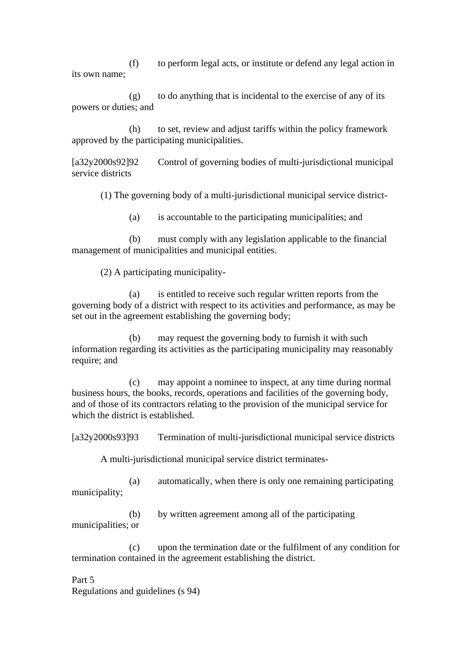(f) to perform legal acts, or institute or defend any legal action in its own name;

(g) to do anything that is incidental to the exercise of any of its powers or duties; and

(h) to set, review and adjust tariffs within the policy framework approved by the participating municipalities.

[a32y2000s92]92 Control of governing bodies of multi-jurisdictional municipal service districts

(1) The governing body of a multi-jurisdictional municipal service district-

(a) is accountable to the participating municipalities; and

(b) must comply with any legislation applicable to the financial management of municipalities and municipal entities.

(2) A participating municipality-

(a) is entitled to receive such regular written reports from the governing body of a district with respect to its activities and performance, as may be set out in the agreement establishing the governing body;

(b) may request the governing body to furnish it with such information regarding its activities as the participating municipality may reasonably require; and

(c) may appoint a nominee to inspect, at any time during normal business hours, the books, records, operations and facilities of the governing body, and of those of its contractors relating to the provision of the municipal service for which the district is established.

[a32y2000s93]93 Termination of multi-jurisdictional municipal service districts

A multi-jurisdictional municipal service district terminates-

(a) automatically, when there is only one remaining participating municipality;

(b) by written agreement among all of the participating municipalities; or

(c) upon the termination date or the fulfilment of any condition for termination contained in the agreement establishing the district.

Part 5 Regulations and guidelines (s 94)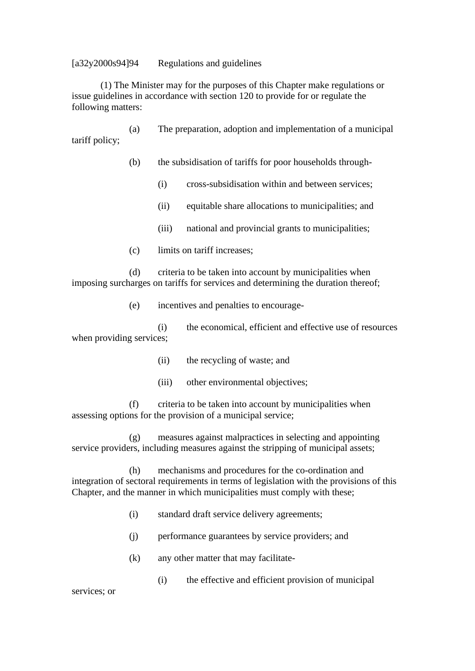### [a32y2000s94]94 Regulations and guidelines

(1) The Minister may for the purposes of this Chapter make regulations or issue guidelines in accordance with section 120 to provide for or regulate the following matters:

(a) The preparation, adoption and implementation of a municipal tariff policy;

- (b) the subsidisation of tariffs for poor households through-
	- (i) cross-subsidisation within and between services;
	- (ii) equitable share allocations to municipalities; and
	- (iii) national and provincial grants to municipalities;
- (c) limits on tariff increases;

(d) criteria to be taken into account by municipalities when imposing surcharges on tariffs for services and determining the duration thereof;

(e) incentives and penalties to encourage-

(i) the economical, efficient and effective use of resources when providing services;

- (ii) the recycling of waste; and
- (iii) other environmental objectives;

(f) criteria to be taken into account by municipalities when assessing options for the provision of a municipal service;

(g) measures against malpractices in selecting and appointing service providers, including measures against the stripping of municipal assets;

(h) mechanisms and procedures for the co-ordination and integration of sectoral requirements in terms of legislation with the provisions of this Chapter, and the manner in which municipalities must comply with these;

- (i) standard draft service delivery agreements;
- (j) performance guarantees by service providers; and
- (k) any other matter that may facilitate-
	- (i) the effective and efficient provision of municipal

services; or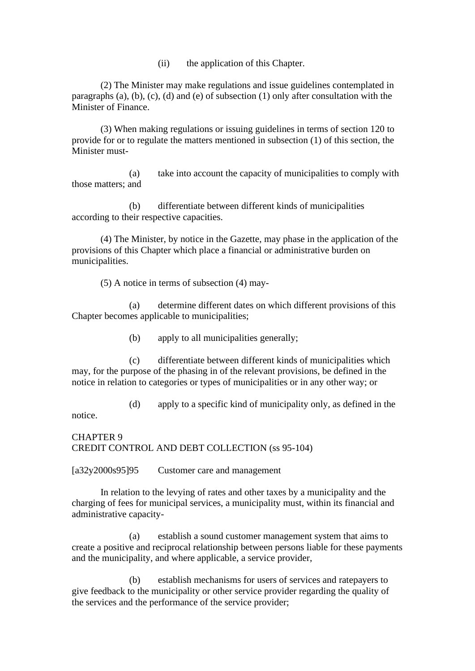(ii) the application of this Chapter.

(2) The Minister may make regulations and issue guidelines contemplated in paragraphs (a), (b), (c), (d) and (e) of subsection (1) only after consultation with the Minister of Finance.

(3) When making regulations or issuing guidelines in terms of section 120 to provide for or to regulate the matters mentioned in subsection (1) of this section, the Minister must-

(a) take into account the capacity of municipalities to comply with those matters; and

(b) differentiate between different kinds of municipalities according to their respective capacities.

(4) The Minister, by notice in the Gazette, may phase in the application of the provisions of this Chapter which place a financial or administrative burden on municipalities.

(5) A notice in terms of subsection (4) may-

(a) determine different dates on which different provisions of this Chapter becomes applicable to municipalities;

(b) apply to all municipalities generally;

(c) differentiate between different kinds of municipalities which may, for the purpose of the phasing in of the relevant provisions, be defined in the notice in relation to categories or types of municipalities or in any other way; or

(d) apply to a specific kind of municipality only, as defined in the

notice.

CHAPTER 9 CREDIT CONTROL AND DEBT COLLECTION (ss 95-104)

[a32y2000s95]95 Customer care and management

In relation to the levying of rates and other taxes by a municipality and the charging of fees for municipal services, a municipality must, within its financial and administrative capacity-

(a) establish a sound customer management system that aims to create a positive and reciprocal relationship between persons liable for these payments and the municipality, and where applicable, a service provider,

(b) establish mechanisms for users of services and ratepayers to give feedback to the municipality or other service provider regarding the quality of the services and the performance of the service provider;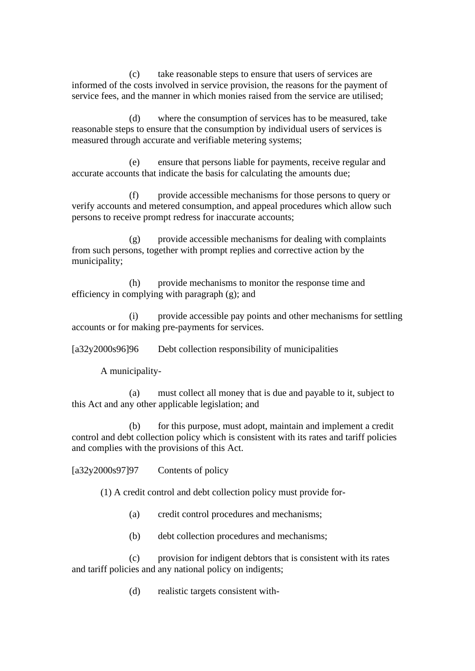(c) take reasonable steps to ensure that users of services are informed of the costs involved in service provision, the reasons for the payment of service fees, and the manner in which monies raised from the service are utilised;

(d) where the consumption of services has to be measured, take reasonable steps to ensure that the consumption by individual users of services is measured through accurate and verifiable metering systems;

(e) ensure that persons liable for payments, receive regular and accurate accounts that indicate the basis for calculating the amounts due;

(f) provide accessible mechanisms for those persons to query or verify accounts and metered consumption, and appeal procedures which allow such persons to receive prompt redress for inaccurate accounts;

(g) provide accessible mechanisms for dealing with complaints from such persons, together with prompt replies and corrective action by the municipality;

(h) provide mechanisms to monitor the response time and efficiency in complying with paragraph (g); and

(i) provide accessible pay points and other mechanisms for settling accounts or for making pre-payments for services.

[a32y2000s96]96 Debt collection responsibility of municipalities

A municipality-

(a) must collect all money that is due and payable to it, subject to this Act and any other applicable legislation; and

(b) for this purpose, must adopt, maintain and implement a credit control and debt collection policy which is consistent with its rates and tariff policies and complies with the provisions of this Act.

[a32y2000s97]97 Contents of policy

(1) A credit control and debt collection policy must provide for-

(a) credit control procedures and mechanisms;

(b) debt collection procedures and mechanisms;

(c) provision for indigent debtors that is consistent with its rates and tariff policies and any national policy on indigents;

(d) realistic targets consistent with-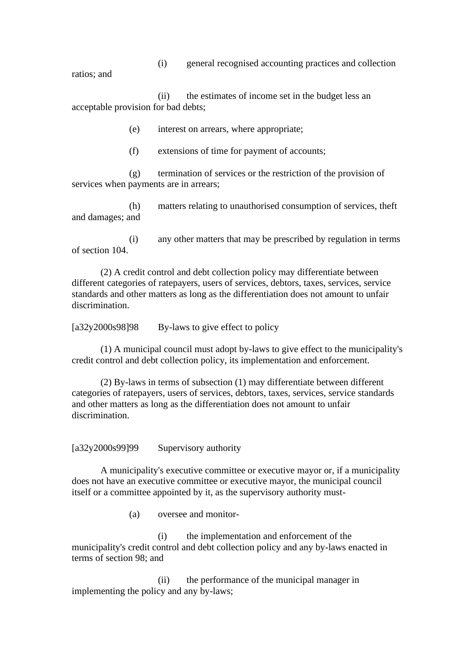(i) general recognised accounting practices and collection

ratios; and

(ii) the estimates of income set in the budget less an acceptable provision for bad debts;

(e) interest on arrears, where appropriate;

(f) extensions of time for payment of accounts;

(g) termination of services or the restriction of the provision of services when payments are in arrears;

(h) matters relating to unauthorised consumption of services, theft and damages; and

(i) any other matters that may be prescribed by regulation in terms of section 104.

(2) A credit control and debt collection policy may differentiate between different categories of ratepayers, users of services, debtors, taxes, services, service standards and other matters as long as the differentiation does not amount to unfair discrimination.

 $[a32y2000s98]98$  By-laws to give effect to policy

(1) A municipal council must adopt by-laws to give effect to the municipality's credit control and debt collection policy, its implementation and enforcement.

(2) By-laws in terms of subsection (1) may differentiate between different categories of ratepayers, users of services, debtors, taxes, services, service standards and other matters as long as the differentiation does not amount to unfair discrimination.

[a32y2000s99]99 Supervisory authority

A municipality's executive committee or executive mayor or, if a municipality does not have an executive committee or executive mayor, the municipal council itself or a committee appointed by it, as the supervisory authority must-

(a) oversee and monitor-

(i) the implementation and enforcement of the municipality's credit control and debt collection policy and any by-laws enacted in terms of section 98; and

(ii) the performance of the municipal manager in implementing the policy and any by-laws;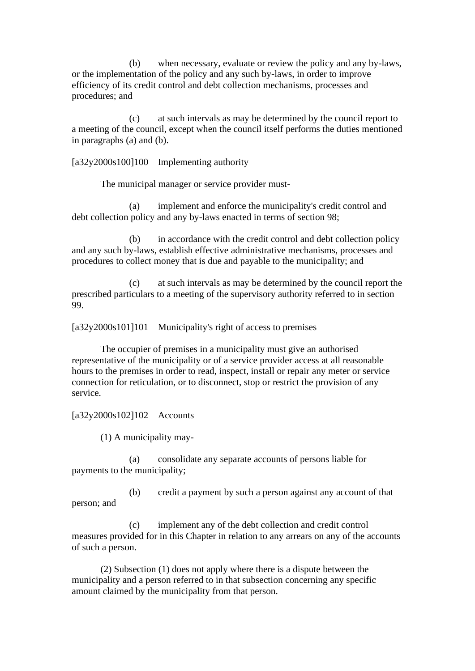(b) when necessary, evaluate or review the policy and any by-laws, or the implementation of the policy and any such by-laws, in order to improve efficiency of its credit control and debt collection mechanisms, processes and procedures; and

(c) at such intervals as may be determined by the council report to a meeting of the council, except when the council itself performs the duties mentioned in paragraphs (a) and (b).

[a32y2000s100]100 Implementing authority

The municipal manager or service provider must-

(a) implement and enforce the municipality's credit control and debt collection policy and any by-laws enacted in terms of section 98;

(b) in accordance with the credit control and debt collection policy and any such by-laws, establish effective administrative mechanisms, processes and procedures to collect money that is due and payable to the municipality; and

(c) at such intervals as may be determined by the council report the prescribed particulars to a meeting of the supervisory authority referred to in section 99.

[a32y2000s101]101 Municipality's right of access to premises

The occupier of premises in a municipality must give an authorised representative of the municipality or of a service provider access at all reasonable hours to the premises in order to read, inspect, install or repair any meter or service connection for reticulation, or to disconnect, stop or restrict the provision of any service.

### [a32y2000s102]102 Accounts

(1) A municipality may-

(a) consolidate any separate accounts of persons liable for payments to the municipality;

(b) credit a payment by such a person against any account of that person; and

(c) implement any of the debt collection and credit control measures provided for in this Chapter in relation to any arrears on any of the accounts of such a person.

(2) Subsection (1) does not apply where there is a dispute between the municipality and a person referred to in that subsection concerning any specific amount claimed by the municipality from that person.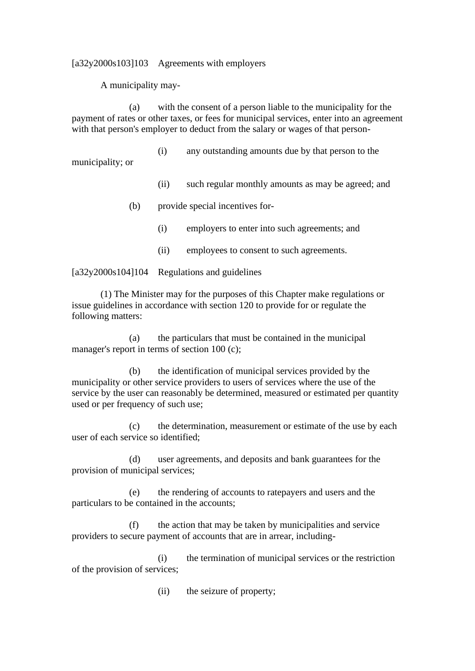[a32y2000s103]103 Agreements with employers

A municipality may-

(a) with the consent of a person liable to the municipality for the payment of rates or other taxes, or fees for municipal services, enter into an agreement with that person's employer to deduct from the salary or wages of that person-

(i) any outstanding amounts due by that person to the

municipality; or

- (ii) such regular monthly amounts as may be agreed; and
- (b) provide special incentives for-
	- (i) employers to enter into such agreements; and
	- (ii) employees to consent to such agreements.

[a32y2000s104]104 Regulations and guidelines

(1) The Minister may for the purposes of this Chapter make regulations or issue guidelines in accordance with section 120 to provide for or regulate the following matters:

(a) the particulars that must be contained in the municipal manager's report in terms of section 100 (c);

(b) the identification of municipal services provided by the municipality or other service providers to users of services where the use of the service by the user can reasonably be determined, measured or estimated per quantity used or per frequency of such use;

(c) the determination, measurement or estimate of the use by each user of each service so identified;

(d) user agreements, and deposits and bank guarantees for the provision of municipal services;

(e) the rendering of accounts to ratepayers and users and the particulars to be contained in the accounts;

(f) the action that may be taken by municipalities and service providers to secure payment of accounts that are in arrear, including-

(i) the termination of municipal services or the restriction of the provision of services;

(ii) the seizure of property;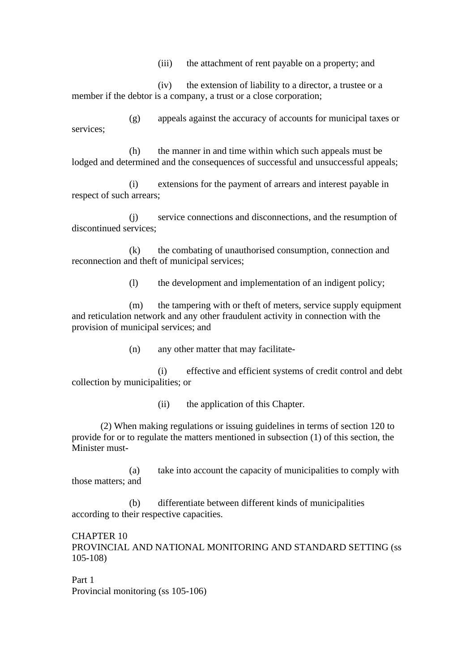(iii) the attachment of rent payable on a property; and

(iv) the extension of liability to a director, a trustee or a member if the debtor is a company, a trust or a close corporation;

(g) appeals against the accuracy of accounts for municipal taxes or services;

(h) the manner in and time within which such appeals must be lodged and determined and the consequences of successful and unsuccessful appeals;

(i) extensions for the payment of arrears and interest payable in respect of such arrears;

(j) service connections and disconnections, and the resumption of discontinued services;

(k) the combating of unauthorised consumption, connection and reconnection and theft of municipal services;

(l) the development and implementation of an indigent policy;

(m) the tampering with or theft of meters, service supply equipment and reticulation network and any other fraudulent activity in connection with the provision of municipal services; and

(n) any other matter that may facilitate-

(i) effective and efficient systems of credit control and debt collection by municipalities; or

(ii) the application of this Chapter.

(2) When making regulations or issuing guidelines in terms of section 120 to provide for or to regulate the matters mentioned in subsection (1) of this section, the Minister must-

(a) take into account the capacity of municipalities to comply with those matters; and

(b) differentiate between different kinds of municipalities according to their respective capacities.

CHAPTER 10 PROVINCIAL AND NATIONAL MONITORING AND STANDARD SETTING (ss 105-108)

Part 1 Provincial monitoring (ss 105-106)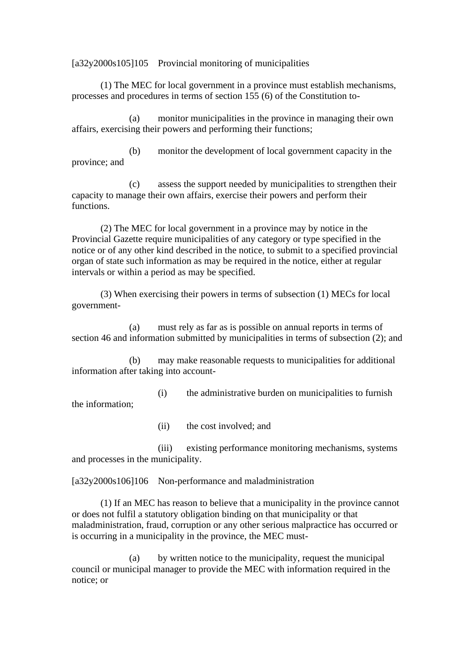[a32y2000s105]105 Provincial monitoring of municipalities

(1) The MEC for local government in a province must establish mechanisms, processes and procedures in terms of section 155 (6) of the Constitution to-

(a) monitor municipalities in the province in managing their own affairs, exercising their powers and performing their functions;

(b) monitor the development of local government capacity in the province; and

(c) assess the support needed by municipalities to strengthen their capacity to manage their own affairs, exercise their powers and perform their functions.

(2) The MEC for local government in a province may by notice in the Provincial Gazette require municipalities of any category or type specified in the notice or of any other kind described in the notice, to submit to a specified provincial organ of state such information as may be required in the notice, either at regular intervals or within a period as may be specified.

(3) When exercising their powers in terms of subsection (1) MECs for local government-

(a) must rely as far as is possible on annual reports in terms of section 46 and information submitted by municipalities in terms of subsection (2); and

(b) may make reasonable requests to municipalities for additional information after taking into account-

(i) the administrative burden on municipalities to furnish the information;

(ii) the cost involved; and

(iii) existing performance monitoring mechanisms, systems and processes in the municipality.

[a32y2000s106]106 Non-performance and maladministration

(1) If an MEC has reason to believe that a municipality in the province cannot or does not fulfil a statutory obligation binding on that municipality or that maladministration, fraud, corruption or any other serious malpractice has occurred or is occurring in a municipality in the province, the MEC must-

(a) by written notice to the municipality, request the municipal council or municipal manager to provide the MEC with information required in the notice; or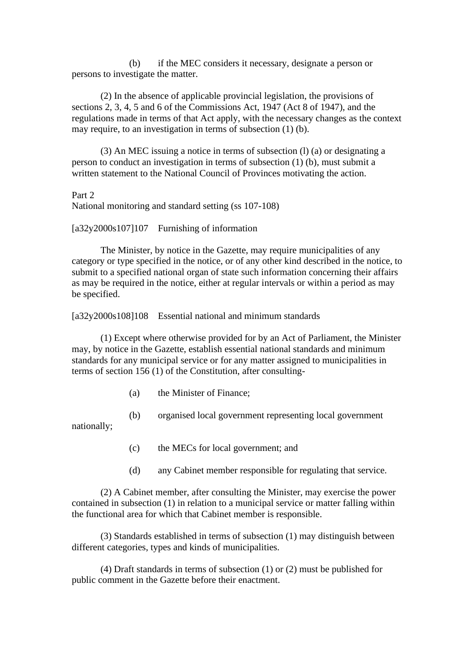(b) if the MEC considers it necessary, designate a person or persons to investigate the matter.

(2) In the absence of applicable provincial legislation, the provisions of sections 2, 3, 4, 5 and 6 of the Commissions Act, 1947 (Act 8 of 1947), and the regulations made in terms of that Act apply, with the necessary changes as the context may require, to an investigation in terms of subsection (1) (b).

(3) An MEC issuing a notice in terms of subsection (l) (a) or designating a person to conduct an investigation in terms of subsection (1) (b), must submit a written statement to the National Council of Provinces motivating the action.

Part 2

National monitoring and standard setting (ss 107-108)

[a32y2000s107]107 Furnishing of information

The Minister, by notice in the Gazette, may require municipalities of any category or type specified in the notice, or of any other kind described in the notice, to submit to a specified national organ of state such information concerning their affairs as may be required in the notice, either at regular intervals or within a period as may be specified.

[a32y2000s108]108 Essential national and minimum standards

(1) Except where otherwise provided for by an Act of Parliament, the Minister may, by notice in the Gazette, establish essential national standards and minimum standards for any municipal service or for any matter assigned to municipalities in terms of section 156 (1) of the Constitution, after consulting-

- (a) the Minister of Finance;
- (b) organised local government representing local government

nationally;

- (c) the MECs for local government; and
- (d) any Cabinet member responsible for regulating that service.

(2) A Cabinet member, after consulting the Minister, may exercise the power contained in subsection (1) in relation to a municipal service or matter falling within the functional area for which that Cabinet member is responsible.

(3) Standards established in terms of subsection (1) may distinguish between different categories, types and kinds of municipalities.

(4) Draft standards in terms of subsection (1) or (2) must be published for public comment in the Gazette before their enactment.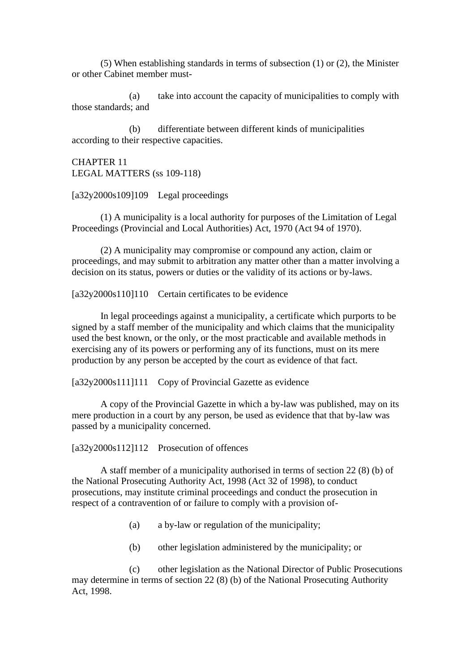(5) When establishing standards in terms of subsection (1) or (2), the Minister or other Cabinet member must-

(a) take into account the capacity of municipalities to comply with those standards; and

(b) differentiate between different kinds of municipalities according to their respective capacities.

CHAPTER 11 LEGAL MATTERS (ss 109-118)

 $[a32y2000s109]109$  Legal proceedings

(1) A municipality is a local authority for purposes of the Limitation of Legal Proceedings (Provincial and Local Authorities) Act, 1970 (Act 94 of 1970).

(2) A municipality may compromise or compound any action, claim or proceedings, and may submit to arbitration any matter other than a matter involving a decision on its status, powers or duties or the validity of its actions or by-laws.

[a32y2000s110]110 Certain certificates to be evidence

In legal proceedings against a municipality, a certificate which purports to be signed by a staff member of the municipality and which claims that the municipality used the best known, or the only, or the most practicable and available methods in exercising any of its powers or performing any of its functions, must on its mere production by any person be accepted by the court as evidence of that fact.

[a32y2000s111]111 Copy of Provincial Gazette as evidence

A copy of the Provincial Gazette in which a by-law was published, may on its mere production in a court by any person, be used as evidence that that by-law was passed by a municipality concerned.

[a32y2000s112]112 Prosecution of offences

A staff member of a municipality authorised in terms of section 22 (8) (b) of the National Prosecuting Authority Act, 1998 (Act 32 of 1998), to conduct prosecutions, may institute criminal proceedings and conduct the prosecution in respect of a contravention of or failure to comply with a provision of-

- (a) a by-law or regulation of the municipality;
- (b) other legislation administered by the municipality; or

(c) other legislation as the National Director of Public Prosecutions may determine in terms of section 22 (8) (b) of the National Prosecuting Authority Act, 1998.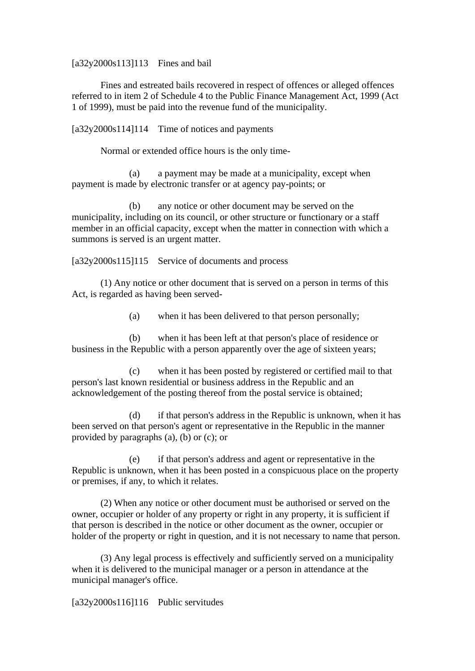[a32y2000s113]113 Fines and bail

Fines and estreated bails recovered in respect of offences or alleged offences referred to in item 2 of Schedule 4 to the Public Finance Management Act, 1999 (Act 1 of 1999), must be paid into the revenue fund of the municipality.

[a32y2000s114]114 Time of notices and payments

Normal or extended office hours is the only time-

(a) a payment may be made at a municipality, except when payment is made by electronic transfer or at agency pay-points; or

(b) any notice or other document may be served on the municipality, including on its council, or other structure or functionary or a staff member in an official capacity, except when the matter in connection with which a summons is served is an urgent matter.

[a32y2000s115]115 Service of documents and process

(1) Any notice or other document that is served on a person in terms of this Act, is regarded as having been served-

(a) when it has been delivered to that person personally;

(b) when it has been left at that person's place of residence or business in the Republic with a person apparently over the age of sixteen years;

(c) when it has been posted by registered or certified mail to that person's last known residential or business address in the Republic and an acknowledgement of the posting thereof from the postal service is obtained;

(d) if that person's address in the Republic is unknown, when it has been served on that person's agent or representative in the Republic in the manner provided by paragraphs (a), (b) or (c); or

(e) if that person's address and agent or representative in the Republic is unknown, when it has been posted in a conspicuous place on the property or premises, if any, to which it relates.

(2) When any notice or other document must be authorised or served on the owner, occupier or holder of any property or right in any property, it is sufficient if that person is described in the notice or other document as the owner, occupier or holder of the property or right in question, and it is not necessary to name that person.

(3) Any legal process is effectively and sufficiently served on a municipality when it is delivered to the municipal manager or a person in attendance at the municipal manager's office.

[a32y2000s116]116 Public servitudes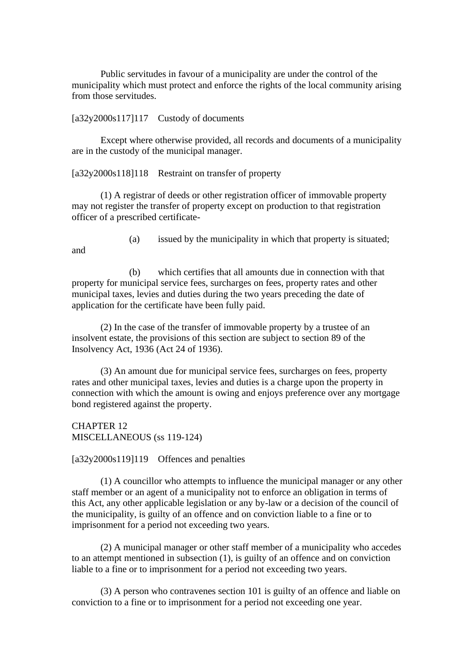Public servitudes in favour of a municipality are under the control of the municipality which must protect and enforce the rights of the local community arising from those servitudes.

[a32y2000s117]117 Custody of documents

Except where otherwise provided, all records and documents of a municipality are in the custody of the municipal manager.

[a32y2000s118]118 Restraint on transfer of property

(1) A registrar of deeds or other registration officer of immovable property may not register the transfer of property except on production to that registration officer of a prescribed certificate-

and

(a) issued by the municipality in which that property is situated;

(b) which certifies that all amounts due in connection with that property for municipal service fees, surcharges on fees, property rates and other municipal taxes, levies and duties during the two years preceding the date of application for the certificate have been fully paid.

(2) In the case of the transfer of immovable property by a trustee of an insolvent estate, the provisions of this section are subject to section 89 of the Insolvency Act, 1936 (Act 24 of 1936).

(3) An amount due for municipal service fees, surcharges on fees, property rates and other municipal taxes, levies and duties is a charge upon the property in connection with which the amount is owing and enjoys preference over any mortgage bond registered against the property.

CHAPTER 12 MISCELLANEOUS (ss 119-124)

[a32y2000s119]119 Offences and penalties

(1) A councillor who attempts to influence the municipal manager or any other staff member or an agent of a municipality not to enforce an obligation in terms of this Act, any other applicable legislation or any by-law or a decision of the council of the municipality, is guilty of an offence and on conviction liable to a fine or to imprisonment for a period not exceeding two years.

(2) A municipal manager or other staff member of a municipality who accedes to an attempt mentioned in subsection (1), is guilty of an offence and on conviction liable to a fine or to imprisonment for a period not exceeding two years.

(3) A person who contravenes section 101 is guilty of an offence and liable on conviction to a fine or to imprisonment for a period not exceeding one year.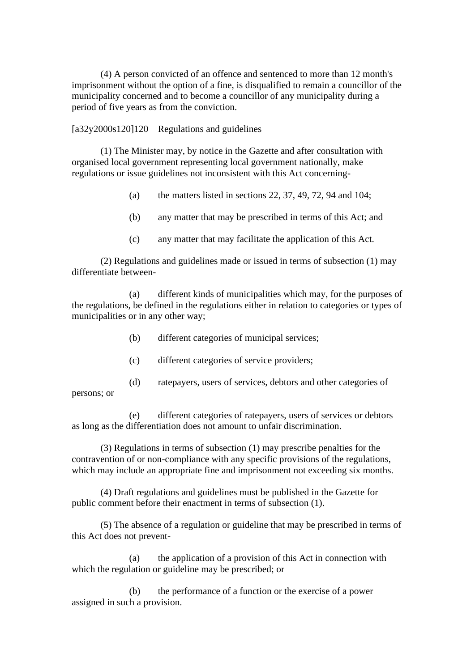(4) A person convicted of an offence and sentenced to more than 12 month's imprisonment without the option of a fine, is disqualified to remain a councillor of the municipality concerned and to become a councillor of any municipality during a period of five years as from the conviction.

[a32y2000s120]120 Regulations and guidelines

(1) The Minister may, by notice in the Gazette and after consultation with organised local government representing local government nationally, make regulations or issue guidelines not inconsistent with this Act concerning-

- (a) the matters listed in sections 22, 37, 49, 72, 94 and 104;
- (b) any matter that may be prescribed in terms of this Act; and
- (c) any matter that may facilitate the application of this Act.

(2) Regulations and guidelines made or issued in terms of subsection (1) may differentiate between-

(a) different kinds of municipalities which may, for the purposes of the regulations, be defined in the regulations either in relation to categories or types of municipalities or in any other way;

- (b) different categories of municipal services;
- (c) different categories of service providers;
- (d) ratepayers, users of services, debtors and other categories of

persons; or

(e) different categories of ratepayers, users of services or debtors as long as the differentiation does not amount to unfair discrimination.

(3) Regulations in terms of subsection (1) may prescribe penalties for the contravention of or non-compliance with any specific provisions of the regulations, which may include an appropriate fine and imprisonment not exceeding six months.

(4) Draft regulations and guidelines must be published in the Gazette for public comment before their enactment in terms of subsection (1).

(5) The absence of a regulation or guideline that may be prescribed in terms of this Act does not prevent-

(a) the application of a provision of this Act in connection with which the regulation or guideline may be prescribed; or

(b) the performance of a function or the exercise of a power assigned in such a provision.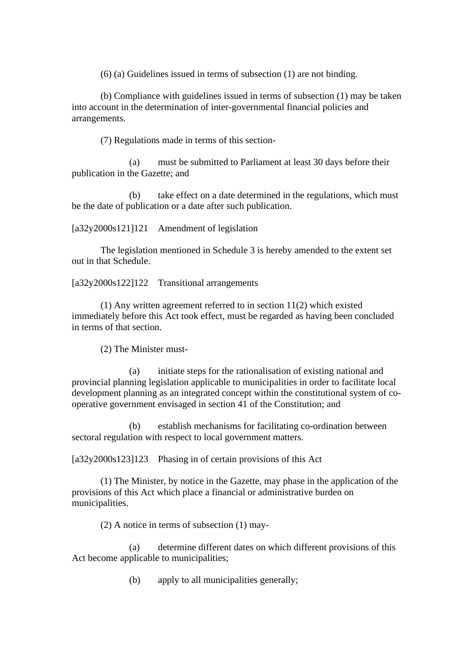(6) (a) Guidelines issued in terms of subsection (1) are not binding.

(b) Compliance with guidelines issued in terms of subsection (1) may be taken into account in the determination of inter-governmental financial policies and arrangements.

(7) Regulations made in terms of this section-

(a) must be submitted to Parliament at least 30 days before their publication in the Gazette; and

(b) take effect on a date determined in the regulations, which must be the date of publication or a date after such publication.

[a32y2000s121]121 Amendment of legislation

The legislation mentioned in Schedule 3 is hereby amended to the extent set out in that Schedule.

[a32y2000s122]122 Transitional arrangements

(1) Any written agreement referred to in section 11(2) which existed immediately before this Act took effect, must be regarded as having been concluded in terms of that section.

(2) The Minister must-

(a) initiate steps for the rationalisation of existing national and provincial planning legislation applicable to municipalities in order to facilitate local development planning as an integrated concept within the constitutional system of cooperative government envisaged in section 41 of the Constitution; and

(b) establish mechanisms for facilitating co-ordination between sectoral regulation with respect to local government matters.

[a32y2000s123]123 Phasing in of certain provisions of this Act

(1) The Minister, by notice in the Gazette, may phase in the application of the provisions of this Act which place a financial or administrative burden on municipalities.

(2) A notice in terms of subsection (1) may-

(a) determine different dates on which different provisions of this Act become applicable to municipalities;

(b) apply to all municipalities generally;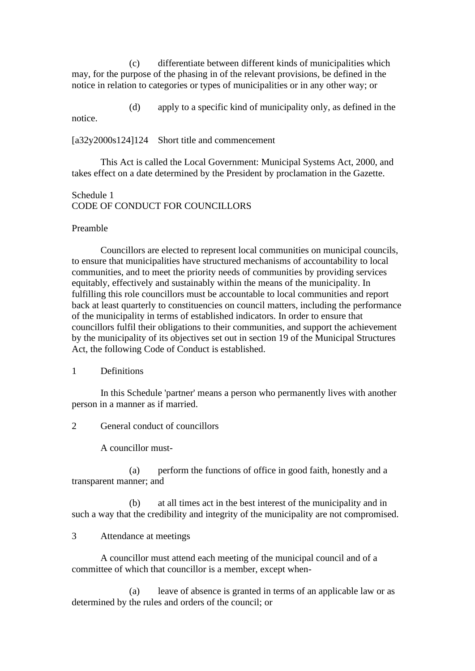(c) differentiate between different kinds of municipalities which may, for the purpose of the phasing in of the relevant provisions, be defined in the notice in relation to categories or types of municipalities or in any other way; or

(d) apply to a specific kind of municipality only, as defined in the notice.

[a32y2000s124]124 Short title and commencement

This Act is called the Local Government: Municipal Systems Act, 2000, and takes effect on a date determined by the President by proclamation in the Gazette.

Schedule 1 CODE OF CONDUCT FOR COUNCILLORS

#### Preamble

Councillors are elected to represent local communities on municipal councils, to ensure that municipalities have structured mechanisms of accountability to local communities, and to meet the priority needs of communities by providing services equitably, effectively and sustainably within the means of the municipality. In fulfilling this role councillors must be accountable to local communities and report back at least quarterly to constituencies on council matters, including the performance of the municipality in terms of established indicators. In order to ensure that councillors fulfil their obligations to their communities, and support the achievement by the municipality of its objectives set out in section 19 of the Municipal Structures Act, the following Code of Conduct is established.

### 1 Definitions

In this Schedule 'partner' means a person who permanently lives with another person in a manner as if married.

2 General conduct of councillors

A councillor must-

(a) perform the functions of office in good faith, honestly and a transparent manner; and

(b) at all times act in the best interest of the municipality and in such a way that the credibility and integrity of the municipality are not compromised.

## 3 Attendance at meetings

A councillor must attend each meeting of the municipal council and of a committee of which that councillor is a member, except when-

(a) leave of absence is granted in terms of an applicable law or as determined by the rules and orders of the council; or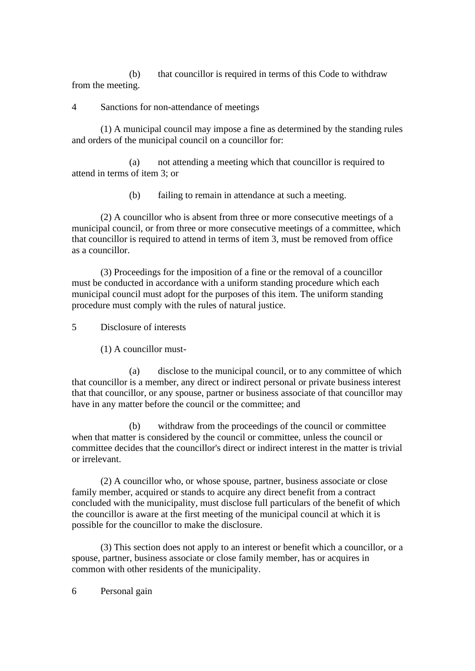(b) that councillor is required in terms of this Code to withdraw from the meeting.

4 Sanctions for non-attendance of meetings

(1) A municipal council may impose a fine as determined by the standing rules and orders of the municipal council on a councillor for:

(a) not attending a meeting which that councillor is required to attend in terms of item 3; or

(b) failing to remain in attendance at such a meeting.

(2) A councillor who is absent from three or more consecutive meetings of a municipal council, or from three or more consecutive meetings of a committee, which that councillor is required to attend in terms of item 3, must be removed from office as a councillor.

(3) Proceedings for the imposition of a fine or the removal of a councillor must be conducted in accordance with a uniform standing procedure which each municipal council must adopt for the purposes of this item. The uniform standing procedure must comply with the rules of natural justice.

5 Disclosure of interests

(1) A councillor must-

(a) disclose to the municipal council, or to any committee of which that councillor is a member, any direct or indirect personal or private business interest that that councillor, or any spouse, partner or business associate of that councillor may have in any matter before the council or the committee; and

(b) withdraw from the proceedings of the council or committee when that matter is considered by the council or committee, unless the council or committee decides that the councillor's direct or indirect interest in the matter is trivial or irrelevant.

(2) A councillor who, or whose spouse, partner, business associate or close family member, acquired or stands to acquire any direct benefit from a contract concluded with the municipality, must disclose full particulars of the benefit of which the councillor is aware at the first meeting of the municipal council at which it is possible for the councillor to make the disclosure.

(3) This section does not apply to an interest or benefit which a councillor, or a spouse, partner, business associate or close family member, has or acquires in common with other residents of the municipality.

6 Personal gain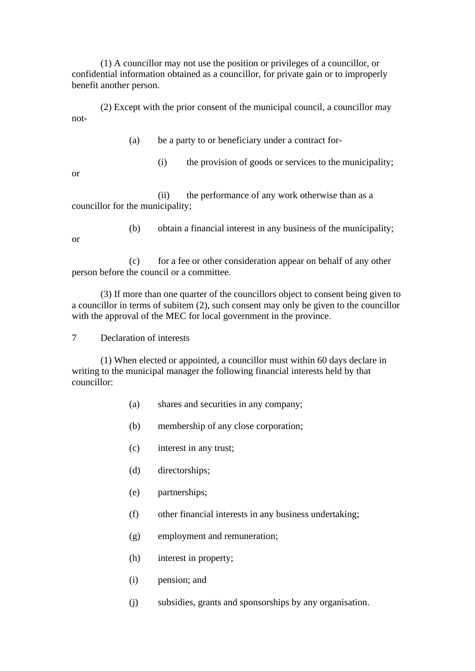(1) A councillor may not use the position or privileges of a councillor, or confidential information obtained as a councillor, for private gain or to improperly benefit another person.

(2) Except with the prior consent of the municipal council, a councillor may not-

- (a) be a party to or beneficiary under a contract for-
	- (i) the provision of goods or services to the municipality;

or

(ii) the performance of any work otherwise than as a councillor for the municipality;

or

(b) obtain a financial interest in any business of the municipality;

(c) for a fee or other consideration appear on behalf of any other person before the council or a committee.

(3) If more than one quarter of the councillors object to consent being given to a councillor in terms of subitem (2), such consent may only be given to the councillor with the approval of the MEC for local government in the province.

7 Declaration of interests

(1) When elected or appointed, a councillor must within 60 days declare in writing to the municipal manager the following financial interests held by that councillor:

- (a) shares and securities in any company;
- (b) membership of any close corporation;
- (c) interest in any trust;
- (d) directorships;
- (e) partnerships;
- (f) other financial interests in any business undertaking;
- (g) employment and remuneration;
- (h) interest in property;
- (i) pension; and
- (j) subsidies, grants and sponsorships by any organisation.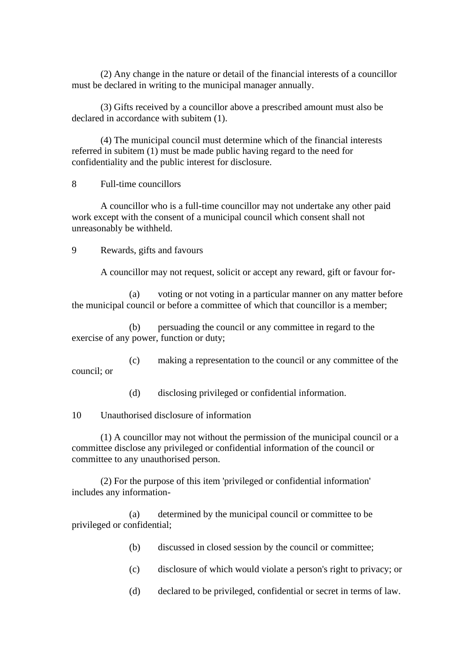(2) Any change in the nature or detail of the financial interests of a councillor must be declared in writing to the municipal manager annually.

(3) Gifts received by a councillor above a prescribed amount must also be declared in accordance with subitem (1).

(4) The municipal council must determine which of the financial interests referred in subitem (1) must be made public having regard to the need for confidentiality and the public interest for disclosure.

8 Full-time councillors

A councillor who is a full-time councillor may not undertake any other paid work except with the consent of a municipal council which consent shall not unreasonably be withheld.

9 Rewards, gifts and favours

A councillor may not request, solicit or accept any reward, gift or favour for-

(a) voting or not voting in a particular manner on any matter before the municipal council or before a committee of which that councillor is a member;

(b) persuading the council or any committee in regard to the exercise of any power, function or duty;

(c) making a representation to the council or any committee of the council; or

(d) disclosing privileged or confidential information.

10 Unauthorised disclosure of information

(1) A councillor may not without the permission of the municipal council or a committee disclose any privileged or confidential information of the council or committee to any unauthorised person.

(2) For the purpose of this item 'privileged or confidential information' includes any information-

(a) determined by the municipal council or committee to be privileged or confidential;

- (b) discussed in closed session by the council or committee;
- (c) disclosure of which would violate a person's right to privacy; or
- (d) declared to be privileged, confidential or secret in terms of law.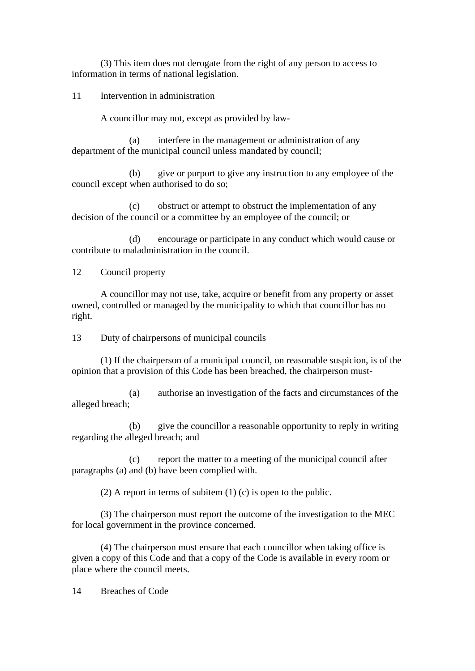(3) This item does not derogate from the right of any person to access to information in terms of national legislation.

11 Intervention in administration

A councillor may not, except as provided by law-

(a) interfere in the management or administration of any department of the municipal council unless mandated by council;

(b) give or purport to give any instruction to any employee of the council except when authorised to do so;

(c) obstruct or attempt to obstruct the implementation of any decision of the council or a committee by an employee of the council; or

(d) encourage or participate in any conduct which would cause or contribute to maladministration in the council.

12 Council property

A councillor may not use, take, acquire or benefit from any property or asset owned, controlled or managed by the municipality to which that councillor has no right.

13 Duty of chairpersons of municipal councils

(1) If the chairperson of a municipal council, on reasonable suspicion, is of the opinion that a provision of this Code has been breached, the chairperson must-

(a) authorise an investigation of the facts and circumstances of the alleged breach;

(b) give the councillor a reasonable opportunity to reply in writing regarding the alleged breach; and

(c) report the matter to a meeting of the municipal council after paragraphs (a) and (b) have been complied with.

(2) A report in terms of subitem (1) (c) is open to the public.

(3) The chairperson must report the outcome of the investigation to the MEC for local government in the province concerned.

(4) The chairperson must ensure that each councillor when taking office is given a copy of this Code and that a copy of the Code is available in every room or place where the council meets.

14 Breaches of Code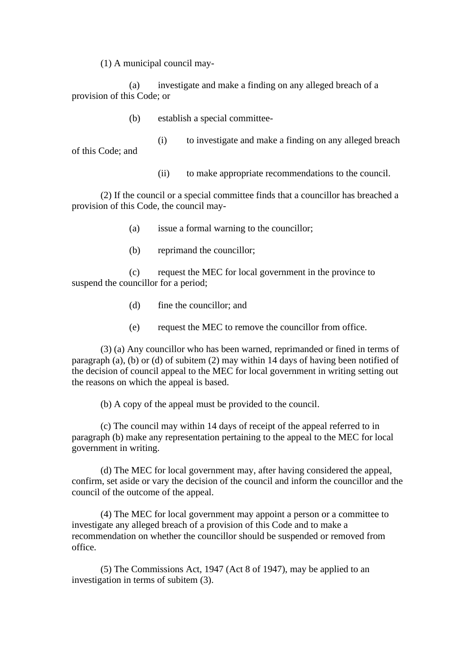(1) A municipal council may-

(a) investigate and make a finding on any alleged breach of a provision of this Code; or

(b) establish a special committee-

(i) to investigate and make a finding on any alleged breach of this Code; and

(ii) to make appropriate recommendations to the council.

(2) If the council or a special committee finds that a councillor has breached a provision of this Code, the council may-

- (a) issue a formal warning to the councillor;
- (b) reprimand the councillor;

(c) request the MEC for local government in the province to suspend the councillor for a period;

- (d) fine the councillor; and
- (e) request the MEC to remove the councillor from office.

(3) (a) Any councillor who has been warned, reprimanded or fined in terms of paragraph (a), (b) or (d) of subitem (2) may within 14 days of having been notified of the decision of council appeal to the MEC for local government in writing setting out the reasons on which the appeal is based.

(b) A copy of the appeal must be provided to the council.

(c) The council may within 14 days of receipt of the appeal referred to in paragraph (b) make any representation pertaining to the appeal to the MEC for local government in writing.

(d) The MEC for local government may, after having considered the appeal, confirm, set aside or vary the decision of the council and inform the councillor and the council of the outcome of the appeal.

(4) The MEC for local government may appoint a person or a committee to investigate any alleged breach of a provision of this Code and to make a recommendation on whether the councillor should be suspended or removed from office.

(5) The Commissions Act, 1947 (Act 8 of 1947), may be applied to an investigation in terms of subitem (3).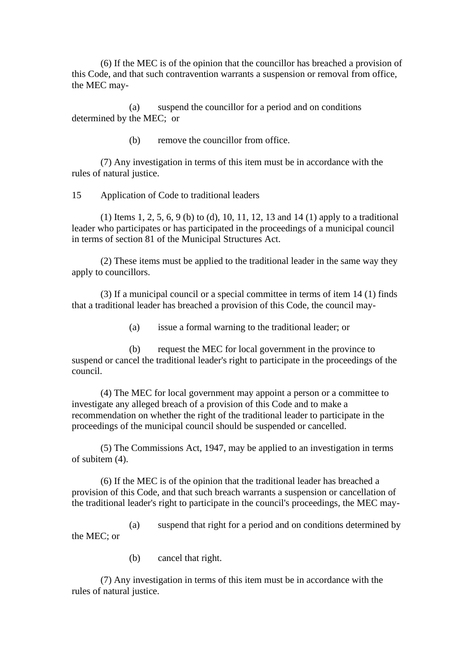(6) If the MEC is of the opinion that the councillor has breached a provision of this Code, and that such contravention warrants a suspension or removal from office, the MEC may-

(a) suspend the councillor for a period and on conditions determined by the MEC; or

(b) remove the councillor from office.

(7) Any investigation in terms of this item must be in accordance with the rules of natural justice.

15 Application of Code to traditional leaders

(1) Items 1, 2, 5, 6, 9 (b) to (d), 10, 11, 12, 13 and 14 (1) apply to a traditional leader who participates or has participated in the proceedings of a municipal council in terms of section 81 of the Municipal Structures Act.

(2) These items must be applied to the traditional leader in the same way they apply to councillors.

(3) If a municipal council or a special committee in terms of item 14 (1) finds that a traditional leader has breached a provision of this Code, the council may-

(a) issue a formal warning to the traditional leader; or

(b) request the MEC for local government in the province to suspend or cancel the traditional leader's right to participate in the proceedings of the council.

(4) The MEC for local government may appoint a person or a committee to investigate any alleged breach of a provision of this Code and to make a recommendation on whether the right of the traditional leader to participate in the proceedings of the municipal council should be suspended or cancelled.

(5) The Commissions Act, 1947, may be applied to an investigation in terms of subitem (4).

(6) If the MEC is of the opinion that the traditional leader has breached a provision of this Code, and that such breach warrants a suspension or cancellation of the traditional leader's right to participate in the council's proceedings, the MEC may-

(a) suspend that right for a period and on conditions determined by the MEC; or

(b) cancel that right.

(7) Any investigation in terms of this item must be in accordance with the rules of natural justice.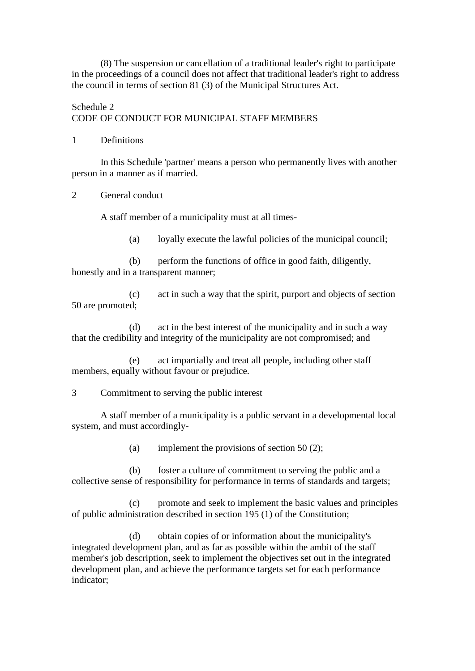(8) The suspension or cancellation of a traditional leader's right to participate in the proceedings of a council does not affect that traditional leader's right to address the council in terms of section 81 (3) of the Municipal Structures Act.

# Schedule 2 CODE OF CONDUCT FOR MUNICIPAL STAFF MEMBERS

## 1 Definitions

In this Schedule 'partner' means a person who permanently lives with another person in a manner as if married.

2 General conduct

A staff member of a municipality must at all times-

(a) loyally execute the lawful policies of the municipal council;

(b) perform the functions of office in good faith, diligently, honestly and in a transparent manner;

(c) act in such a way that the spirit, purport and objects of section 50 are promoted;

(d) act in the best interest of the municipality and in such a way that the credibility and integrity of the municipality are not compromised; and

(e) act impartially and treat all people, including other staff members, equally without favour or prejudice.

3 Commitment to serving the public interest

A staff member of a municipality is a public servant in a developmental local system, and must accordingly-

(a) implement the provisions of section 50 (2);

(b) foster a culture of commitment to serving the public and a collective sense of responsibility for performance in terms of standards and targets;

(c) promote and seek to implement the basic values and principles of public administration described in section 195 (1) of the Constitution;

(d) obtain copies of or information about the municipality's integrated development plan, and as far as possible within the ambit of the staff member's job description, seek to implement the objectives set out in the integrated development plan, and achieve the performance targets set for each performance indicator;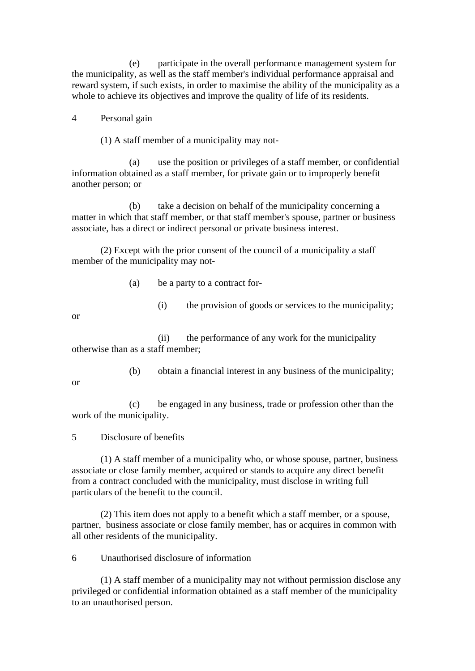(e) participate in the overall performance management system for the municipality, as well as the staff member's individual performance appraisal and reward system, if such exists, in order to maximise the ability of the municipality as a whole to achieve its objectives and improve the quality of life of its residents.

## 4 Personal gain

(1) A staff member of a municipality may not-

(a) use the position or privileges of a staff member, or confidential information obtained as a staff member, for private gain or to improperly benefit another person; or

(b) take a decision on behalf of the municipality concerning a matter in which that staff member, or that staff member's spouse, partner or business associate, has a direct or indirect personal or private business interest.

(2) Except with the prior consent of the council of a municipality a staff member of the municipality may not-

- (a) be a party to a contract for-
	- (i) the provision of goods or services to the municipality;

or

(ii) the performance of any work for the municipality otherwise than as a staff member;

(b) obtain a financial interest in any business of the municipality;

or

(c) be engaged in any business, trade or profession other than the work of the municipality.

5 Disclosure of benefits

(1) A staff member of a municipality who, or whose spouse, partner, business associate or close family member, acquired or stands to acquire any direct benefit from a contract concluded with the municipality, must disclose in writing full particulars of the benefit to the council.

(2) This item does not apply to a benefit which a staff member, or a spouse, partner, business associate or close family member, has or acquires in common with all other residents of the municipality.

6 Unauthorised disclosure of information

(1) A staff member of a municipality may not without permission disclose any privileged or confidential information obtained as a staff member of the municipality to an unauthorised person.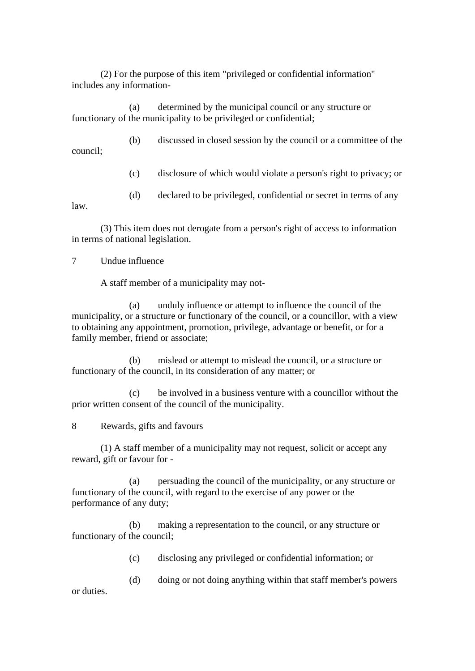(2) For the purpose of this item "privileged or confidential information" includes any information-

(a) determined by the municipal council or any structure or functionary of the municipality to be privileged or confidential;

(b) discussed in closed session by the council or a committee of the council;

(c) disclosure of which would violate a person's right to privacy; or

(d) declared to be privileged, confidential or secret in terms of any

law.

(3) This item does not derogate from a person's right of access to information in terms of national legislation.

7 Undue influence

A staff member of a municipality may not-

(a) unduly influence or attempt to influence the council of the municipality, or a structure or functionary of the council, or a councillor, with a view to obtaining any appointment, promotion, privilege, advantage or benefit, or for a family member, friend or associate;

(b) mislead or attempt to mislead the council, or a structure or functionary of the council, in its consideration of any matter; or

(c) be involved in a business venture with a councillor without the prior written consent of the council of the municipality.

8 Rewards, gifts and favours

(1) A staff member of a municipality may not request, solicit or accept any reward, gift or favour for -

(a) persuading the council of the municipality, or any structure or functionary of the council, with regard to the exercise of any power or the performance of any duty;

(b) making a representation to the council, or any structure or functionary of the council;

(c) disclosing any privileged or confidential information; or

(d) doing or not doing anything within that staff member's powers

or duties.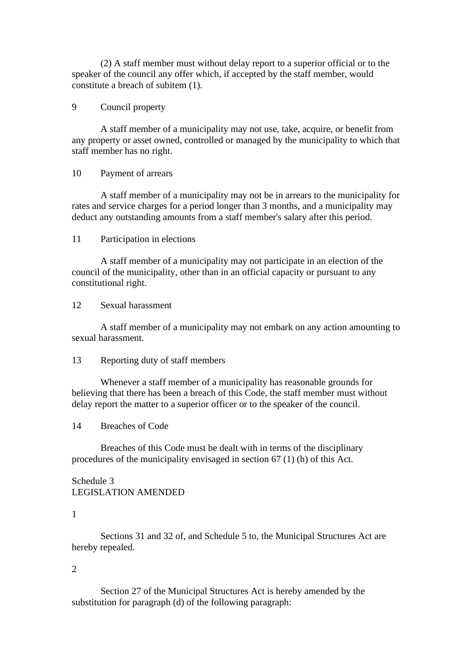(2) A staff member must without delay report to a superior official or to the speaker of the council any offer which, if accepted by the staff member, would constitute a breach of subitem (1).

## 9 Council property

A staff member of a municipality may not use, take, acquire, or benefit from any property or asset owned, controlled or managed by the municipality to which that staff member has no right.

### 10 Payment of arrears

A staff member of a municipality may not be in arrears to the municipality for rates and service charges for a period longer than 3 months, and a municipality may deduct any outstanding amounts from a staff member's salary after this period.

### 11 Participation in elections

A staff member of a municipality may not participate in an election of the council of the municipality, other than in an official capacity or pursuant to any constitutional right.

12 Sexual harassment

A staff member of a municipality may not embark on any action amounting to sexual harassment.

### 13 Reporting duty of staff members

Whenever a staff member of a municipality has reasonable grounds for believing that there has been a breach of this Code, the staff member must without delay report the matter to a superior officer or to the speaker of the council.

## 14 Breaches of Code

Breaches of this Code must be dealt with in terms of the disciplinary procedures of the municipality envisaged in section 67 (1) (h) of this Act.

## Schedule 3 LEGISLATION AMENDED

## 1

Sections 31 and 32 of, and Schedule 5 to, the Municipal Structures Act are hereby repealed.

### $\mathcal{D}_{\mathcal{L}}$

Section 27 of the Municipal Structures Act is hereby amended by the substitution for paragraph (d) of the following paragraph: